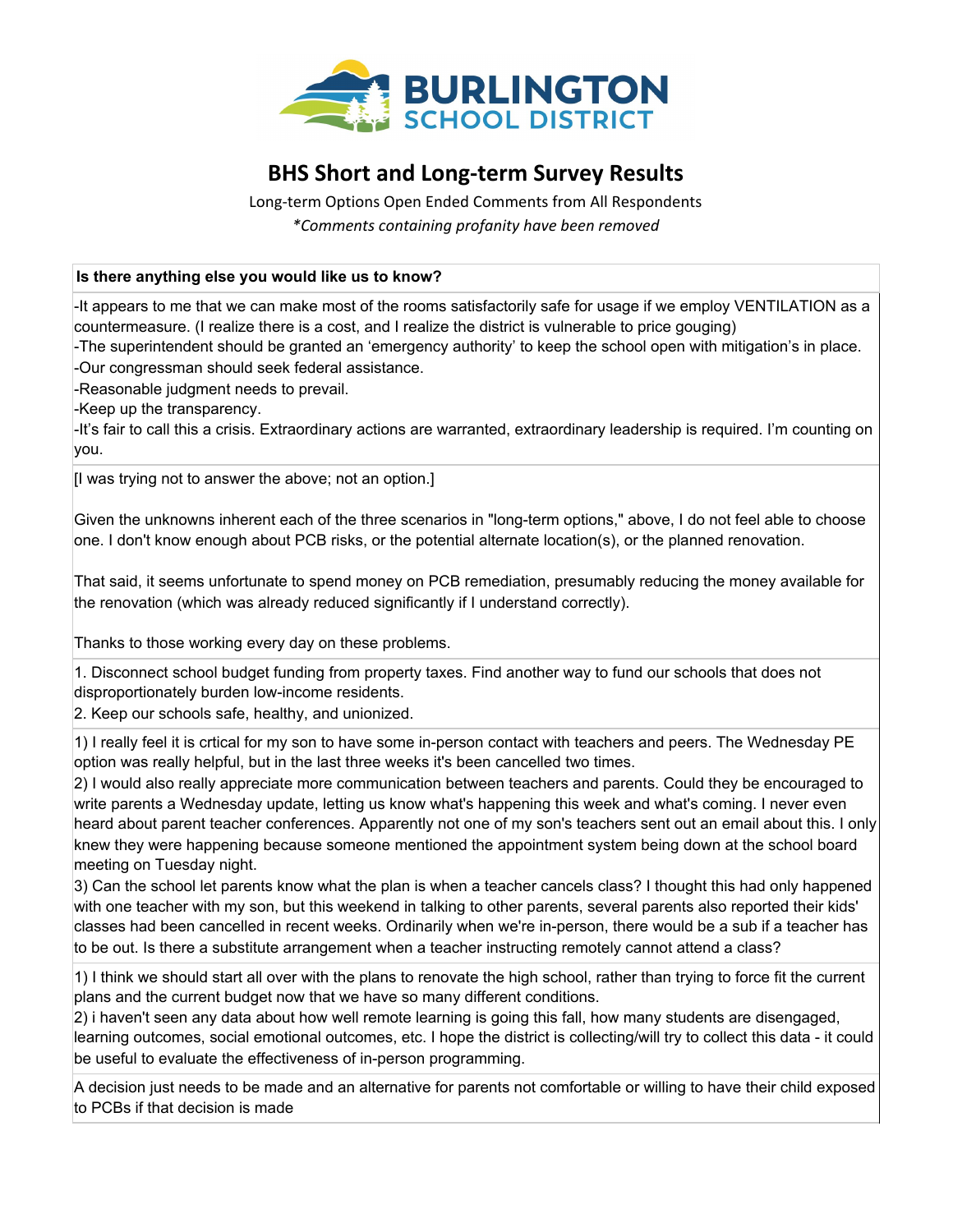

# **BHS Short and Long-term Survey Results**

Long-term Options Open Ended Comments from All Respondents *\*Comments containing profanity have been removed*

#### **Is there anything else you would like us to know?**

-It appears to me that we can make most of the rooms satisfactorily safe for usage if we employ VENTILATION as a countermeasure. (I realize there is a cost, and I realize the district is vulnerable to price gouging)

-The superintendent should be granted an 'emergency authority' to keep the school open with mitigation's in place. -Our congressman should seek federal assistance.

-Reasonable judgment needs to prevail.

-Keep up the transparency.

-It's fair to call this a crisis. Extraordinary actions are warranted, extraordinary leadership is required. I'm counting on you.

[I was trying not to answer the above; not an option.]

Given the unknowns inherent each of the three scenarios in "long-term options," above, I do not feel able to choose one. I don't know enough about PCB risks, or the potential alternate location(s), or the planned renovation.

That said, it seems unfortunate to spend money on PCB remediation, presumably reducing the money available for the renovation (which was already reduced significantly if I understand correctly).

Thanks to those working every day on these problems.

1. Disconnect school budget funding from property taxes. Find another way to fund our schools that does not disproportionately burden low-income residents.

2. Keep our schools safe, healthy, and unionized.

1) I really feel it is crtical for my son to have some in-person contact with teachers and peers. The Wednesday PE option was really helpful, but in the last three weeks it's been cancelled two times.

2) I would also really appreciate more communication between teachers and parents. Could they be encouraged to write parents a Wednesday update, letting us know what's happening this week and what's coming. I never even heard about parent teacher conferences. Apparently not one of my son's teachers sent out an email about this. I only knew they were happening because someone mentioned the appointment system being down at the school board meeting on Tuesday night.

3) Can the school let parents know what the plan is when a teacher cancels class? I thought this had only happened with one teacher with my son, but this weekend in talking to other parents, several parents also reported their kids' classes had been cancelled in recent weeks. Ordinarily when we're in-person, there would be a sub if a teacher has to be out. Is there a substitute arrangement when a teacher instructing remotely cannot attend a class?

1) I think we should start all over with the plans to renovate the high school, rather than trying to force fit the current plans and the current budget now that we have so many different conditions.

2) i haven't seen any data about how well remote learning is going this fall, how many students are disengaged, learning outcomes, social emotional outcomes, etc. I hope the district is collecting/will try to collect this data - it could be useful to evaluate the effectiveness of in-person programming.

A decision just needs to be made and an alternative for parents not comfortable or willing to have their child exposed to PCBs if that decision is made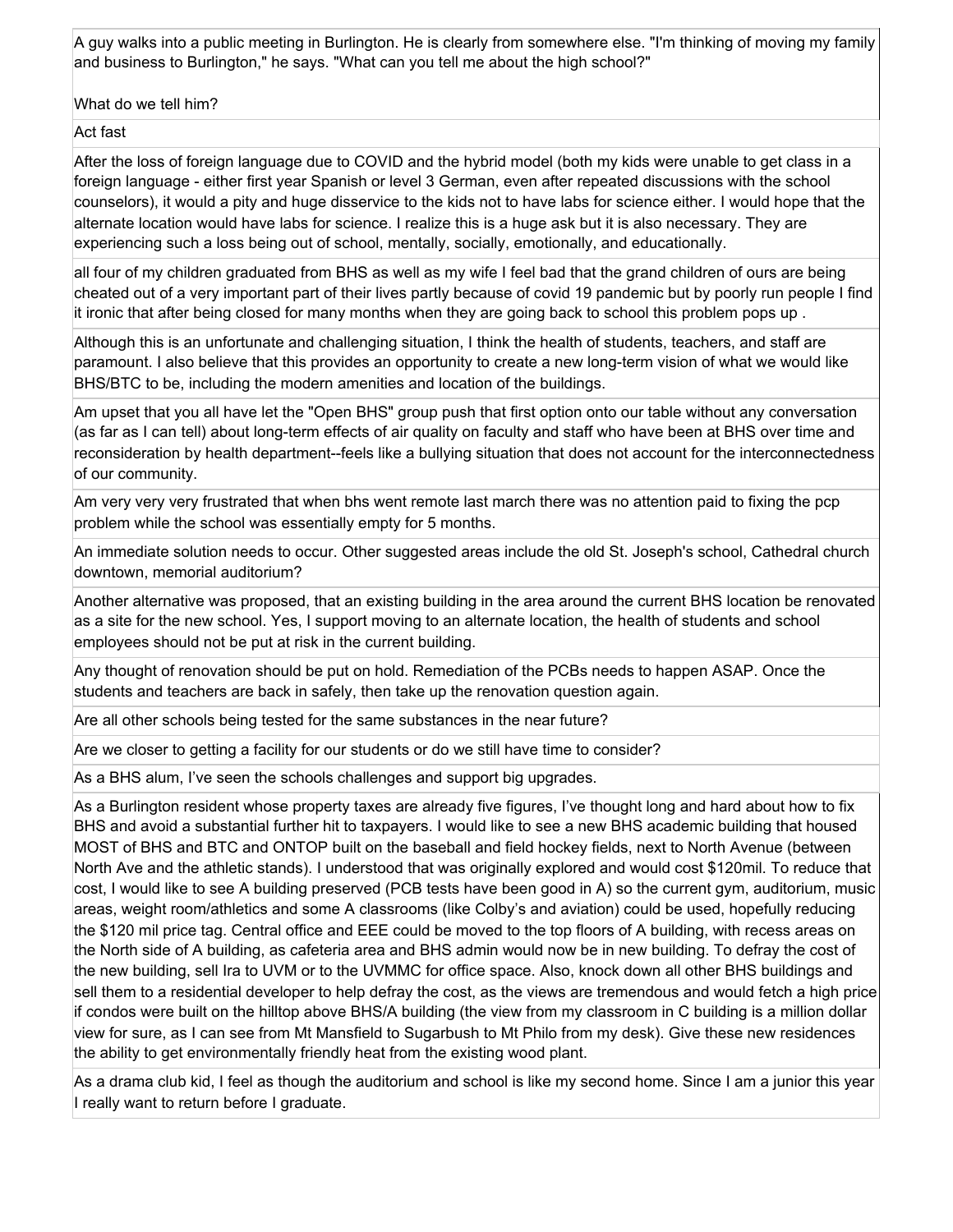A guy walks into a public meeting in Burlington. He is clearly from somewhere else. "I'm thinking of moving my family and business to Burlington," he says. "What can you tell me about the high school?"

What do we tell him?

Act fast

After the loss of foreign language due to COVID and the hybrid model (both my kids were unable to get class in a foreign language - either first year Spanish or level 3 German, even after repeated discussions with the school counselors), it would a pity and huge disservice to the kids not to have labs for science either. I would hope that the alternate location would have labs for science. I realize this is a huge ask but it is also necessary. They are experiencing such a loss being out of school, mentally, socially, emotionally, and educationally.

all four of my children graduated from BHS as well as my wife I feel bad that the grand children of ours are being cheated out of a very important part of their lives partly because of covid 19 pandemic but by poorly run people I find it ironic that after being closed for many months when they are going back to school this problem pops up .

Although this is an unfortunate and challenging situation, I think the health of students, teachers, and staff are paramount. I also believe that this provides an opportunity to create a new long-term vision of what we would like BHS/BTC to be, including the modern amenities and location of the buildings.

Am upset that you all have let the "Open BHS" group push that first option onto our table without any conversation (as far as I can tell) about long-term effects of air quality on faculty and staff who have been at BHS over time and reconsideration by health department--feels like a bullying situation that does not account for the interconnectedness of our community.

Am very very very frustrated that when bhs went remote last march there was no attention paid to fixing the pcp problem while the school was essentially empty for 5 months.

An immediate solution needs to occur. Other suggested areas include the old St. Joseph's school, Cathedral church downtown, memorial auditorium?

Another alternative was proposed, that an existing building in the area around the current BHS location be renovated as a site for the new school. Yes, I support moving to an alternate location, the health of students and school employees should not be put at risk in the current building.

Any thought of renovation should be put on hold. Remediation of the PCBs needs to happen ASAP. Once the students and teachers are back in safely, then take up the renovation question again.

Are all other schools being tested for the same substances in the near future?

Are we closer to getting a facility for our students or do we still have time to consider?

As a BHS alum, I've seen the schools challenges and support big upgrades.

As a Burlington resident whose property taxes are already five figures, I've thought long and hard about how to fix BHS and avoid a substantial further hit to taxpayers. I would like to see a new BHS academic building that housed MOST of BHS and BTC and ONTOP built on the baseball and field hockey fields, next to North Avenue (between North Ave and the athletic stands). I understood that was originally explored and would cost \$120mil. To reduce that cost, I would like to see A building preserved (PCB tests have been good in A) so the current gym, auditorium, music areas, weight room/athletics and some A classrooms (like Colby's and aviation) could be used, hopefully reducing the \$120 mil price tag. Central office and EEE could be moved to the top floors of A building, with recess areas on the North side of A building, as cafeteria area and BHS admin would now be in new building. To defray the cost of the new building, sell Ira to UVM or to the UVMMC for office space. Also, knock down all other BHS buildings and sell them to a residential developer to help defray the cost, as the views are tremendous and would fetch a high price if condos were built on the hilltop above BHS/A building (the view from my classroom in C building is a million dollar view for sure, as I can see from Mt Mansfield to Sugarbush to Mt Philo from my desk). Give these new residences the ability to get environmentally friendly heat from the existing wood plant.

As a drama club kid, I feel as though the auditorium and school is like my second home. Since I am a junior this year I really want to return before I graduate.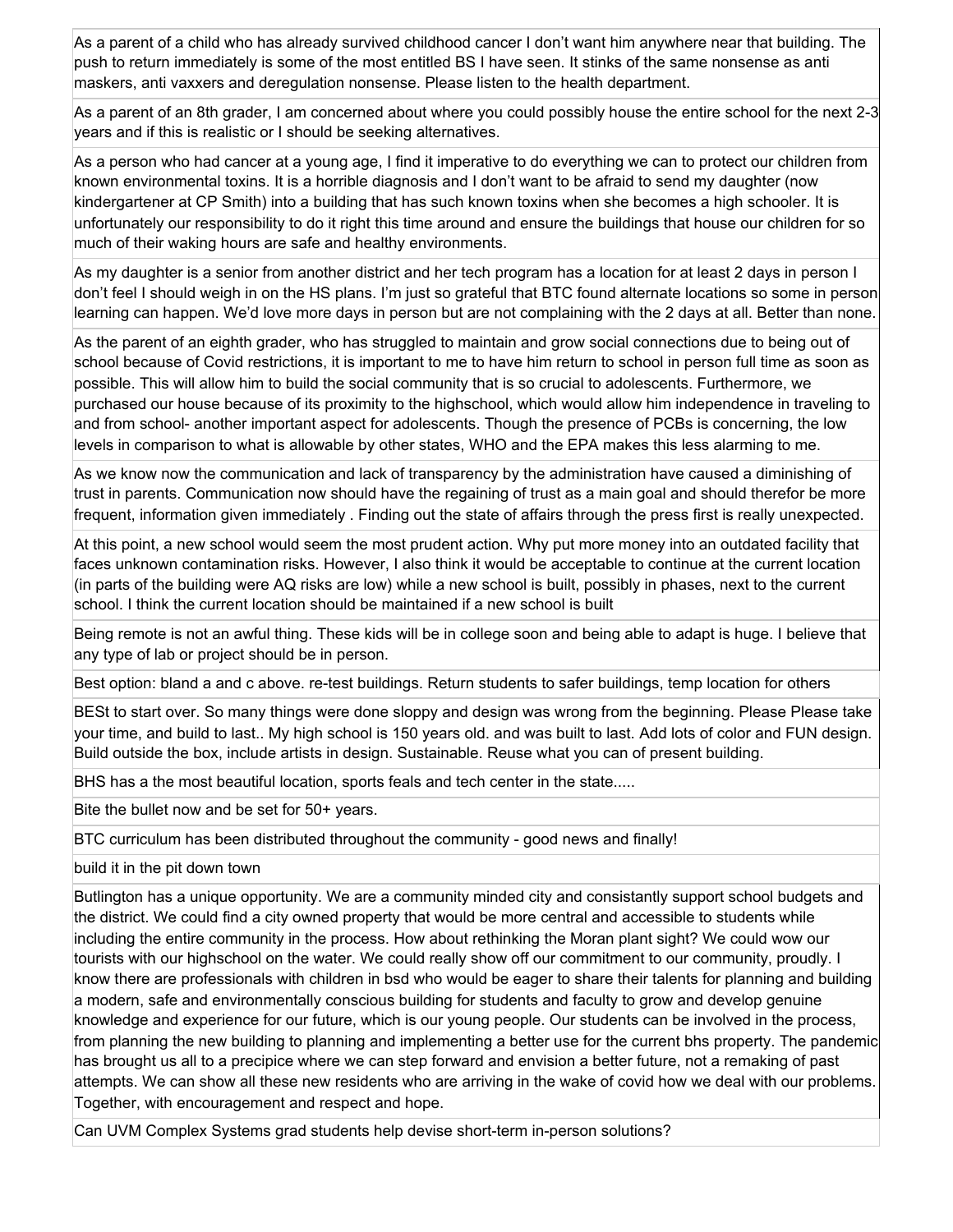As a parent of a child who has already survived childhood cancer I don't want him anywhere near that building. The push to return immediately is some of the most entitled BS I have seen. It stinks of the same nonsense as anti maskers, anti vaxxers and deregulation nonsense. Please listen to the health department.

As a parent of an 8th grader, I am concerned about where you could possibly house the entire school for the next 2-3 years and if this is realistic or I should be seeking alternatives.

As a person who had cancer at a young age, I find it imperative to do everything we can to protect our children from known environmental toxins. It is a horrible diagnosis and I don't want to be afraid to send my daughter (now kindergartener at CP Smith) into a building that has such known toxins when she becomes a high schooler. It is unfortunately our responsibility to do it right this time around and ensure the buildings that house our children for so much of their waking hours are safe and healthy environments.

As my daughter is a senior from another district and her tech program has a location for at least 2 days in person I don't feel I should weigh in on the HS plans. I'm just so grateful that BTC found alternate locations so some in person learning can happen. We'd love more days in person but are not complaining with the 2 days at all. Better than none.

As the parent of an eighth grader, who has struggled to maintain and grow social connections due to being out of school because of Covid restrictions, it is important to me to have him return to school in person full time as soon as possible. This will allow him to build the social community that is so crucial to adolescents. Furthermore, we purchased our house because of its proximity to the highschool, which would allow him independence in traveling to and from school- another important aspect for adolescents. Though the presence of PCBs is concerning, the low levels in comparison to what is allowable by other states, WHO and the EPA makes this less alarming to me.

As we know now the communication and lack of transparency by the administration have caused a diminishing of trust in parents. Communication now should have the regaining of trust as a main goal and should therefor be more frequent, information given immediately . Finding out the state of affairs through the press first is really unexpected.

At this point, a new school would seem the most prudent action. Why put more money into an outdated facility that faces unknown contamination risks. However, I also think it would be acceptable to continue at the current location (in parts of the building were AQ risks are low) while a new school is built, possibly in phases, next to the current school. I think the current location should be maintained if a new school is built

Being remote is not an awful thing. These kids will be in college soon and being able to adapt is huge. I believe that any type of lab or project should be in person.

Best option: bland a and c above. re-test buildings. Return students to safer buildings, temp location for others

BESt to start over. So many things were done sloppy and design was wrong from the beginning. Please Please take your time, and build to last.. My high school is 150 years old. and was built to last. Add lots of color and FUN design. Build outside the box, include artists in design. Sustainable. Reuse what you can of present building.

BHS has a the most beautiful location, sports feals and tech center in the state.....

Bite the bullet now and be set for 50+ years.

BTC curriculum has been distributed throughout the community - good news and finally!

build it in the pit down town

Butlington has a unique opportunity. We are a community minded city and consistantly support school budgets and the district. We could find a city owned property that would be more central and accessible to students while including the entire community in the process. How about rethinking the Moran plant sight? We could wow our tourists with our highschool on the water. We could really show off our commitment to our community, proudly. I know there are professionals with children in bsd who would be eager to share their talents for planning and building a modern, safe and environmentally conscious building for students and faculty to grow and develop genuine knowledge and experience for our future, which is our young people. Our students can be involved in the process, from planning the new building to planning and implementing a better use for the current bhs property. The pandemic has brought us all to a precipice where we can step forward and envision a better future, not a remaking of past attempts. We can show all these new residents who are arriving in the wake of covid how we deal with our problems. Together, with encouragement and respect and hope.

Can UVM Complex Systems grad students help devise short-term in-person solutions?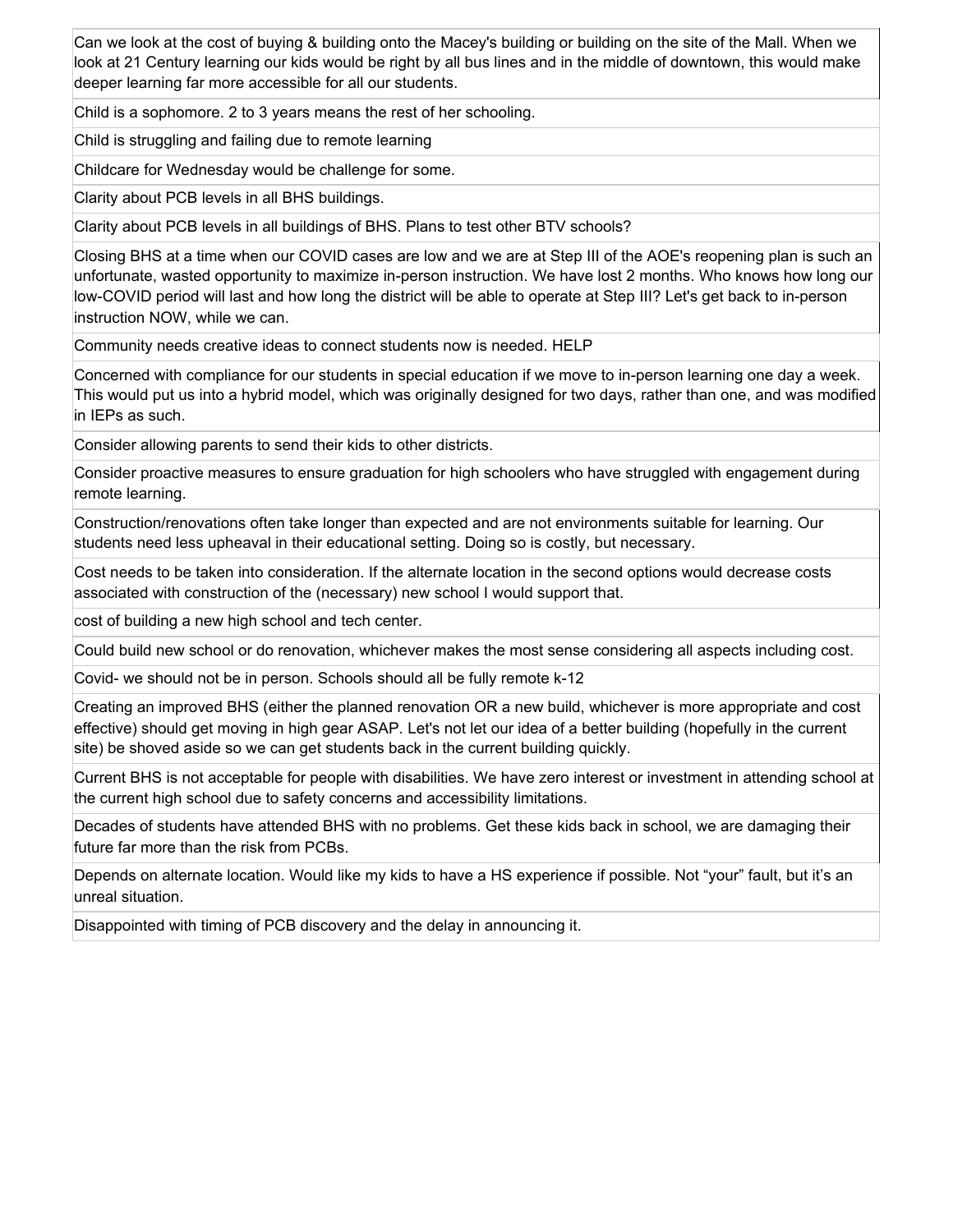Can we look at the cost of buying & building onto the Macey's building or building on the site of the Mall. When we look at 21 Century learning our kids would be right by all bus lines and in the middle of downtown, this would make deeper learning far more accessible for all our students.

Child is a sophomore. 2 to 3 years means the rest of her schooling.

Child is struggling and failing due to remote learning

Childcare for Wednesday would be challenge for some.

Clarity about PCB levels in all BHS buildings.

Clarity about PCB levels in all buildings of BHS. Plans to test other BTV schools?

Closing BHS at a time when our COVID cases are low and we are at Step III of the AOE's reopening plan is such an unfortunate, wasted opportunity to maximize in-person instruction. We have lost 2 months. Who knows how long our low-COVID period will last and how long the district will be able to operate at Step III? Let's get back to in-person instruction NOW, while we can.

Community needs creative ideas to connect students now is needed. HELP

Concerned with compliance for our students in special education if we move to in-person learning one day a week. This would put us into a hybrid model, which was originally designed for two days, rather than one, and was modified in IEPs as such.

Consider allowing parents to send their kids to other districts.

Consider proactive measures to ensure graduation for high schoolers who have struggled with engagement during remote learning.

Construction/renovations often take longer than expected and are not environments suitable for learning. Our students need less upheaval in their educational setting. Doing so is costly, but necessary.

Cost needs to be taken into consideration. If the alternate location in the second options would decrease costs associated with construction of the (necessary) new school I would support that.

cost of building a new high school and tech center.

Could build new school or do renovation, whichever makes the most sense considering all aspects including cost.

Covid- we should not be in person. Schools should all be fully remote k-12

Creating an improved BHS (either the planned renovation OR a new build, whichever is more appropriate and cost effective) should get moving in high gear ASAP. Let's not let our idea of a better building (hopefully in the current site) be shoved aside so we can get students back in the current building quickly.

Current BHS is not acceptable for people with disabilities. We have zero interest or investment in attending school at the current high school due to safety concerns and accessibility limitations.

Decades of students have attended BHS with no problems. Get these kids back in school, we are damaging their future far more than the risk from PCBs.

Depends on alternate location. Would like my kids to have a HS experience if possible. Not "your" fault, but it's an unreal situation.

Disappointed with timing of PCB discovery and the delay in announcing it.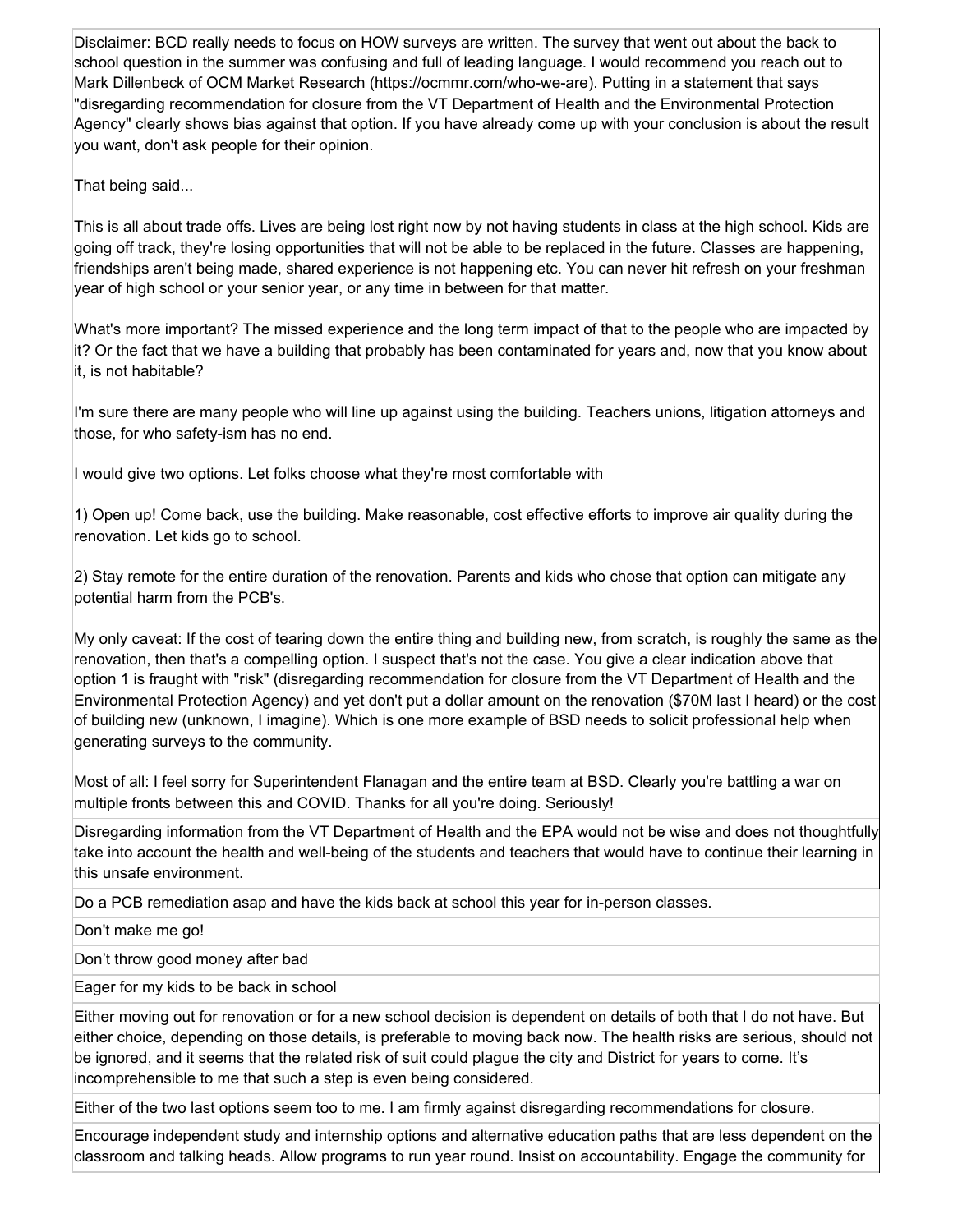Disclaimer: BCD really needs to focus on HOW surveys are written. The survey that went out about the back to school question in the summer was confusing and full of leading language. I would recommend you reach out to Mark Dillenbeck of OCM Market Research (https://ocmmr.com/who-we-are). Putting in a statement that says "disregarding recommendation for closure from the VT Department of Health and the Environmental Protection Agency" clearly shows bias against that option. If you have already come up with your conclusion is about the result you want, don't ask people for their opinion.

That being said...

This is all about trade offs. Lives are being lost right now by not having students in class at the high school. Kids are going off track, they're losing opportunities that will not be able to be replaced in the future. Classes are happening, friendships aren't being made, shared experience is not happening etc. You can never hit refresh on your freshman year of high school or your senior year, or any time in between for that matter.

What's more important? The missed experience and the long term impact of that to the people who are impacted by it? Or the fact that we have a building that probably has been contaminated for years and, now that you know about it, is not habitable?

I'm sure there are many people who will line up against using the building. Teachers unions, litigation attorneys and those, for who safety-ism has no end.

I would give two options. Let folks choose what they're most comfortable with

1) Open up! Come back, use the building. Make reasonable, cost effective efforts to improve air quality during the renovation. Let kids go to school.

2) Stay remote for the entire duration of the renovation. Parents and kids who chose that option can mitigate any potential harm from the PCB's.

My only caveat: If the cost of tearing down the entire thing and building new, from scratch, is roughly the same as the renovation, then that's a compelling option. I suspect that's not the case. You give a clear indication above that option 1 is fraught with "risk" (disregarding recommendation for closure from the VT Department of Health and the Environmental Protection Agency) and yet don't put a dollar amount on the renovation (\$70M last I heard) or the cost of building new (unknown, I imagine). Which is one more example of BSD needs to solicit professional help when generating surveys to the community.

Most of all: I feel sorry for Superintendent Flanagan and the entire team at BSD. Clearly you're battling a war on multiple fronts between this and COVID. Thanks for all you're doing. Seriously!

Disregarding information from the VT Department of Health and the EPA would not be wise and does not thoughtfully take into account the health and well-being of the students and teachers that would have to continue their learning in this unsafe environment.

Do a PCB remediation asap and have the kids back at school this year for in-person classes.

Don't make me go!

Don't throw good money after bad

Eager for my kids to be back in school

Either moving out for renovation or for a new school decision is dependent on details of both that I do not have. But either choice, depending on those details, is preferable to moving back now. The health risks are serious, should not be ignored, and it seems that the related risk of suit could plague the city and District for years to come. It's incomprehensible to me that such a step is even being considered.

Either of the two last options seem too to me. I am firmly against disregarding recommendations for closure.

Encourage independent study and internship options and alternative education paths that are less dependent on the classroom and talking heads. Allow programs to run year round. Insist on accountability. Engage the community for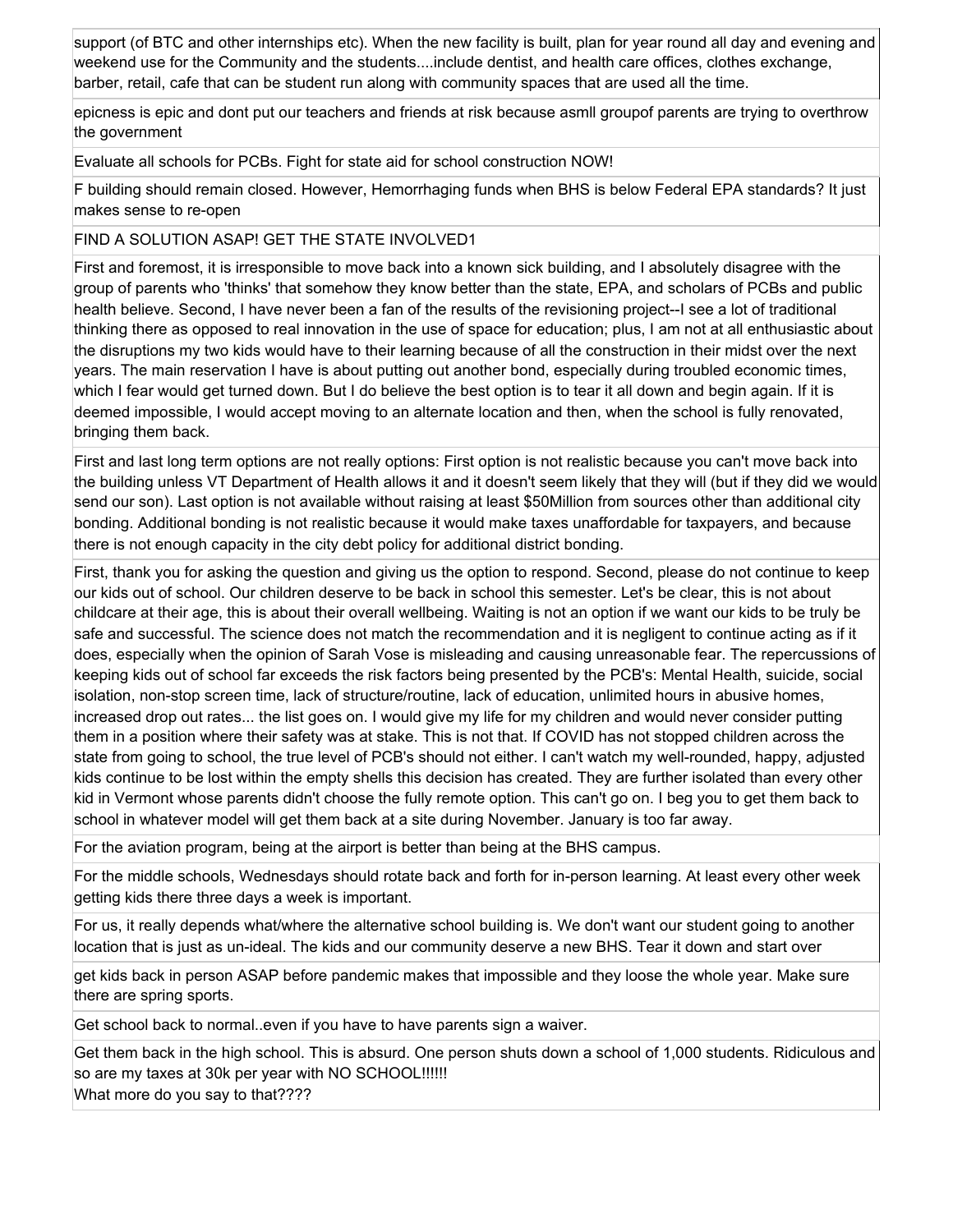support (of BTC and other internships etc). When the new facility is built, plan for year round all day and evening and weekend use for the Community and the students....include dentist, and health care offices, clothes exchange, barber, retail, cafe that can be student run along with community spaces that are used all the time.

epicness is epic and dont put our teachers and friends at risk because asmll groupof parents are trying to overthrow the government

Evaluate all schools for PCBs. Fight for state aid for school construction NOW!

F building should remain closed. However, Hemorrhaging funds when BHS is below Federal EPA standards? It just makes sense to re-open

### FIND A SOLUTION ASAP! GET THE STATE INVOLVED1

First and foremost, it is irresponsible to move back into a known sick building, and I absolutely disagree with the group of parents who 'thinks' that somehow they know better than the state, EPA, and scholars of PCBs and public health believe. Second, I have never been a fan of the results of the revisioning project--I see a lot of traditional thinking there as opposed to real innovation in the use of space for education; plus, I am not at all enthusiastic about the disruptions my two kids would have to their learning because of all the construction in their midst over the next years. The main reservation I have is about putting out another bond, especially during troubled economic times, which I fear would get turned down. But I do believe the best option is to tear it all down and begin again. If it is deemed impossible, I would accept moving to an alternate location and then, when the school is fully renovated, bringing them back.

First and last long term options are not really options: First option is not realistic because you can't move back into the building unless VT Department of Health allows it and it doesn't seem likely that they will (but if they did we would send our son). Last option is not available without raising at least \$50Million from sources other than additional city bonding. Additional bonding is not realistic because it would make taxes unaffordable for taxpayers, and because there is not enough capacity in the city debt policy for additional district bonding.

First, thank you for asking the question and giving us the option to respond. Second, please do not continue to keep our kids out of school. Our children deserve to be back in school this semester. Let's be clear, this is not about childcare at their age, this is about their overall wellbeing. Waiting is not an option if we want our kids to be truly be safe and successful. The science does not match the recommendation and it is negligent to continue acting as if it does, especially when the opinion of Sarah Vose is misleading and causing unreasonable fear. The repercussions of keeping kids out of school far exceeds the risk factors being presented by the PCB's: Mental Health, suicide, social isolation, non-stop screen time, lack of structure/routine, lack of education, unlimited hours in abusive homes, increased drop out rates... the list goes on. I would give my life for my children and would never consider putting them in a position where their safety was at stake. This is not that. If COVID has not stopped children across the state from going to school, the true level of PCB's should not either. I can't watch my well-rounded, happy, adjusted kids continue to be lost within the empty shells this decision has created. They are further isolated than every other kid in Vermont whose parents didn't choose the fully remote option. This can't go on. I beg you to get them back to school in whatever model will get them back at a site during November. January is too far away.

For the aviation program, being at the airport is better than being at the BHS campus.

For the middle schools, Wednesdays should rotate back and forth for in-person learning. At least every other week getting kids there three days a week is important.

For us, it really depends what/where the alternative school building is. We don't want our student going to another location that is just as un-ideal. The kids and our community deserve a new BHS. Tear it down and start over

get kids back in person ASAP before pandemic makes that impossible and they loose the whole year. Make sure there are spring sports.

Get school back to normal..even if you have to have parents sign a waiver.

Get them back in the high school. This is absurd. One person shuts down a school of 1,000 students. Ridiculous and so are my taxes at 30k per year with NO SCHOOL!!!!!! What more do you say to that????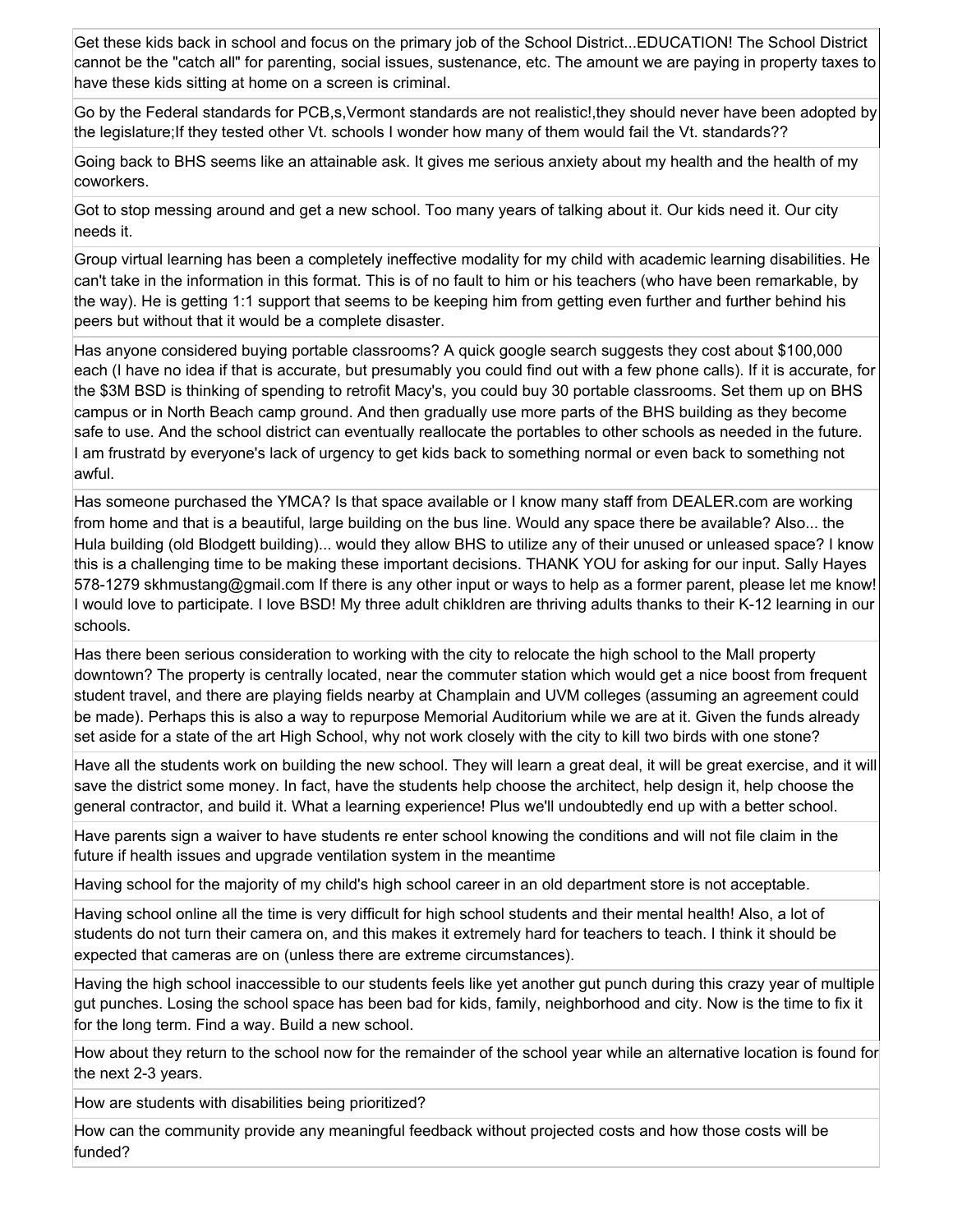Get these kids back in school and focus on the primary job of the School District...EDUCATION! The School District cannot be the "catch all" for parenting, social issues, sustenance, etc. The amount we are paying in property taxes to have these kids sitting at home on a screen is criminal.

Go by the Federal standards for PCB,s,Vermont standards are not realistic!,they should never have been adopted by the legislature;If they tested other Vt. schools I wonder how many of them would fail the Vt. standards??

Going back to BHS seems like an attainable ask. It gives me serious anxiety about my health and the health of my coworkers.

Got to stop messing around and get a new school. Too many years of talking about it. Our kids need it. Our city needs it.

Group virtual learning has been a completely ineffective modality for my child with academic learning disabilities. He can't take in the information in this format. This is of no fault to him or his teachers (who have been remarkable, by the way). He is getting 1:1 support that seems to be keeping him from getting even further and further behind his peers but without that it would be a complete disaster.

Has anyone considered buying portable classrooms? A quick google search suggests they cost about \$100,000 each (I have no idea if that is accurate, but presumably you could find out with a few phone calls). If it is accurate, for the \$3M BSD is thinking of spending to retrofit Macy's, you could buy 30 portable classrooms. Set them up on BHS campus or in North Beach camp ground. And then gradually use more parts of the BHS building as they become safe to use. And the school district can eventually reallocate the portables to other schools as needed in the future. I am frustratd by everyone's lack of urgency to get kids back to something normal or even back to something not awful.

Has someone purchased the YMCA? Is that space available or I know many staff from DEALER.com are working from home and that is a beautiful, large building on the bus line. Would any space there be available? Also... the Hula building (old Blodgett building)... would they allow BHS to utilize any of their unused or unleased space? I know this is a challenging time to be making these important decisions. THANK YOU for asking for our input. Sally Hayes 578-1279 skhmustang@gmail.com If there is any other input or ways to help as a former parent, please let me know! I would love to participate. I love BSD! My three adult chikldren are thriving adults thanks to their K-12 learning in our schools.

Has there been serious consideration to working with the city to relocate the high school to the Mall property downtown? The property is centrally located, near the commuter station which would get a nice boost from frequent student travel, and there are playing fields nearby at Champlain and UVM colleges (assuming an agreement could be made). Perhaps this is also a way to repurpose Memorial Auditorium while we are at it. Given the funds already set aside for a state of the art High School, why not work closely with the city to kill two birds with one stone?

Have all the students work on building the new school. They will learn a great deal, it will be great exercise, and it will save the district some money. In fact, have the students help choose the architect, help design it, help choose the general contractor, and build it. What a learning experience! Plus we'll undoubtedly end up with a better school.

Have parents sign a waiver to have students re enter school knowing the conditions and will not file claim in the future if health issues and upgrade ventilation system in the meantime

Having school for the majority of my child's high school career in an old department store is not acceptable.

Having school online all the time is very difficult for high school students and their mental health! Also, a lot of students do not turn their camera on, and this makes it extremely hard for teachers to teach. I think it should be expected that cameras are on (unless there are extreme circumstances).

Having the high school inaccessible to our students feels like yet another gut punch during this crazy year of multiple gut punches. Losing the school space has been bad for kids, family, neighborhood and city. Now is the time to fix it for the long term. Find a way. Build a new school.

How about they return to the school now for the remainder of the school year while an alternative location is found for the next 2-3 years.

How are students with disabilities being prioritized?

How can the community provide any meaningful feedback without projected costs and how those costs will be funded?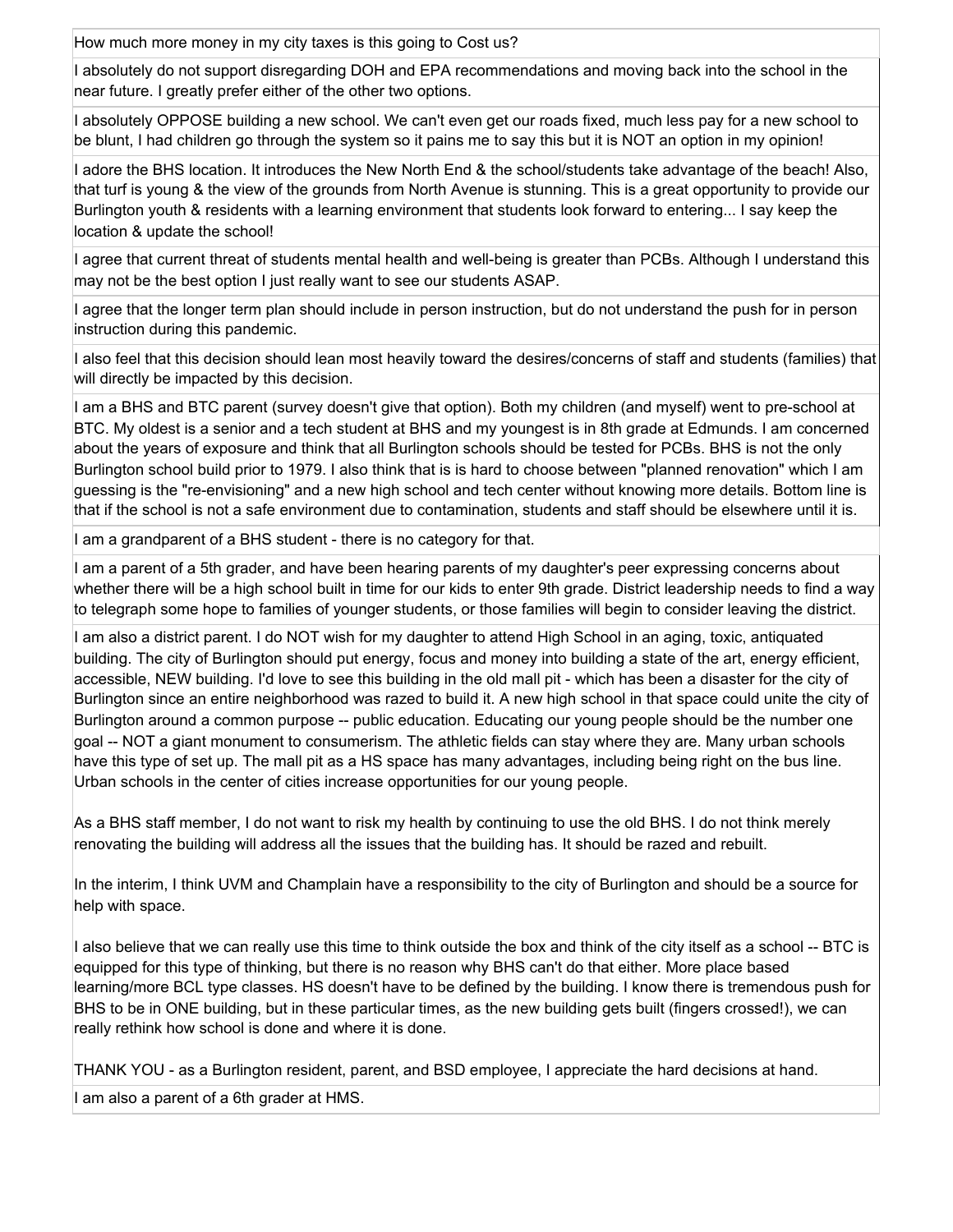How much more money in my city taxes is this going to Cost us?

I absolutely do not support disregarding DOH and EPA recommendations and moving back into the school in the near future. I greatly prefer either of the other two options.

I absolutely OPPOSE building a new school. We can't even get our roads fixed, much less pay for a new school to be blunt, I had children go through the system so it pains me to say this but it is NOT an option in my opinion!

I adore the BHS location. It introduces the New North End & the school/students take advantage of the beach! Also, that turf is young & the view of the grounds from North Avenue is stunning. This is a great opportunity to provide our Burlington youth & residents with a learning environment that students look forward to entering... I say keep the location & update the school!

I agree that current threat of students mental health and well-being is greater than PCBs. Although I understand this may not be the best option I just really want to see our students ASAP.

I agree that the longer term plan should include in person instruction, but do not understand the push for in person instruction during this pandemic.

I also feel that this decision should lean most heavily toward the desires/concerns of staff and students (families) that will directly be impacted by this decision.

I am a BHS and BTC parent (survey doesn't give that option). Both my children (and myself) went to pre-school at BTC. My oldest is a senior and a tech student at BHS and my youngest is in 8th grade at Edmunds. I am concerned about the years of exposure and think that all Burlington schools should be tested for PCBs. BHS is not the only Burlington school build prior to 1979. I also think that is is hard to choose between "planned renovation" which I am guessing is the "re-envisioning" and a new high school and tech center without knowing more details. Bottom line is that if the school is not a safe environment due to contamination, students and staff should be elsewhere until it is.

I am a grandparent of a BHS student - there is no category for that.

I am a parent of a 5th grader, and have been hearing parents of my daughter's peer expressing concerns about whether there will be a high school built in time for our kids to enter 9th grade. District leadership needs to find a way to telegraph some hope to families of younger students, or those families will begin to consider leaving the district.

I am also a district parent. I do NOT wish for my daughter to attend High School in an aging, toxic, antiquated building. The city of Burlington should put energy, focus and money into building a state of the art, energy efficient, accessible, NEW building. I'd love to see this building in the old mall pit - which has been a disaster for the city of Burlington since an entire neighborhood was razed to build it. A new high school in that space could unite the city of Burlington around a common purpose -- public education. Educating our young people should be the number one goal -- NOT a giant monument to consumerism. The athletic fields can stay where they are. Many urban schools have this type of set up. The mall pit as a HS space has many advantages, including being right on the bus line. Urban schools in the center of cities increase opportunities for our young people.

As a BHS staff member, I do not want to risk my health by continuing to use the old BHS. I do not think merely renovating the building will address all the issues that the building has. It should be razed and rebuilt.

In the interim, I think UVM and Champlain have a responsibility to the city of Burlington and should be a source for help with space.

I also believe that we can really use this time to think outside the box and think of the city itself as a school -- BTC is equipped for this type of thinking, but there is no reason why BHS can't do that either. More place based learning/more BCL type classes. HS doesn't have to be defined by the building. I know there is tremendous push for BHS to be in ONE building, but in these particular times, as the new building gets built (fingers crossed!), we can really rethink how school is done and where it is done.

THANK YOU - as a Burlington resident, parent, and BSD employee, I appreciate the hard decisions at hand.

I am also a parent of a 6th grader at HMS.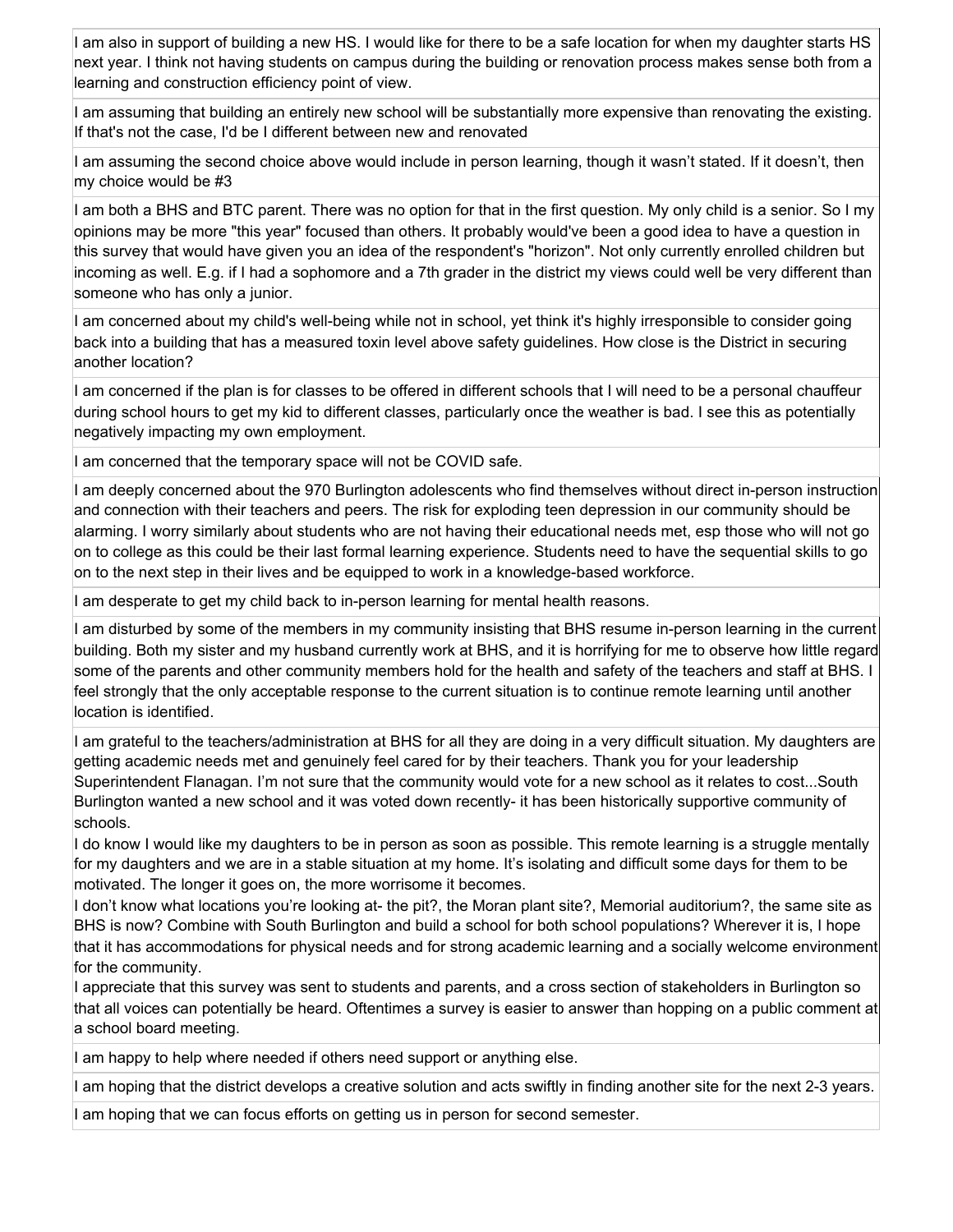I am also in support of building a new HS. I would like for there to be a safe location for when my daughter starts HS next year. I think not having students on campus during the building or renovation process makes sense both from a learning and construction efficiency point of view.

I am assuming that building an entirely new school will be substantially more expensive than renovating the existing. If that's not the case, I'd be I different between new and renovated

I am assuming the second choice above would include in person learning, though it wasn't stated. If it doesn't, then my choice would be #3

I am both a BHS and BTC parent. There was no option for that in the first question. My only child is a senior. So I my opinions may be more "this year" focused than others. It probably would've been a good idea to have a question in this survey that would have given you an idea of the respondent's "horizon". Not only currently enrolled children but incoming as well. E.g. if I had a sophomore and a 7th grader in the district my views could well be very different than someone who has only a junior.

I am concerned about my child's well-being while not in school, yet think it's highly irresponsible to consider going back into a building that has a measured toxin level above safety guidelines. How close is the District in securing another location?

I am concerned if the plan is for classes to be offered in different schools that I will need to be a personal chauffeur during school hours to get my kid to different classes, particularly once the weather is bad. I see this as potentially negatively impacting my own employment.

I am concerned that the temporary space will not be COVID safe.

I am deeply concerned about the 970 Burlington adolescents who find themselves without direct in-person instruction and connection with their teachers and peers. The risk for exploding teen depression in our community should be alarming. I worry similarly about students who are not having their educational needs met, esp those who will not go on to college as this could be their last formal learning experience. Students need to have the sequential skills to go on to the next step in their lives and be equipped to work in a knowledge-based workforce.

I am desperate to get my child back to in-person learning for mental health reasons.

I am disturbed by some of the members in my community insisting that BHS resume in-person learning in the current building. Both my sister and my husband currently work at BHS, and it is horrifying for me to observe how little regard some of the parents and other community members hold for the health and safety of the teachers and staff at BHS. I feel strongly that the only acceptable response to the current situation is to continue remote learning until another location is identified.

I am grateful to the teachers/administration at BHS for all they are doing in a very difficult situation. My daughters are getting academic needs met and genuinely feel cared for by their teachers. Thank you for your leadership Superintendent Flanagan. I'm not sure that the community would vote for a new school as it relates to cost...South Burlington wanted a new school and it was voted down recently- it has been historically supportive community of schools.

I do know I would like my daughters to be in person as soon as possible. This remote learning is a struggle mentally for my daughters and we are in a stable situation at my home. It's isolating and difficult some days for them to be motivated. The longer it goes on, the more worrisome it becomes.

I don't know what locations you're looking at- the pit?, the Moran plant site?, Memorial auditorium?, the same site as BHS is now? Combine with South Burlington and build a school for both school populations? Wherever it is, I hope that it has accommodations for physical needs and for strong academic learning and a socially welcome environment for the community.

I appreciate that this survey was sent to students and parents, and a cross section of stakeholders in Burlington so that all voices can potentially be heard. Oftentimes a survey is easier to answer than hopping on a public comment at a school board meeting.

I am happy to help where needed if others need support or anything else.

I am hoping that the district develops a creative solution and acts swiftly in finding another site for the next 2-3 years.

I am hoping that we can focus efforts on getting us in person for second semester.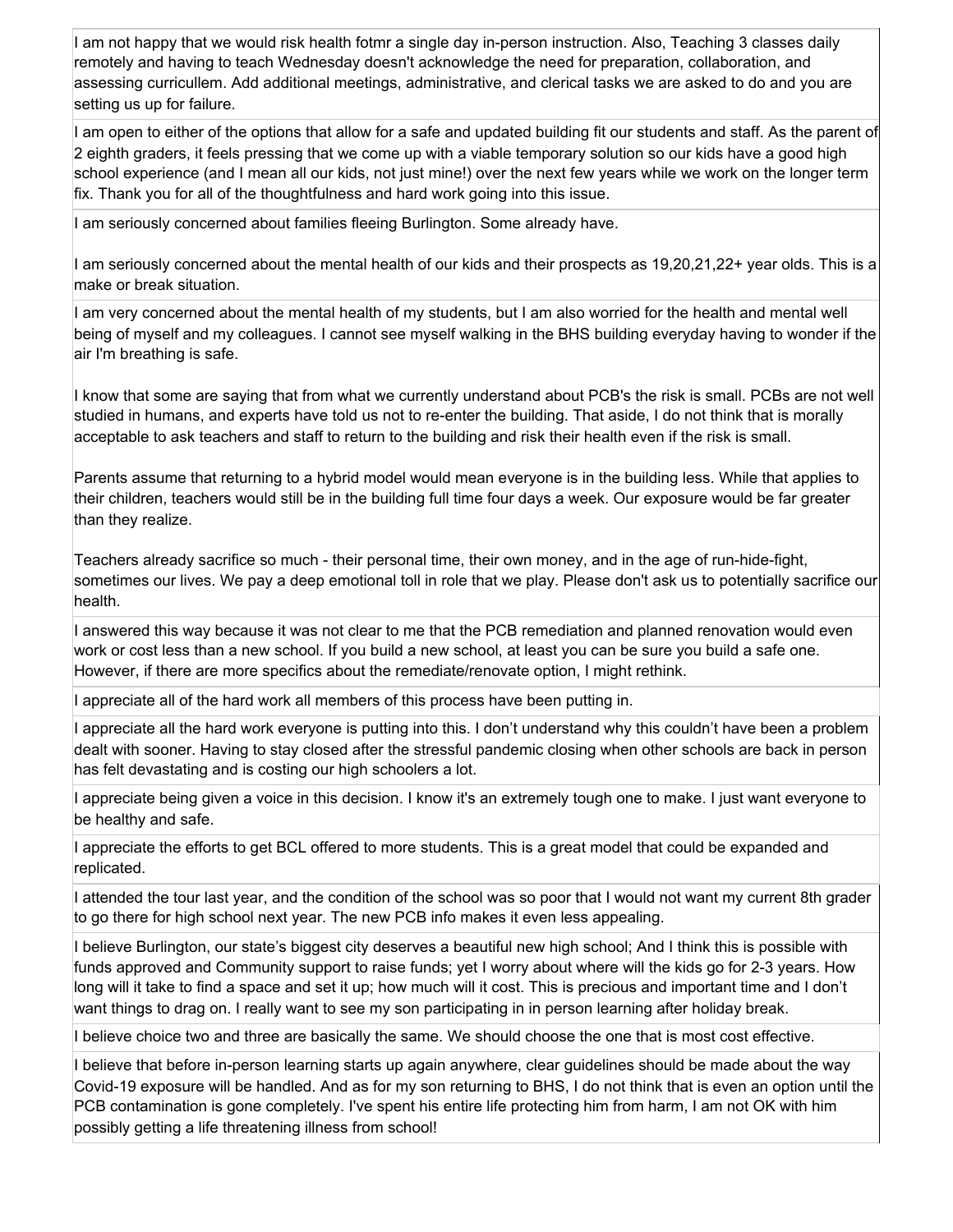I am not happy that we would risk health fotmr a single day in-person instruction. Also, Teaching 3 classes daily remotely and having to teach Wednesday doesn't acknowledge the need for preparation, collaboration, and assessing curricullem. Add additional meetings, administrative, and clerical tasks we are asked to do and you are setting us up for failure.

I am open to either of the options that allow for a safe and updated building fit our students and staff. As the parent of 2 eighth graders, it feels pressing that we come up with a viable temporary solution so our kids have a good high school experience (and I mean all our kids, not just mine!) over the next few years while we work on the longer term fix. Thank you for all of the thoughtfulness and hard work going into this issue.

I am seriously concerned about families fleeing Burlington. Some already have.

I am seriously concerned about the mental health of our kids and their prospects as 19,20,21,22+ year olds. This is a make or break situation.

I am very concerned about the mental health of my students, but I am also worried for the health and mental well being of myself and my colleagues. I cannot see myself walking in the BHS building everyday having to wonder if the air I'm breathing is safe.

I know that some are saying that from what we currently understand about PCB's the risk is small. PCBs are not well studied in humans, and experts have told us not to re-enter the building. That aside, I do not think that is morally acceptable to ask teachers and staff to return to the building and risk their health even if the risk is small.

Parents assume that returning to a hybrid model would mean everyone is in the building less. While that applies to their children, teachers would still be in the building full time four days a week. Our exposure would be far greater than they realize.

Teachers already sacrifice so much - their personal time, their own money, and in the age of run-hide-fight, sometimes our lives. We pay a deep emotional toll in role that we play. Please don't ask us to potentially sacrifice our health.

I answered this way because it was not clear to me that the PCB remediation and planned renovation would even work or cost less than a new school. If you build a new school, at least you can be sure you build a safe one. However, if there are more specifics about the remediate/renovate option, I might rethink.

I appreciate all of the hard work all members of this process have been putting in.

I appreciate all the hard work everyone is putting into this. I don't understand why this couldn't have been a problem dealt with sooner. Having to stay closed after the stressful pandemic closing when other schools are back in person has felt devastating and is costing our high schoolers a lot.

I appreciate being given a voice in this decision. I know it's an extremely tough one to make. I just want everyone to be healthy and safe.

I appreciate the efforts to get BCL offered to more students. This is a great model that could be expanded and replicated.

I attended the tour last year, and the condition of the school was so poor that I would not want my current 8th grader to go there for high school next year. The new PCB info makes it even less appealing.

I believe Burlington, our state's biggest city deserves a beautiful new high school; And I think this is possible with funds approved and Community support to raise funds; yet I worry about where will the kids go for 2-3 years. How long will it take to find a space and set it up; how much will it cost. This is precious and important time and I don't want things to drag on. I really want to see my son participating in in person learning after holiday break.

I believe choice two and three are basically the same. We should choose the one that is most cost effective.

I believe that before in-person learning starts up again anywhere, clear guidelines should be made about the way Covid-19 exposure will be handled. And as for my son returning to BHS, I do not think that is even an option until the PCB contamination is gone completely. I've spent his entire life protecting him from harm, I am not OK with him possibly getting a life threatening illness from school!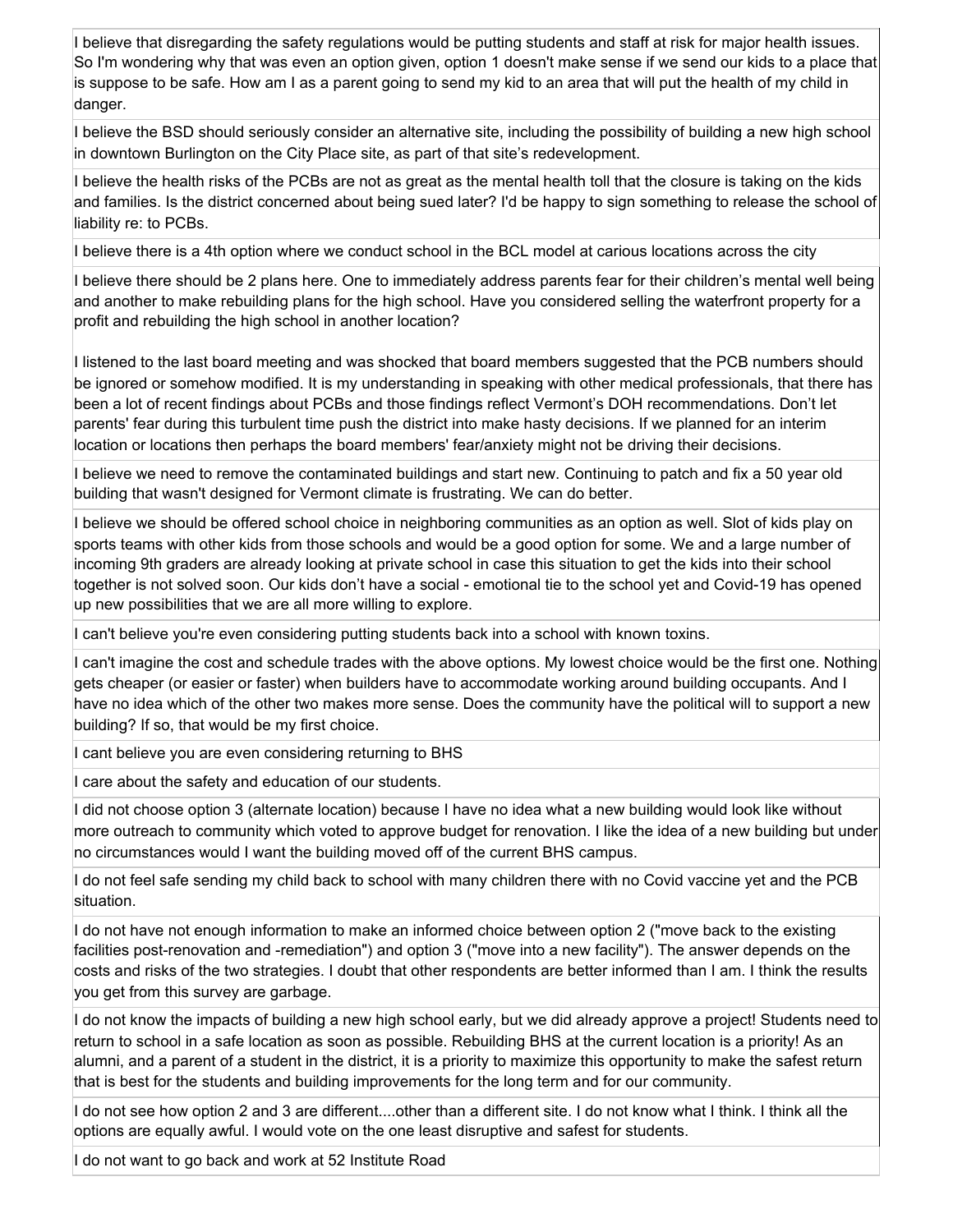I believe that disregarding the safety regulations would be putting students and staff at risk for major health issues. So I'm wondering why that was even an option given, option 1 doesn't make sense if we send our kids to a place that is suppose to be safe. How am I as a parent going to send my kid to an area that will put the health of my child in danger.

I believe the BSD should seriously consider an alternative site, including the possibility of building a new high school in downtown Burlington on the City Place site, as part of that site's redevelopment.

I believe the health risks of the PCBs are not as great as the mental health toll that the closure is taking on the kids and families. Is the district concerned about being sued later? I'd be happy to sign something to release the school of liability re: to PCBs.

I believe there is a 4th option where we conduct school in the BCL model at carious locations across the city

I believe there should be 2 plans here. One to immediately address parents fear for their children's mental well being and another to make rebuilding plans for the high school. Have you considered selling the waterfront property for a profit and rebuilding the high school in another location?

I listened to the last board meeting and was shocked that board members suggested that the PCB numbers should be ignored or somehow modified. It is my understanding in speaking with other medical professionals, that there has been a lot of recent findings about PCBs and those findings reflect Vermont's DOH recommendations. Don't let parents' fear during this turbulent time push the district into make hasty decisions. If we planned for an interim location or locations then perhaps the board members' fear/anxiety might not be driving their decisions.

I believe we need to remove the contaminated buildings and start new. Continuing to patch and fix a 50 year old building that wasn't designed for Vermont climate is frustrating. We can do better.

I believe we should be offered school choice in neighboring communities as an option as well. Slot of kids play on sports teams with other kids from those schools and would be a good option for some. We and a large number of incoming 9th graders are already looking at private school in case this situation to get the kids into their school together is not solved soon. Our kids don't have a social - emotional tie to the school yet and Covid-19 has opened up new possibilities that we are all more willing to explore.

I can't believe you're even considering putting students back into a school with known toxins.

I can't imagine the cost and schedule trades with the above options. My lowest choice would be the first one. Nothing gets cheaper (or easier or faster) when builders have to accommodate working around building occupants. And I have no idea which of the other two makes more sense. Does the community have the political will to support a new building? If so, that would be my first choice.

I cant believe you are even considering returning to BHS

I care about the safety and education of our students.

I did not choose option 3 (alternate location) because I have no idea what a new building would look like without more outreach to community which voted to approve budget for renovation. I like the idea of a new building but under no circumstances would I want the building moved off of the current BHS campus.

I do not feel safe sending my child back to school with many children there with no Covid vaccine yet and the PCB situation.

I do not have not enough information to make an informed choice between option 2 ("move back to the existing facilities post-renovation and -remediation") and option 3 ("move into a new facility"). The answer depends on the costs and risks of the two strategies. I doubt that other respondents are better informed than I am. I think the results you get from this survey are garbage.

I do not know the impacts of building a new high school early, but we did already approve a project! Students need to return to school in a safe location as soon as possible. Rebuilding BHS at the current location is a priority! As an alumni, and a parent of a student in the district, it is a priority to maximize this opportunity to make the safest return that is best for the students and building improvements for the long term and for our community.

I do not see how option 2 and 3 are different....other than a different site. I do not know what I think. I think all the options are equally awful. I would vote on the one least disruptive and safest for students.

I do not want to go back and work at 52 Institute Road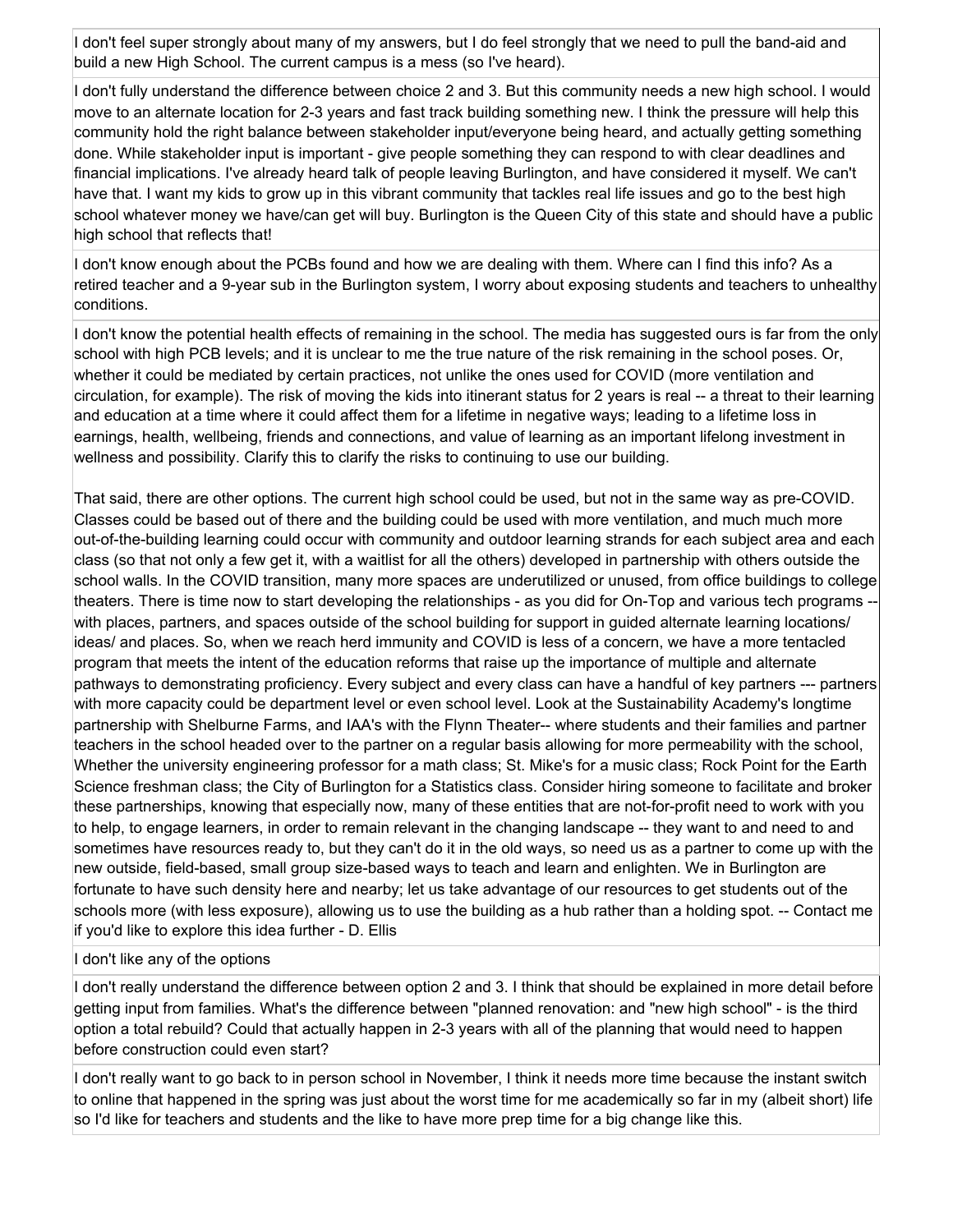I don't feel super strongly about many of my answers, but I do feel strongly that we need to pull the band-aid and build a new High School. The current campus is a mess (so I've heard).

I don't fully understand the difference between choice 2 and 3. But this community needs a new high school. I would move to an alternate location for 2-3 years and fast track building something new. I think the pressure will help this community hold the right balance between stakeholder input/everyone being heard, and actually getting something done. While stakeholder input is important - give people something they can respond to with clear deadlines and financial implications. I've already heard talk of people leaving Burlington, and have considered it myself. We can't have that. I want my kids to grow up in this vibrant community that tackles real life issues and go to the best high school whatever money we have/can get will buy. Burlington is the Queen City of this state and should have a public high school that reflects that!

I don't know enough about the PCBs found and how we are dealing with them. Where can I find this info? As a retired teacher and a 9-year sub in the Burlington system, I worry about exposing students and teachers to unhealthy conditions.

I don't know the potential health effects of remaining in the school. The media has suggested ours is far from the only school with high PCB levels; and it is unclear to me the true nature of the risk remaining in the school poses. Or, whether it could be mediated by certain practices, not unlike the ones used for COVID (more ventilation and circulation, for example). The risk of moving the kids into itinerant status for 2 years is real -- a threat to their learning and education at a time where it could affect them for a lifetime in negative ways; leading to a lifetime loss in earnings, health, wellbeing, friends and connections, and value of learning as an important lifelong investment in wellness and possibility. Clarify this to clarify the risks to continuing to use our building.

That said, there are other options. The current high school could be used, but not in the same way as pre-COVID. Classes could be based out of there and the building could be used with more ventilation, and much much more out-of-the-building learning could occur with community and outdoor learning strands for each subject area and each class (so that not only a few get it, with a waitlist for all the others) developed in partnership with others outside the school walls. In the COVID transition, many more spaces are underutilized or unused, from office buildings to college theaters. There is time now to start developing the relationships - as you did for On-Top and various tech programs - with places, partners, and spaces outside of the school building for support in guided alternate learning locations/ ideas/ and places. So, when we reach herd immunity and COVID is less of a concern, we have a more tentacled program that meets the intent of the education reforms that raise up the importance of multiple and alternate pathways to demonstrating proficiency. Every subject and every class can have a handful of key partners --- partners with more capacity could be department level or even school level. Look at the Sustainability Academy's longtime partnership with Shelburne Farms, and IAA's with the Flynn Theater-- where students and their families and partner teachers in the school headed over to the partner on a regular basis allowing for more permeability with the school, Whether the university engineering professor for a math class; St. Mike's for a music class; Rock Point for the Earth Science freshman class; the City of Burlington for a Statistics class. Consider hiring someone to facilitate and broker these partnerships, knowing that especially now, many of these entities that are not-for-profit need to work with you to help, to engage learners, in order to remain relevant in the changing landscape -- they want to and need to and sometimes have resources ready to, but they can't do it in the old ways, so need us as a partner to come up with the new outside, field-based, small group size-based ways to teach and learn and enlighten. We in Burlington are fortunate to have such density here and nearby; let us take advantage of our resources to get students out of the schools more (with less exposure), allowing us to use the building as a hub rather than a holding spot. -- Contact me if you'd like to explore this idea further - D. Ellis

#### I don't like any of the options

I don't really understand the difference between option 2 and 3. I think that should be explained in more detail before getting input from families. What's the difference between "planned renovation: and "new high school" - is the third option a total rebuild? Could that actually happen in 2-3 years with all of the planning that would need to happen before construction could even start?

I don't really want to go back to in person school in November, I think it needs more time because the instant switch to online that happened in the spring was just about the worst time for me academically so far in my (albeit short) life so I'd like for teachers and students and the like to have more prep time for a big change like this.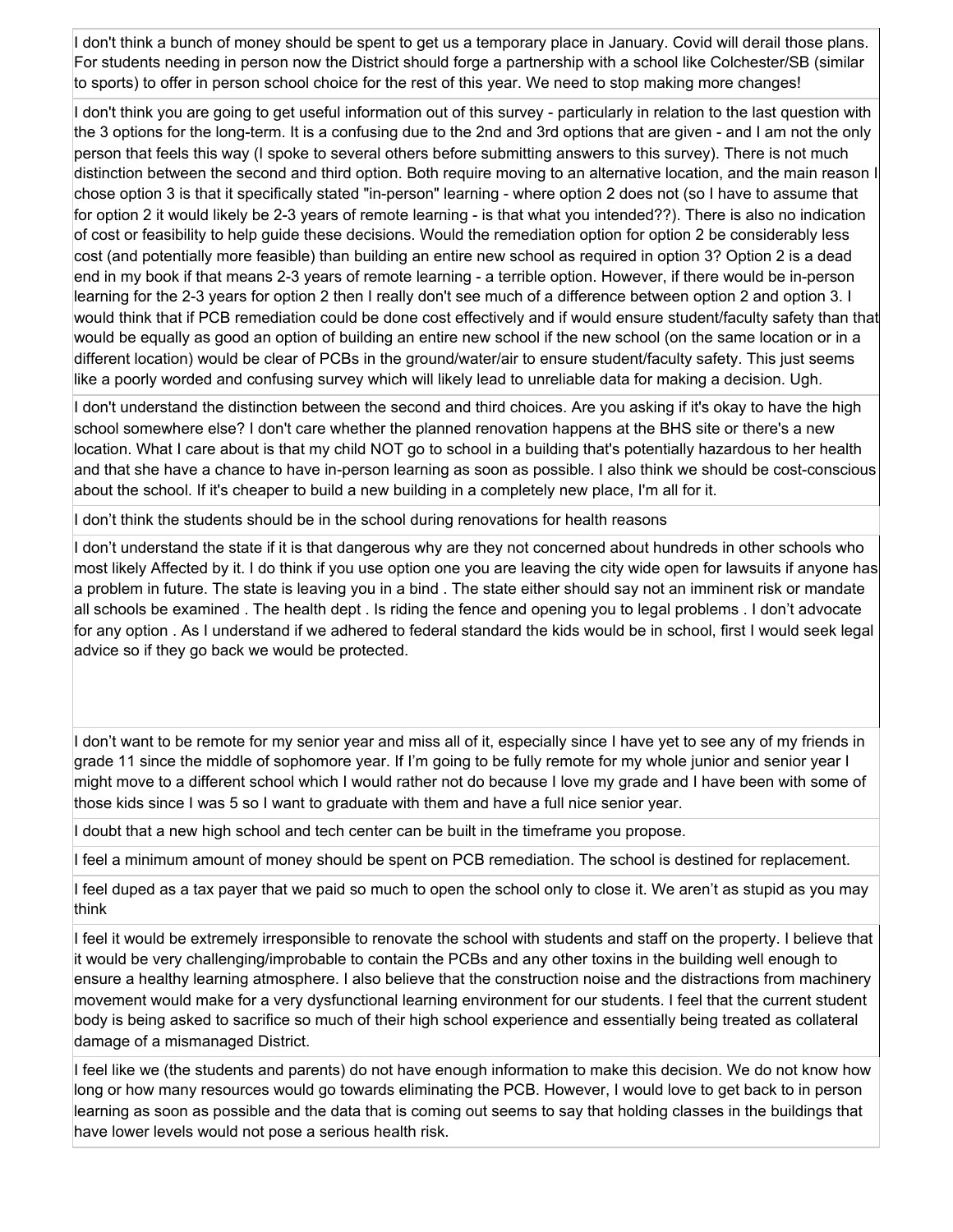I don't think a bunch of money should be spent to get us a temporary place in January. Covid will derail those plans. For students needing in person now the District should forge a partnership with a school like Colchester/SB (similar to sports) to offer in person school choice for the rest of this year. We need to stop making more changes!

I don't think you are going to get useful information out of this survey - particularly in relation to the last question with the 3 options for the long-term. It is a confusing due to the 2nd and 3rd options that are given - and I am not the only person that feels this way (I spoke to several others before submitting answers to this survey). There is not much distinction between the second and third option. Both require moving to an alternative location, and the main reason I chose option 3 is that it specifically stated "in-person" learning - where option 2 does not (so I have to assume that for option 2 it would likely be 2-3 years of remote learning - is that what you intended??). There is also no indication of cost or feasibility to help guide these decisions. Would the remediation option for option 2 be considerably less cost (and potentially more feasible) than building an entire new school as required in option 3? Option 2 is a dead end in my book if that means 2-3 years of remote learning - a terrible option. However, if there would be in-person learning for the 2-3 years for option 2 then I really don't see much of a difference between option 2 and option 3. I would think that if PCB remediation could be done cost effectively and if would ensure student/faculty safety than that would be equally as good an option of building an entire new school if the new school (on the same location or in a different location) would be clear of PCBs in the ground/water/air to ensure student/faculty safety. This just seems like a poorly worded and confusing survey which will likely lead to unreliable data for making a decision. Ugh.

I don't understand the distinction between the second and third choices. Are you asking if it's okay to have the high school somewhere else? I don't care whether the planned renovation happens at the BHS site or there's a new location. What I care about is that my child NOT go to school in a building that's potentially hazardous to her health and that she have a chance to have in-person learning as soon as possible. I also think we should be cost-conscious about the school. If it's cheaper to build a new building in a completely new place, I'm all for it.

I don't think the students should be in the school during renovations for health reasons

I don't understand the state if it is that dangerous why are they not concerned about hundreds in other schools who most likely Affected by it. I do think if you use option one you are leaving the city wide open for lawsuits if anyone has a problem in future. The state is leaving you in a bind . The state either should say not an imminent risk or mandate all schools be examined . The health dept . Is riding the fence and opening you to legal problems . I don't advocate for any option . As I understand if we adhered to federal standard the kids would be in school, first I would seek legal advice so if they go back we would be protected.

I don't want to be remote for my senior year and miss all of it, especially since I have yet to see any of my friends in grade 11 since the middle of sophomore year. If I'm going to be fully remote for my whole junior and senior year I might move to a different school which I would rather not do because I love my grade and I have been with some of those kids since I was 5 so I want to graduate with them and have a full nice senior year.

I doubt that a new high school and tech center can be built in the timeframe you propose.

I feel a minimum amount of money should be spent on PCB remediation. The school is destined for replacement.

I feel duped as a tax payer that we paid so much to open the school only to close it. We aren't as stupid as you may think

I feel it would be extremely irresponsible to renovate the school with students and staff on the property. I believe that it would be very challenging/improbable to contain the PCBs and any other toxins in the building well enough to ensure a healthy learning atmosphere. I also believe that the construction noise and the distractions from machinery movement would make for a very dysfunctional learning environment for our students. I feel that the current student body is being asked to sacrifice so much of their high school experience and essentially being treated as collateral damage of a mismanaged District.

I feel like we (the students and parents) do not have enough information to make this decision. We do not know how long or how many resources would go towards eliminating the PCB. However, I would love to get back to in person learning as soon as possible and the data that is coming out seems to say that holding classes in the buildings that have lower levels would not pose a serious health risk.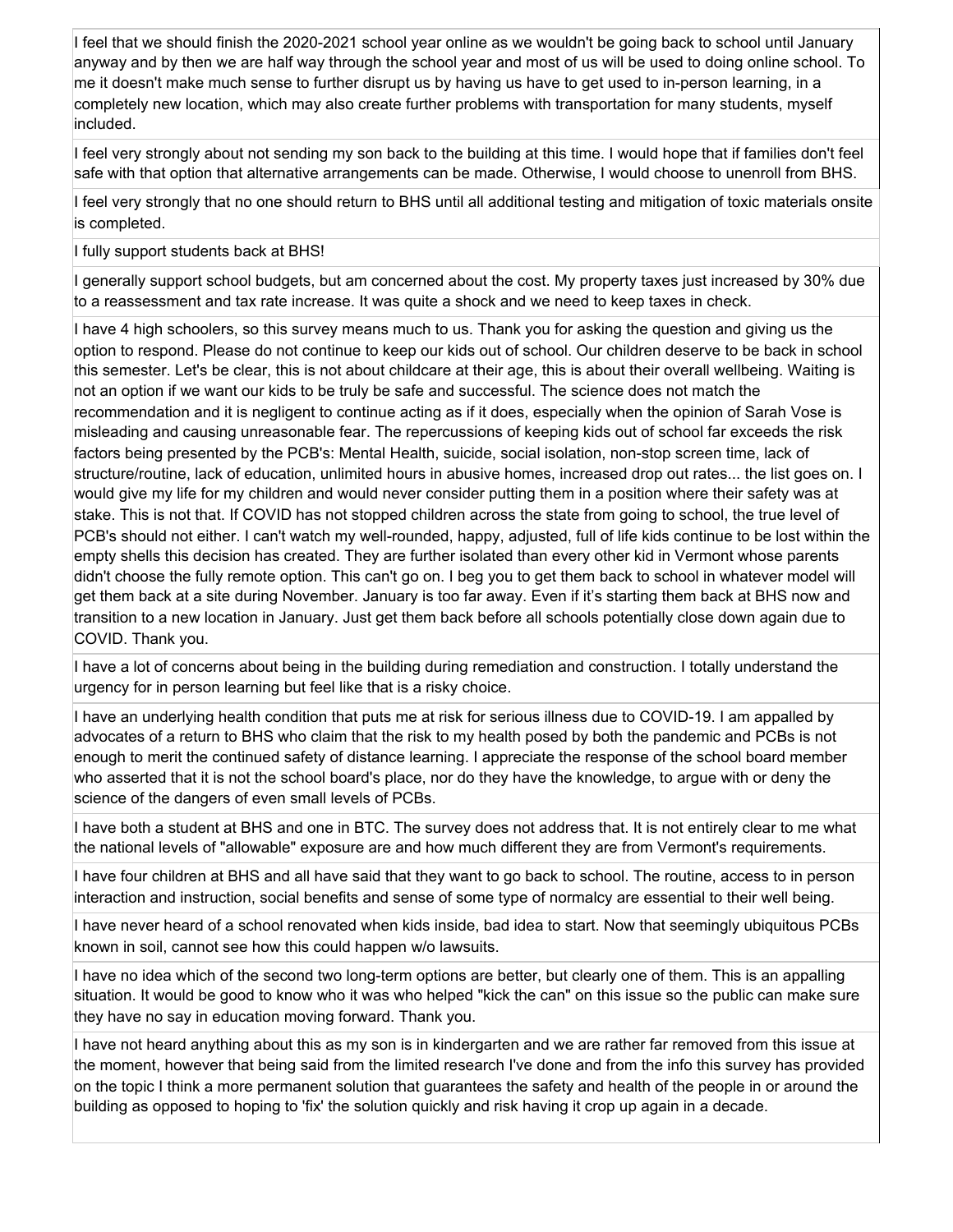I feel that we should finish the 2020-2021 school year online as we wouldn't be going back to school until January anyway and by then we are half way through the school year and most of us will be used to doing online school. To me it doesn't make much sense to further disrupt us by having us have to get used to in-person learning, in a completely new location, which may also create further problems with transportation for many students, myself included.

I feel very strongly about not sending my son back to the building at this time. I would hope that if families don't feel safe with that option that alternative arrangements can be made. Otherwise, I would choose to unenroll from BHS.

I feel very strongly that no one should return to BHS until all additional testing and mitigation of toxic materials onsite is completed.

I fully support students back at BHS!

I generally support school budgets, but am concerned about the cost. My property taxes just increased by 30% due to a reassessment and tax rate increase. It was quite a shock and we need to keep taxes in check.

I have 4 high schoolers, so this survey means much to us. Thank you for asking the question and giving us the option to respond. Please do not continue to keep our kids out of school. Our children deserve to be back in school this semester. Let's be clear, this is not about childcare at their age, this is about their overall wellbeing. Waiting is not an option if we want our kids to be truly be safe and successful. The science does not match the recommendation and it is negligent to continue acting as if it does, especially when the opinion of Sarah Vose is misleading and causing unreasonable fear. The repercussions of keeping kids out of school far exceeds the risk factors being presented by the PCB's: Mental Health, suicide, social isolation, non-stop screen time, lack of structure/routine, lack of education, unlimited hours in abusive homes, increased drop out rates... the list goes on. I would give my life for my children and would never consider putting them in a position where their safety was at stake. This is not that. If COVID has not stopped children across the state from going to school, the true level of PCB's should not either. I can't watch my well-rounded, happy, adjusted, full of life kids continue to be lost within the empty shells this decision has created. They are further isolated than every other kid in Vermont whose parents didn't choose the fully remote option. This can't go on. I beg you to get them back to school in whatever model will get them back at a site during November. January is too far away. Even if it's starting them back at BHS now and transition to a new location in January. Just get them back before all schools potentially close down again due to COVID. Thank you.

I have a lot of concerns about being in the building during remediation and construction. I totally understand the urgency for in person learning but feel like that is a risky choice.

I have an underlying health condition that puts me at risk for serious illness due to COVID-19. I am appalled by advocates of a return to BHS who claim that the risk to my health posed by both the pandemic and PCBs is not enough to merit the continued safety of distance learning. I appreciate the response of the school board member who asserted that it is not the school board's place, nor do they have the knowledge, to argue with or deny the science of the dangers of even small levels of PCBs.

I have both a student at BHS and one in BTC. The survey does not address that. It is not entirely clear to me what the national levels of "allowable" exposure are and how much different they are from Vermont's requirements.

I have four children at BHS and all have said that they want to go back to school. The routine, access to in person interaction and instruction, social benefits and sense of some type of normalcy are essential to their well being.

I have never heard of a school renovated when kids inside, bad idea to start. Now that seemingly ubiquitous PCBs known in soil, cannot see how this could happen w/o lawsuits.

I have no idea which of the second two long-term options are better, but clearly one of them. This is an appalling situation. It would be good to know who it was who helped "kick the can" on this issue so the public can make sure they have no say in education moving forward. Thank you.

I have not heard anything about this as my son is in kindergarten and we are rather far removed from this issue at the moment, however that being said from the limited research I've done and from the info this survey has provided on the topic I think a more permanent solution that guarantees the safety and health of the people in or around the building as opposed to hoping to 'fix' the solution quickly and risk having it crop up again in a decade.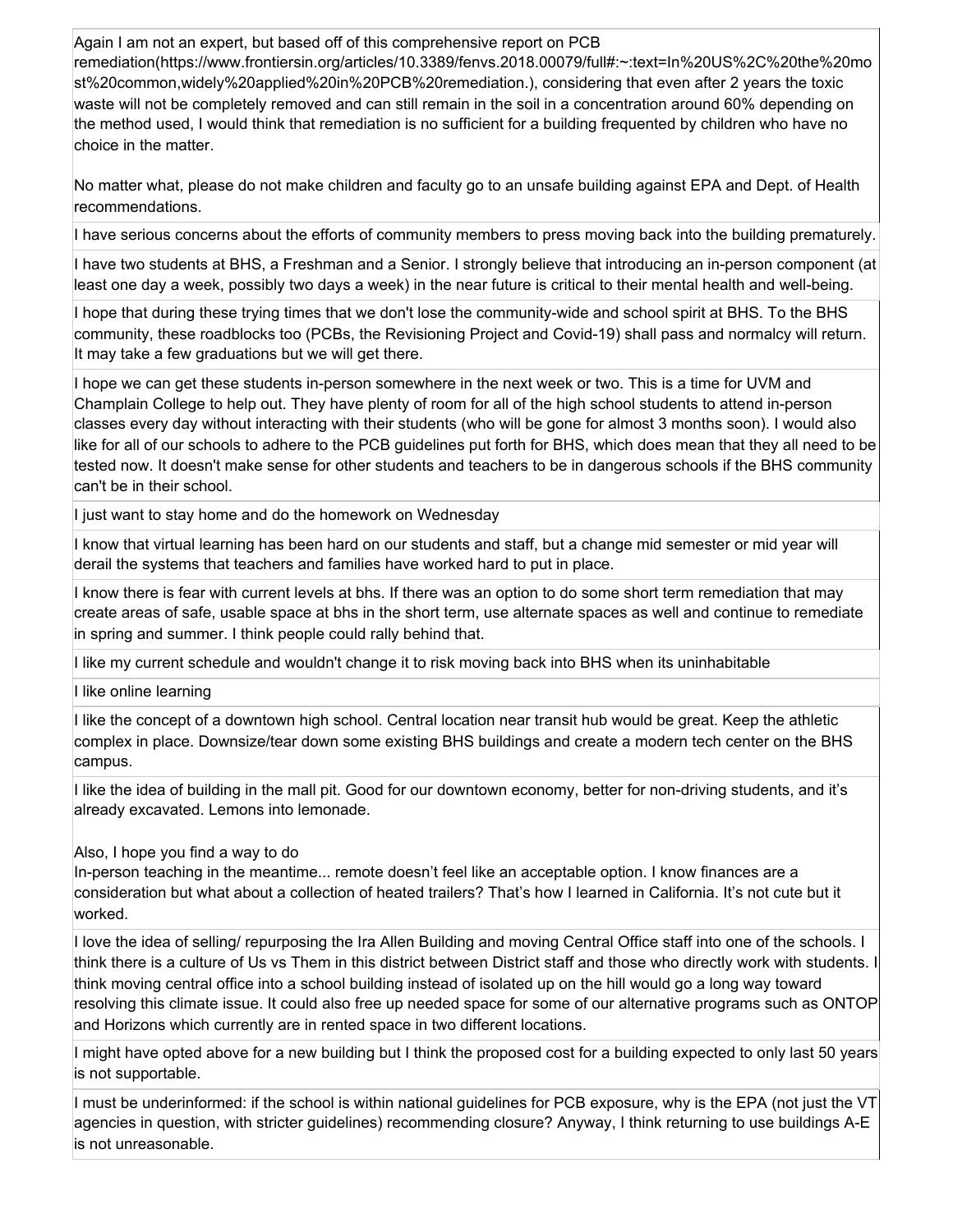Again I am not an expert, but based off of this comprehensive report on PCB remediation(https://www.frontiersin.org/articles/10.3389/fenvs.2018.00079/full#:~:text=In%20US%2C%20the%20mo st%20common,widely%20applied%20in%20PCB%20remediation.), considering that even after 2 years the toxic waste will not be completely removed and can still remain in the soil in a concentration around 60% depending on the method used, I would think that remediation is no sufficient for a building frequented by children who have no choice in the matter.

No matter what, please do not make children and faculty go to an unsafe building against EPA and Dept. of Health recommendations.

I have serious concerns about the efforts of community members to press moving back into the building prematurely.

I have two students at BHS, a Freshman and a Senior. I strongly believe that introducing an in-person component (at least one day a week, possibly two days a week) in the near future is critical to their mental health and well-being.

I hope that during these trying times that we don't lose the community-wide and school spirit at BHS. To the BHS community, these roadblocks too (PCBs, the Revisioning Project and Covid-19) shall pass and normalcy will return. It may take a few graduations but we will get there.

I hope we can get these students in-person somewhere in the next week or two. This is a time for UVM and Champlain College to help out. They have plenty of room for all of the high school students to attend in-person classes every day without interacting with their students (who will be gone for almost 3 months soon). I would also like for all of our schools to adhere to the PCB guidelines put forth for BHS, which does mean that they all need to be tested now. It doesn't make sense for other students and teachers to be in dangerous schools if the BHS community can't be in their school.

I just want to stay home and do the homework on Wednesday

I know that virtual learning has been hard on our students and staff, but a change mid semester or mid year will derail the systems that teachers and families have worked hard to put in place.

I know there is fear with current levels at bhs. If there was an option to do some short term remediation that may create areas of safe, usable space at bhs in the short term, use alternate spaces as well and continue to remediate in spring and summer. I think people could rally behind that.

I like my current schedule and wouldn't change it to risk moving back into BHS when its uninhabitable

I like online learning

I like the concept of a downtown high school. Central location near transit hub would be great. Keep the athletic complex in place. Downsize/tear down some existing BHS buildings and create a modern tech center on the BHS campus.

I like the idea of building in the mall pit. Good for our downtown economy, better for non-driving students, and it's already excavated. Lemons into lemonade.

Also, I hope you find a way to do

In-person teaching in the meantime... remote doesn't feel like an acceptable option. I know finances are a consideration but what about a collection of heated trailers? That's how I learned in California. It's not cute but it worked.

I love the idea of selling/ repurposing the Ira Allen Building and moving Central Office staff into one of the schools. I think there is a culture of Us vs Them in this district between District staff and those who directly work with students. I think moving central office into a school building instead of isolated up on the hill would go a long way toward resolving this climate issue. It could also free up needed space for some of our alternative programs such as ONTOP and Horizons which currently are in rented space in two different locations.

I might have opted above for a new building but I think the proposed cost for a building expected to only last 50 years is not supportable.

I must be underinformed: if the school is within national guidelines for PCB exposure, why is the EPA (not just the VT agencies in question, with stricter guidelines) recommending closure? Anyway, I think returning to use buildings A-E is not unreasonable.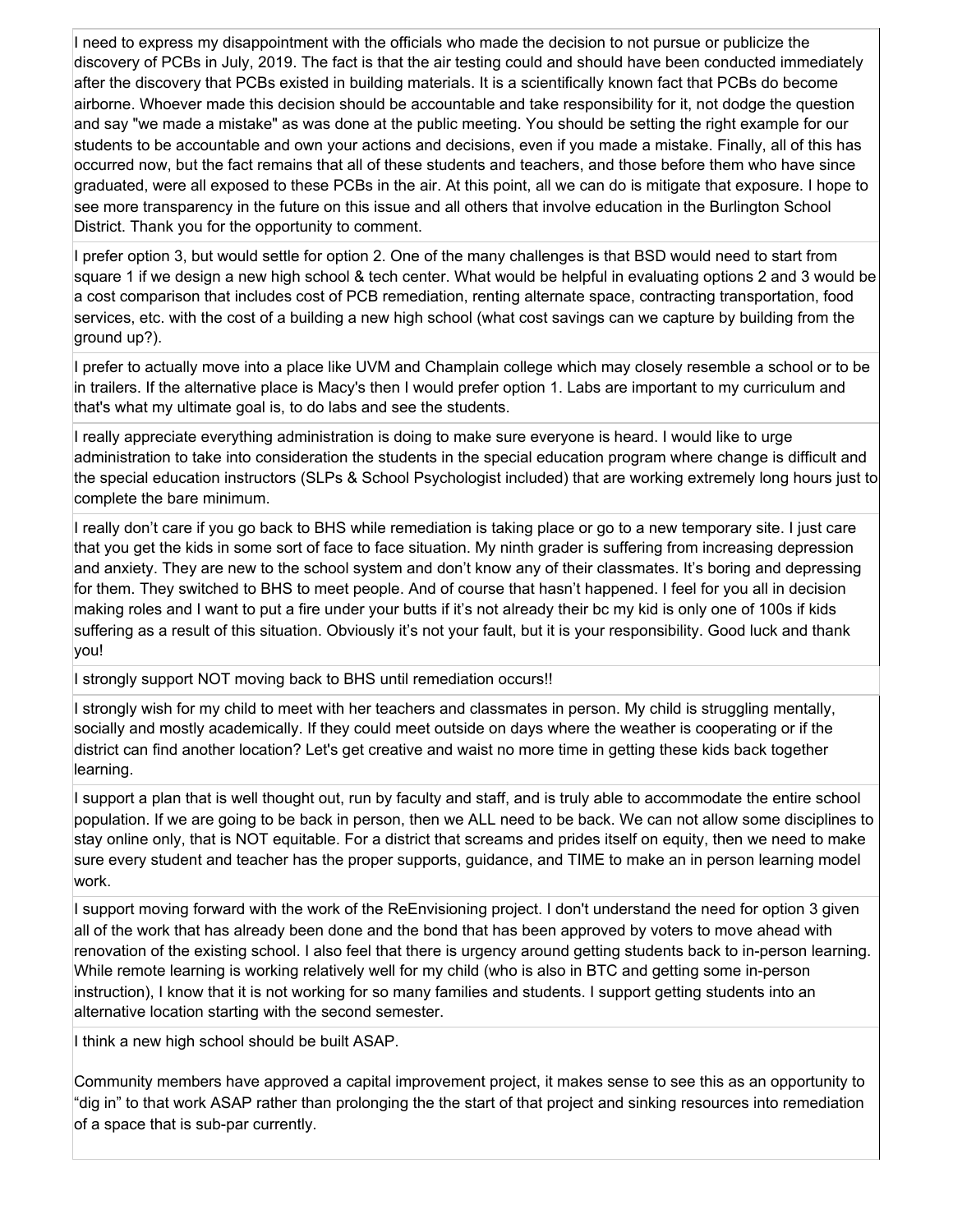I need to express my disappointment with the officials who made the decision to not pursue or publicize the discovery of PCBs in July, 2019. The fact is that the air testing could and should have been conducted immediately after the discovery that PCBs existed in building materials. It is a scientifically known fact that PCBs do become airborne. Whoever made this decision should be accountable and take responsibility for it, not dodge the question and say "we made a mistake" as was done at the public meeting. You should be setting the right example for our students to be accountable and own your actions and decisions, even if you made a mistake. Finally, all of this has occurred now, but the fact remains that all of these students and teachers, and those before them who have since graduated, were all exposed to these PCBs in the air. At this point, all we can do is mitigate that exposure. I hope to see more transparency in the future on this issue and all others that involve education in the Burlington School District. Thank you for the opportunity to comment.

I prefer option 3, but would settle for option 2. One of the many challenges is that BSD would need to start from square 1 if we design a new high school & tech center. What would be helpful in evaluating options 2 and 3 would be a cost comparison that includes cost of PCB remediation, renting alternate space, contracting transportation, food services, etc. with the cost of a building a new high school (what cost savings can we capture by building from the ground up?).

I prefer to actually move into a place like UVM and Champlain college which may closely resemble a school or to be in trailers. If the alternative place is Macy's then I would prefer option 1. Labs are important to my curriculum and that's what my ultimate goal is, to do labs and see the students.

I really appreciate everything administration is doing to make sure everyone is heard. I would like to urge administration to take into consideration the students in the special education program where change is difficult and the special education instructors (SLPs & School Psychologist included) that are working extremely long hours just to complete the bare minimum.

I really don't care if you go back to BHS while remediation is taking place or go to a new temporary site. I just care that you get the kids in some sort of face to face situation. My ninth grader is suffering from increasing depression and anxiety. They are new to the school system and don't know any of their classmates. It's boring and depressing for them. They switched to BHS to meet people. And of course that hasn't happened. I feel for you all in decision making roles and I want to put a fire under your butts if it's not already their bc my kid is only one of 100s if kids suffering as a result of this situation. Obviously it's not your fault, but it is your responsibility. Good luck and thank you!

I strongly support NOT moving back to BHS until remediation occurs!!

I strongly wish for my child to meet with her teachers and classmates in person. My child is struggling mentally, socially and mostly academically. If they could meet outside on days where the weather is cooperating or if the district can find another location? Let's get creative and waist no more time in getting these kids back together learning.

I support a plan that is well thought out, run by faculty and staff, and is truly able to accommodate the entire school population. If we are going to be back in person, then we ALL need to be back. We can not allow some disciplines to stay online only, that is NOT equitable. For a district that screams and prides itself on equity, then we need to make sure every student and teacher has the proper supports, guidance, and TIME to make an in person learning model work.

I support moving forward with the work of the ReEnvisioning project. I don't understand the need for option 3 given all of the work that has already been done and the bond that has been approved by voters to move ahead with renovation of the existing school. I also feel that there is urgency around getting students back to in-person learning. While remote learning is working relatively well for my child (who is also in BTC and getting some in-person instruction), I know that it is not working for so many families and students. I support getting students into an alternative location starting with the second semester.

I think a new high school should be built ASAP.

Community members have approved a capital improvement project, it makes sense to see this as an opportunity to "dig in" to that work ASAP rather than prolonging the the start of that project and sinking resources into remediation of a space that is sub-par currently.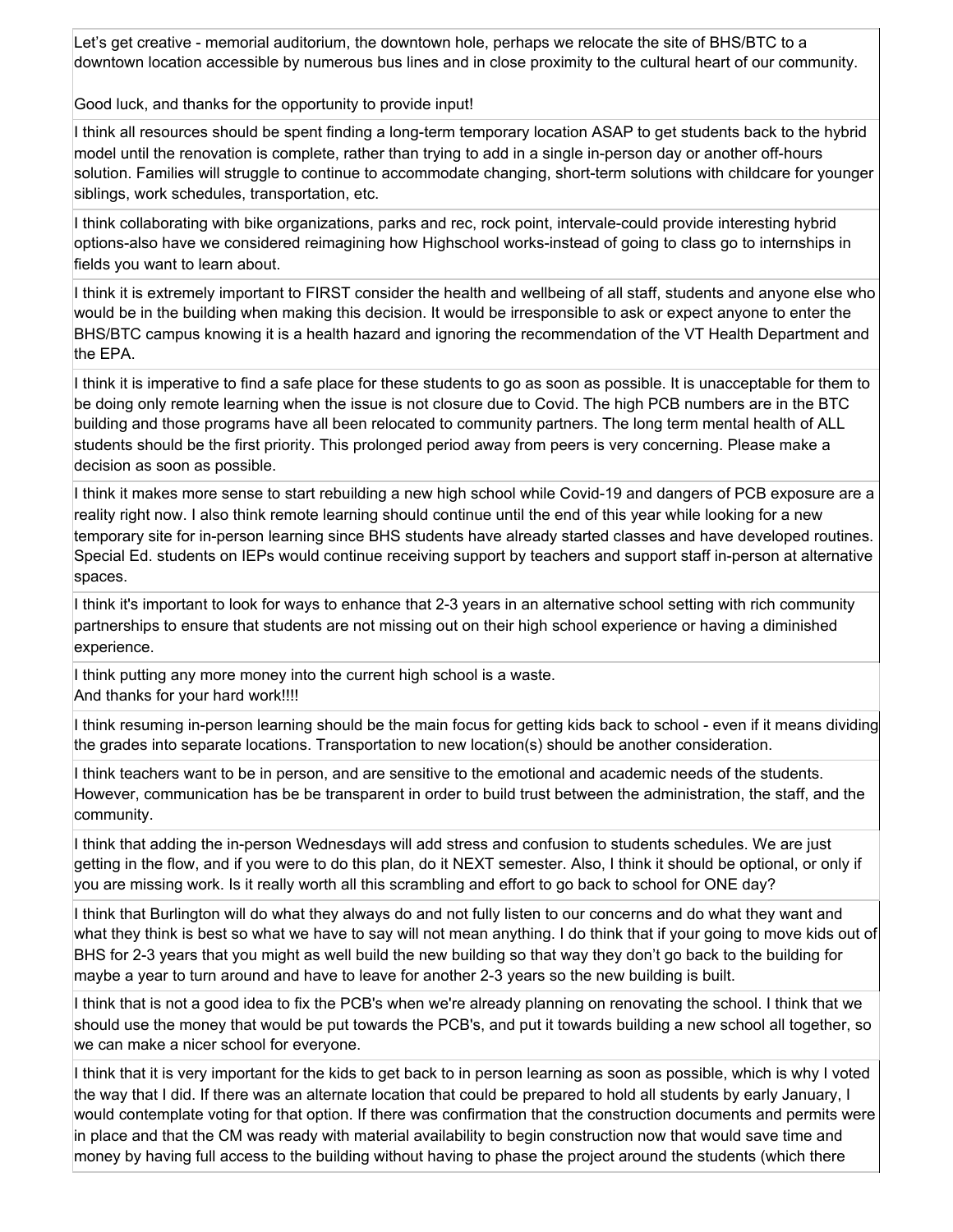Let's get creative - memorial auditorium, the downtown hole, perhaps we relocate the site of BHS/BTC to a downtown location accessible by numerous bus lines and in close proximity to the cultural heart of our community.

Good luck, and thanks for the opportunity to provide input!

I think all resources should be spent finding a long-term temporary location ASAP to get students back to the hybrid model until the renovation is complete, rather than trying to add in a single in-person day or another off-hours solution. Families will struggle to continue to accommodate changing, short-term solutions with childcare for younger siblings, work schedules, transportation, etc.

I think collaborating with bike organizations, parks and rec, rock point, intervale-could provide interesting hybrid options-also have we considered reimagining how Highschool works-instead of going to class go to internships in fields you want to learn about.

I think it is extremely important to FIRST consider the health and wellbeing of all staff, students and anyone else who would be in the building when making this decision. It would be irresponsible to ask or expect anyone to enter the BHS/BTC campus knowing it is a health hazard and ignoring the recommendation of the VT Health Department and the EPA.

I think it is imperative to find a safe place for these students to go as soon as possible. It is unacceptable for them to be doing only remote learning when the issue is not closure due to Covid. The high PCB numbers are in the BTC building and those programs have all been relocated to community partners. The long term mental health of ALL students should be the first priority. This prolonged period away from peers is very concerning. Please make a decision as soon as possible.

I think it makes more sense to start rebuilding a new high school while Covid-19 and dangers of PCB exposure are a reality right now. I also think remote learning should continue until the end of this year while looking for a new temporary site for in-person learning since BHS students have already started classes and have developed routines. Special Ed. students on IEPs would continue receiving support by teachers and support staff in-person at alternative spaces.

I think it's important to look for ways to enhance that 2-3 years in an alternative school setting with rich community partnerships to ensure that students are not missing out on their high school experience or having a diminished experience.

I think putting any more money into the current high school is a waste. And thanks for your hard work!!!!

I think resuming in-person learning should be the main focus for getting kids back to school - even if it means dividing the grades into separate locations. Transportation to new location(s) should be another consideration.

I think teachers want to be in person, and are sensitive to the emotional and academic needs of the students. However, communication has be be transparent in order to build trust between the administration, the staff, and the community.

I think that adding the in-person Wednesdays will add stress and confusion to students schedules. We are just getting in the flow, and if you were to do this plan, do it NEXT semester. Also, I think it should be optional, or only if you are missing work. Is it really worth all this scrambling and effort to go back to school for ONE day?

I think that Burlington will do what they always do and not fully listen to our concerns and do what they want and what they think is best so what we have to say will not mean anything. I do think that if your going to move kids out of BHS for 2-3 years that you might as well build the new building so that way they don't go back to the building for maybe a year to turn around and have to leave for another 2-3 years so the new building is built.

I think that is not a good idea to fix the PCB's when we're already planning on renovating the school. I think that we should use the money that would be put towards the PCB's, and put it towards building a new school all together, so we can make a nicer school for everyone.

I think that it is very important for the kids to get back to in person learning as soon as possible, which is why I voted the way that I did. If there was an alternate location that could be prepared to hold all students by early January, I would contemplate voting for that option. If there was confirmation that the construction documents and permits were in place and that the CM was ready with material availability to begin construction now that would save time and money by having full access to the building without having to phase the project around the students (which there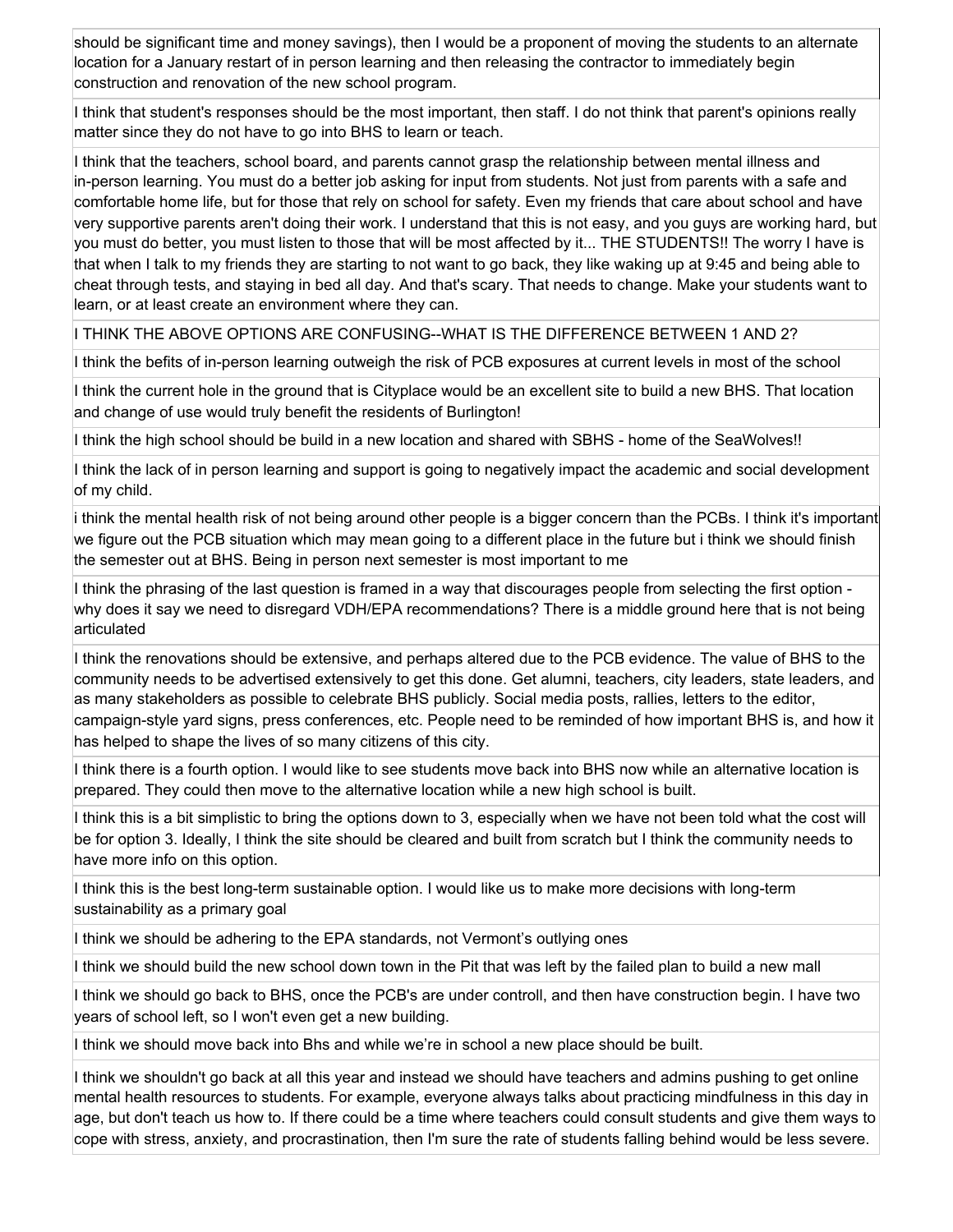should be significant time and money savings), then I would be a proponent of moving the students to an alternate location for a January restart of in person learning and then releasing the contractor to immediately begin construction and renovation of the new school program.

I think that student's responses should be the most important, then staff. I do not think that parent's opinions really matter since they do not have to go into BHS to learn or teach.

I think that the teachers, school board, and parents cannot grasp the relationship between mental illness and in-person learning. You must do a better job asking for input from students. Not just from parents with a safe and comfortable home life, but for those that rely on school for safety. Even my friends that care about school and have very supportive parents aren't doing their work. I understand that this is not easy, and you guys are working hard, but you must do better, you must listen to those that will be most affected by it... THE STUDENTS!! The worry I have is that when I talk to my friends they are starting to not want to go back, they like waking up at 9:45 and being able to cheat through tests, and staying in bed all day. And that's scary. That needs to change. Make your students want to learn, or at least create an environment where they can.

I THINK THE ABOVE OPTIONS ARE CONFUSING--WHAT IS THE DIFFERENCE BETWEEN 1 AND 2?

I think the befits of in-person learning outweigh the risk of PCB exposures at current levels in most of the school

I think the current hole in the ground that is Cityplace would be an excellent site to build a new BHS. That location and change of use would truly benefit the residents of Burlington!

I think the high school should be build in a new location and shared with SBHS - home of the SeaWolves!!

I think the lack of in person learning and support is going to negatively impact the academic and social development of my child.

i think the mental health risk of not being around other people is a bigger concern than the PCBs. I think it's important we figure out the PCB situation which may mean going to a different place in the future but i think we should finish the semester out at BHS. Being in person next semester is most important to me

I think the phrasing of the last question is framed in a way that discourages people from selecting the first option why does it say we need to disregard VDH/EPA recommendations? There is a middle ground here that is not being articulated

I think the renovations should be extensive, and perhaps altered due to the PCB evidence. The value of BHS to the community needs to be advertised extensively to get this done. Get alumni, teachers, city leaders, state leaders, and as many stakeholders as possible to celebrate BHS publicly. Social media posts, rallies, letters to the editor, campaign-style yard signs, press conferences, etc. People need to be reminded of how important BHS is, and how it has helped to shape the lives of so many citizens of this city.

I think there is a fourth option. I would like to see students move back into BHS now while an alternative location is prepared. They could then move to the alternative location while a new high school is built.

I think this is a bit simplistic to bring the options down to 3, especially when we have not been told what the cost will be for option 3. Ideally, I think the site should be cleared and built from scratch but I think the community needs to have more info on this option.

I think this is the best long-term sustainable option. I would like us to make more decisions with long-term sustainability as a primary goal

I think we should be adhering to the EPA standards, not Vermont's outlying ones

I think we should build the new school down town in the Pit that was left by the failed plan to build a new mall

I think we should go back to BHS, once the PCB's are under controll, and then have construction begin. I have two years of school left, so I won't even get a new building.

I think we should move back into Bhs and while we're in school a new place should be built.

I think we shouldn't go back at all this year and instead we should have teachers and admins pushing to get online mental health resources to students. For example, everyone always talks about practicing mindfulness in this day in age, but don't teach us how to. If there could be a time where teachers could consult students and give them ways to cope with stress, anxiety, and procrastination, then I'm sure the rate of students falling behind would be less severe.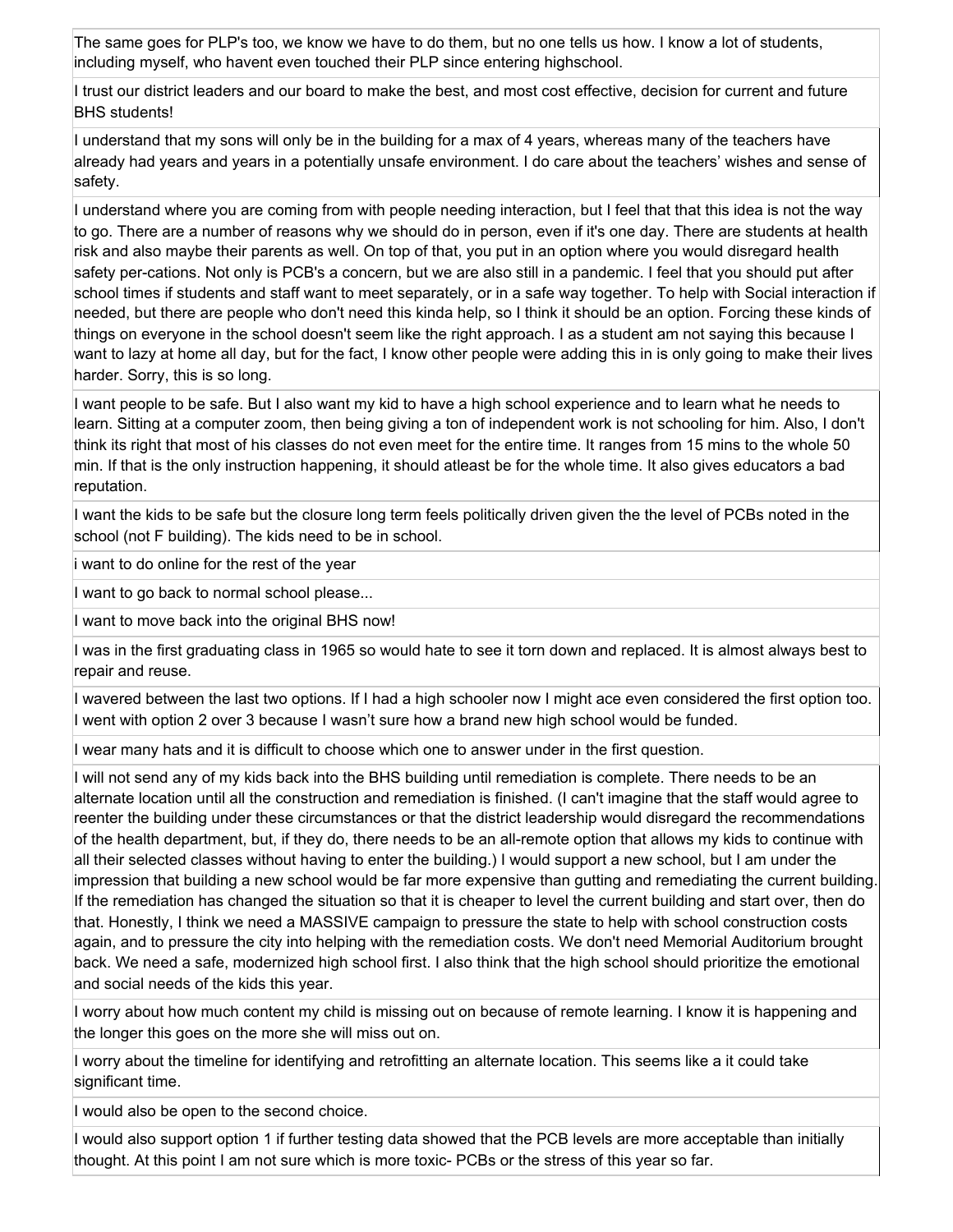The same goes for PLP's too, we know we have to do them, but no one tells us how. I know a lot of students, including myself, who havent even touched their PLP since entering highschool.

I trust our district leaders and our board to make the best, and most cost effective, decision for current and future BHS students!

I understand that my sons will only be in the building for a max of 4 years, whereas many of the teachers have already had years and years in a potentially unsafe environment. I do care about the teachers' wishes and sense of safety.

I understand where you are coming from with people needing interaction, but I feel that that this idea is not the way to go. There are a number of reasons why we should do in person, even if it's one day. There are students at health risk and also maybe their parents as well. On top of that, you put in an option where you would disregard health safety per-cations. Not only is PCB's a concern, but we are also still in a pandemic. I feel that you should put after school times if students and staff want to meet separately, or in a safe way together. To help with Social interaction if needed, but there are people who don't need this kinda help, so I think it should be an option. Forcing these kinds of things on everyone in the school doesn't seem like the right approach. I as a student am not saying this because I want to lazy at home all day, but for the fact, I know other people were adding this in is only going to make their lives harder. Sorry, this is so long.

I want people to be safe. But I also want my kid to have a high school experience and to learn what he needs to learn. Sitting at a computer zoom, then being giving a ton of independent work is not schooling for him. Also, I don't think its right that most of his classes do not even meet for the entire time. It ranges from 15 mins to the whole 50 min. If that is the only instruction happening, it should atleast be for the whole time. It also gives educators a bad reputation.

I want the kids to be safe but the closure long term feels politically driven given the the level of PCBs noted in the school (not F building). The kids need to be in school.

i want to do online for the rest of the year

I want to go back to normal school please...

I want to move back into the original BHS now!

I was in the first graduating class in 1965 so would hate to see it torn down and replaced. It is almost always best to repair and reuse.

I wavered between the last two options. If I had a high schooler now I might ace even considered the first option too. I went with option 2 over 3 because I wasn't sure how a brand new high school would be funded.

I wear many hats and it is difficult to choose which one to answer under in the first question.

I will not send any of my kids back into the BHS building until remediation is complete. There needs to be an alternate location until all the construction and remediation is finished. (I can't imagine that the staff would agree to reenter the building under these circumstances or that the district leadership would disregard the recommendations of the health department, but, if they do, there needs to be an all-remote option that allows my kids to continue with all their selected classes without having to enter the building.) I would support a new school, but I am under the impression that building a new school would be far more expensive than gutting and remediating the current building. If the remediation has changed the situation so that it is cheaper to level the current building and start over, then do that. Honestly, I think we need a MASSIVE campaign to pressure the state to help with school construction costs again, and to pressure the city into helping with the remediation costs. We don't need Memorial Auditorium brought back. We need a safe, modernized high school first. I also think that the high school should prioritize the emotional and social needs of the kids this year.

I worry about how much content my child is missing out on because of remote learning. I know it is happening and the longer this goes on the more she will miss out on.

I worry about the timeline for identifying and retrofitting an alternate location. This seems like a it could take significant time.

I would also be open to the second choice.

I would also support option 1 if further testing data showed that the PCB levels are more acceptable than initially thought. At this point I am not sure which is more toxic- PCBs or the stress of this year so far.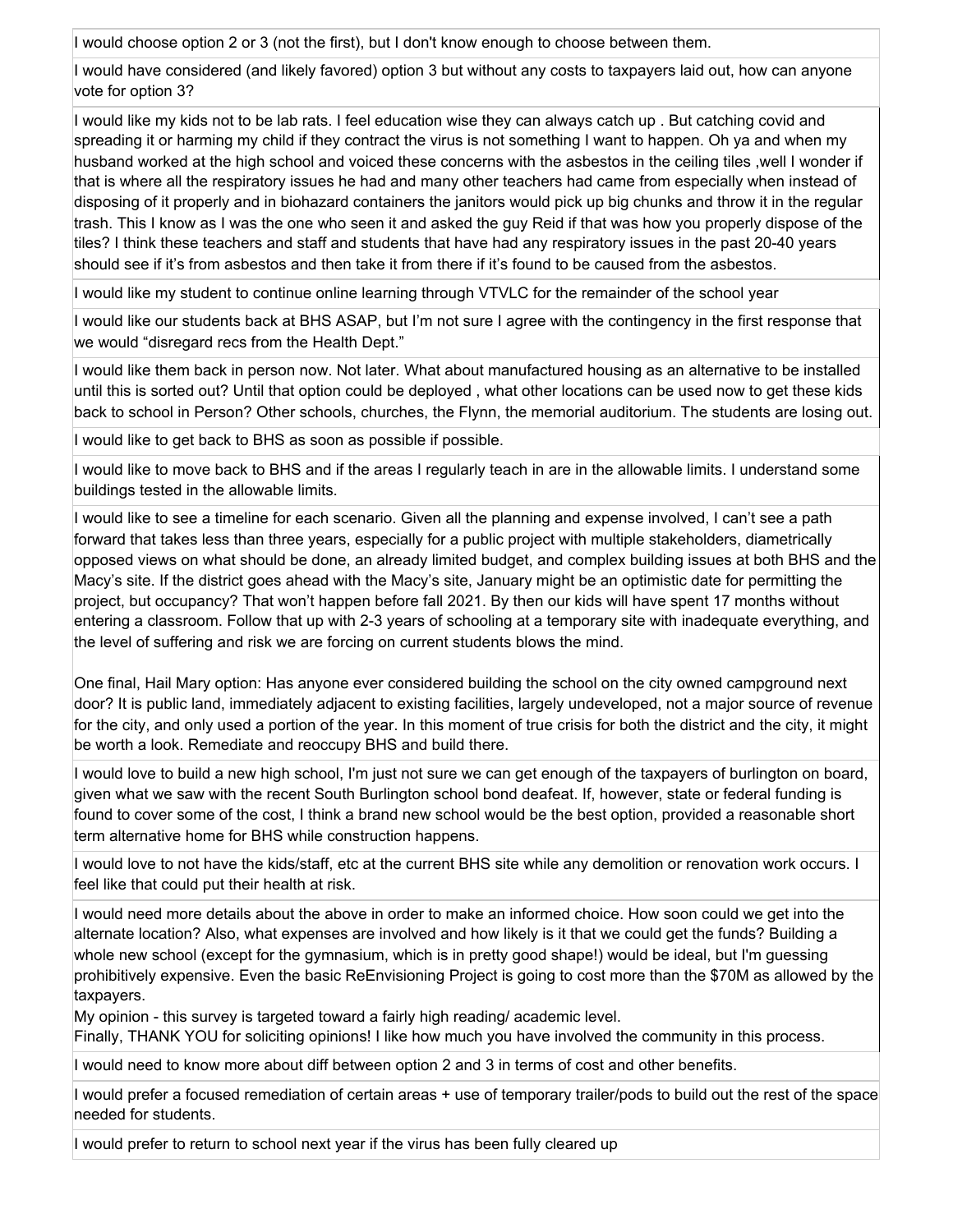I would choose option 2 or 3 (not the first), but I don't know enough to choose between them.

I would have considered (and likely favored) option 3 but without any costs to taxpayers laid out, how can anyone vote for option 3?

I would like my kids not to be lab rats. I feel education wise they can always catch up . But catching covid and spreading it or harming my child if they contract the virus is not something I want to happen. Oh ya and when my husband worked at the high school and voiced these concerns with the asbestos in the ceiling tiles ,well I wonder if that is where all the respiratory issues he had and many other teachers had came from especially when instead of disposing of it properly and in biohazard containers the janitors would pick up big chunks and throw it in the regular trash. This I know as I was the one who seen it and asked the guy Reid if that was how you properly dispose of the tiles? I think these teachers and staff and students that have had any respiratory issues in the past 20-40 years should see if it's from asbestos and then take it from there if it's found to be caused from the asbestos.

I would like my student to continue online learning through VTVLC for the remainder of the school year

I would like our students back at BHS ASAP, but I'm not sure I agree with the contingency in the first response that we would "disregard recs from the Health Dept."

I would like them back in person now. Not later. What about manufactured housing as an alternative to be installed until this is sorted out? Until that option could be deployed , what other locations can be used now to get these kids back to school in Person? Other schools, churches, the Flynn, the memorial auditorium. The students are losing out.

I would like to get back to BHS as soon as possible if possible.

I would like to move back to BHS and if the areas I regularly teach in are in the allowable limits. I understand some buildings tested in the allowable limits.

I would like to see a timeline for each scenario. Given all the planning and expense involved, I can't see a path forward that takes less than three years, especially for a public project with multiple stakeholders, diametrically opposed views on what should be done, an already limited budget, and complex building issues at both BHS and the Macy's site. If the district goes ahead with the Macy's site, January might be an optimistic date for permitting the project, but occupancy? That won't happen before fall 2021. By then our kids will have spent 17 months without entering a classroom. Follow that up with 2-3 years of schooling at a temporary site with inadequate everything, and the level of suffering and risk we are forcing on current students blows the mind.

One final, Hail Mary option: Has anyone ever considered building the school on the city owned campground next door? It is public land, immediately adjacent to existing facilities, largely undeveloped, not a major source of revenue for the city, and only used a portion of the year. In this moment of true crisis for both the district and the city, it might be worth a look. Remediate and reoccupy BHS and build there.

I would love to build a new high school, I'm just not sure we can get enough of the taxpayers of burlington on board, given what we saw with the recent South Burlington school bond deafeat. If, however, state or federal funding is found to cover some of the cost, I think a brand new school would be the best option, provided a reasonable short term alternative home for BHS while construction happens.

I would love to not have the kids/staff, etc at the current BHS site while any demolition or renovation work occurs. I feel like that could put their health at risk.

I would need more details about the above in order to make an informed choice. How soon could we get into the alternate location? Also, what expenses are involved and how likely is it that we could get the funds? Building a whole new school (except for the gymnasium, which is in pretty good shape!) would be ideal, but I'm guessing prohibitively expensive. Even the basic ReEnvisioning Project is going to cost more than the \$70M as allowed by the taxpayers.

My opinion - this survey is targeted toward a fairly high reading/ academic level.

Finally, THANK YOU for soliciting opinions! I like how much you have involved the community in this process.

I would need to know more about diff between option 2 and 3 in terms of cost and other benefits.

I would prefer a focused remediation of certain areas + use of temporary trailer/pods to build out the rest of the space needed for students.

I would prefer to return to school next year if the virus has been fully cleared up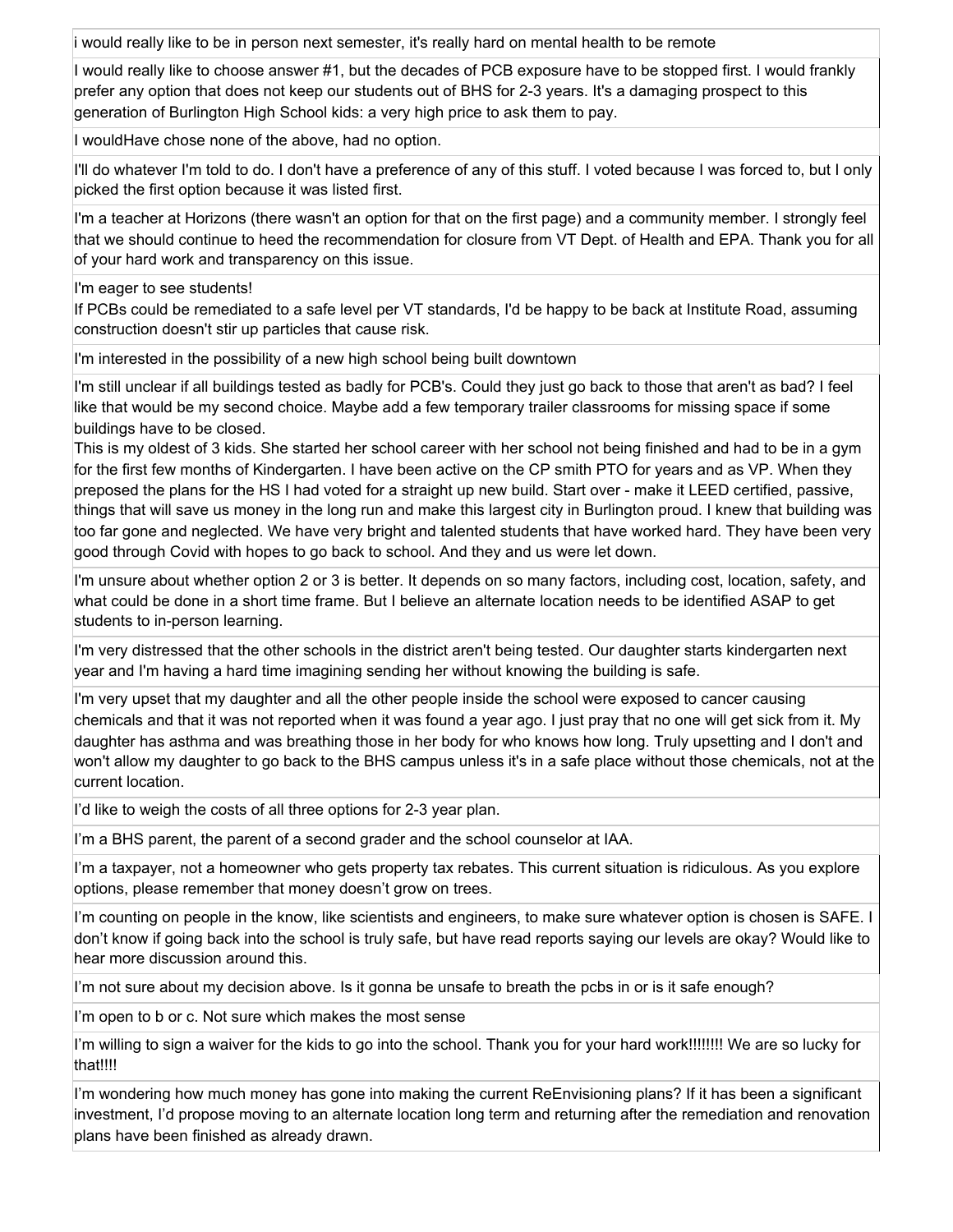i would really like to be in person next semester, it's really hard on mental health to be remote

I would really like to choose answer #1, but the decades of PCB exposure have to be stopped first. I would frankly prefer any option that does not keep our students out of BHS for 2-3 years. It's a damaging prospect to this generation of Burlington High School kids: a very high price to ask them to pay.

I wouldHave chose none of the above, had no option.

I'll do whatever I'm told to do. I don't have a preference of any of this stuff. I voted because I was forced to, but I only picked the first option because it was listed first.

I'm a teacher at Horizons (there wasn't an option for that on the first page) and a community member. I strongly feel that we should continue to heed the recommendation for closure from VT Dept. of Health and EPA. Thank you for all of your hard work and transparency on this issue.

I'm eager to see students!

If PCBs could be remediated to a safe level per VT standards, I'd be happy to be back at Institute Road, assuming construction doesn't stir up particles that cause risk.

I'm interested in the possibility of a new high school being built downtown

I'm still unclear if all buildings tested as badly for PCB's. Could they just go back to those that aren't as bad? I feel like that would be my second choice. Maybe add a few temporary trailer classrooms for missing space if some buildings have to be closed.

This is my oldest of 3 kids. She started her school career with her school not being finished and had to be in a gym for the first few months of Kindergarten. I have been active on the CP smith PTO for years and as VP. When they preposed the plans for the HS I had voted for a straight up new build. Start over - make it LEED certified, passive, things that will save us money in the long run and make this largest city in Burlington proud. I knew that building was too far gone and neglected. We have very bright and talented students that have worked hard. They have been very good through Covid with hopes to go back to school. And they and us were let down.

I'm unsure about whether option 2 or 3 is better. It depends on so many factors, including cost, location, safety, and what could be done in a short time frame. But I believe an alternate location needs to be identified ASAP to get students to in-person learning.

I'm very distressed that the other schools in the district aren't being tested. Our daughter starts kindergarten next year and I'm having a hard time imagining sending her without knowing the building is safe.

I'm very upset that my daughter and all the other people inside the school were exposed to cancer causing chemicals and that it was not reported when it was found a year ago. I just pray that no one will get sick from it. My daughter has asthma and was breathing those in her body for who knows how long. Truly upsetting and I don't and won't allow my daughter to go back to the BHS campus unless it's in a safe place without those chemicals, not at the current location.

I'd like to weigh the costs of all three options for 2-3 year plan.

I'm a BHS parent, the parent of a second grader and the school counselor at IAA.

I'm a taxpayer, not a homeowner who gets property tax rebates. This current situation is ridiculous. As you explore options, please remember that money doesn't grow on trees.

I'm counting on people in the know, like scientists and engineers, to make sure whatever option is chosen is SAFE. I don't know if going back into the school is truly safe, but have read reports saying our levels are okay? Would like to hear more discussion around this.

I'm not sure about my decision above. Is it gonna be unsafe to breath the pcbs in or is it safe enough?

I'm open to b or c. Not sure which makes the most sense

I'm willing to sign a waiver for the kids to go into the school. Thank you for your hard work!!!!!!!! We are so lucky for that!!!!

I'm wondering how much money has gone into making the current ReEnvisioning plans? If it has been a significant investment, I'd propose moving to an alternate location long term and returning after the remediation and renovation plans have been finished as already drawn.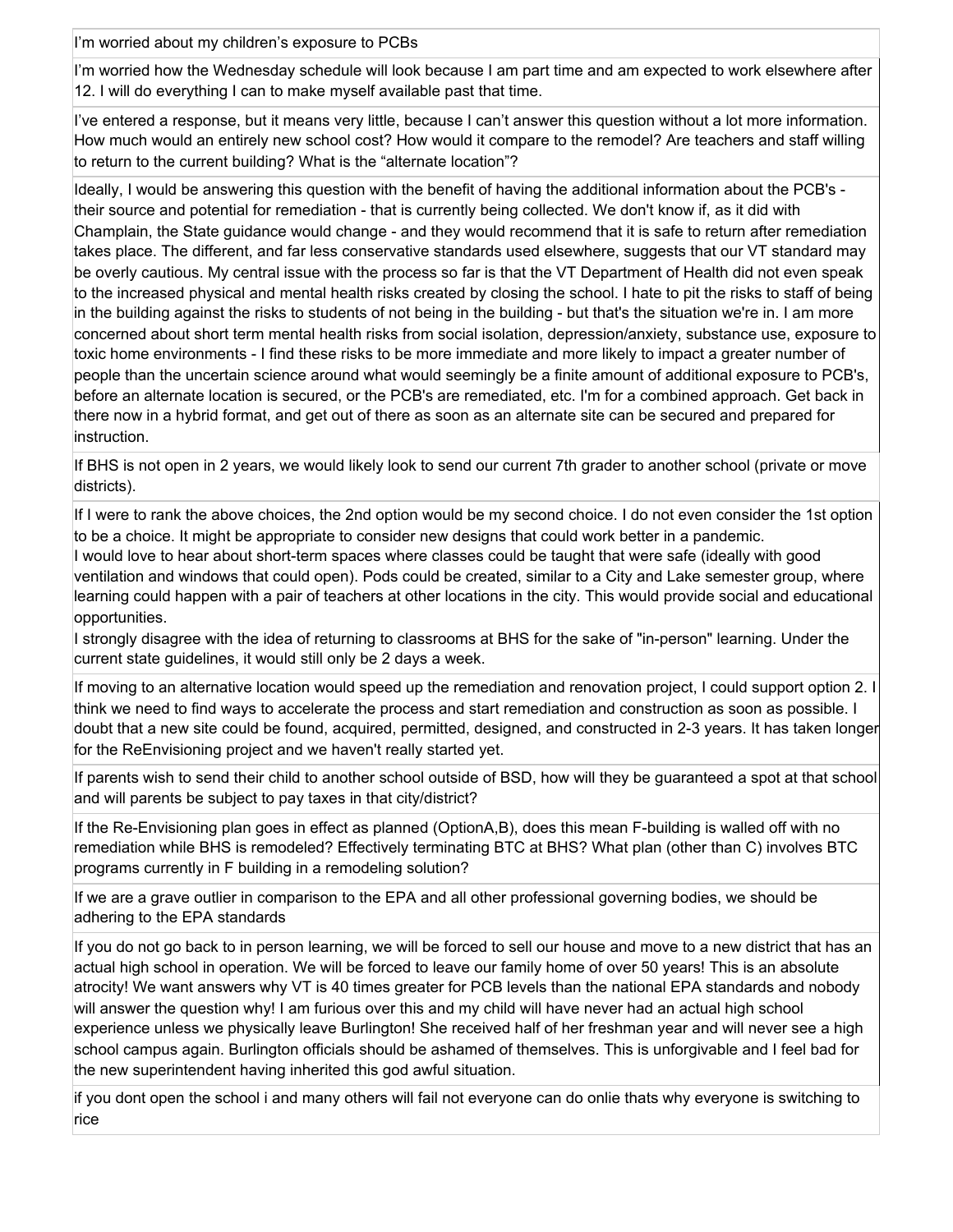I'm worried about my children's exposure to PCBs

I'm worried how the Wednesday schedule will look because I am part time and am expected to work elsewhere after 12. I will do everything I can to make myself available past that time.

I've entered a response, but it means very little, because I can't answer this question without a lot more information. How much would an entirely new school cost? How would it compare to the remodel? Are teachers and staff willing to return to the current building? What is the "alternate location"?

Ideally, I would be answering this question with the benefit of having the additional information about the PCB's their source and potential for remediation - that is currently being collected. We don't know if, as it did with Champlain, the State guidance would change - and they would recommend that it is safe to return after remediation takes place. The different, and far less conservative standards used elsewhere, suggests that our VT standard may be overly cautious. My central issue with the process so far is that the VT Department of Health did not even speak to the increased physical and mental health risks created by closing the school. I hate to pit the risks to staff of being in the building against the risks to students of not being in the building - but that's the situation we're in. I am more concerned about short term mental health risks from social isolation, depression/anxiety, substance use, exposure to toxic home environments - I find these risks to be more immediate and more likely to impact a greater number of people than the uncertain science around what would seemingly be a finite amount of additional exposure to PCB's, before an alternate location is secured, or the PCB's are remediated, etc. I'm for a combined approach. Get back in there now in a hybrid format, and get out of there as soon as an alternate site can be secured and prepared for instruction.

If BHS is not open in 2 years, we would likely look to send our current 7th grader to another school (private or move districts).

If I were to rank the above choices, the 2nd option would be my second choice. I do not even consider the 1st option to be a choice. It might be appropriate to consider new designs that could work better in a pandemic.

I would love to hear about short-term spaces where classes could be taught that were safe (ideally with good ventilation and windows that could open). Pods could be created, similar to a City and Lake semester group, where learning could happen with a pair of teachers at other locations in the city. This would provide social and educational opportunities.

I strongly disagree with the idea of returning to classrooms at BHS for the sake of "in-person" learning. Under the current state guidelines, it would still only be 2 days a week.

If moving to an alternative location would speed up the remediation and renovation project, I could support option 2. I think we need to find ways to accelerate the process and start remediation and construction as soon as possible. I doubt that a new site could be found, acquired, permitted, designed, and constructed in 2-3 years. It has taken longer for the ReEnvisioning project and we haven't really started yet.

If parents wish to send their child to another school outside of BSD, how will they be guaranteed a spot at that school and will parents be subject to pay taxes in that city/district?

If the Re-Envisioning plan goes in effect as planned (OptionA,B), does this mean F-building is walled off with no remediation while BHS is remodeled? Effectively terminating BTC at BHS? What plan (other than C) involves BTC programs currently in F building in a remodeling solution?

If we are a grave outlier in comparison to the EPA and all other professional governing bodies, we should be adhering to the EPA standards

If you do not go back to in person learning, we will be forced to sell our house and move to a new district that has an actual high school in operation. We will be forced to leave our family home of over 50 years! This is an absolute atrocity! We want answers why VT is 40 times greater for PCB levels than the national EPA standards and nobody will answer the question why! I am furious over this and my child will have never had an actual high school experience unless we physically leave Burlington! She received half of her freshman year and will never see a high school campus again. Burlington officials should be ashamed of themselves. This is unforgivable and I feel bad for the new superintendent having inherited this god awful situation.

if you dont open the school i and many others will fail not everyone can do onlie thats why everyone is switching to rice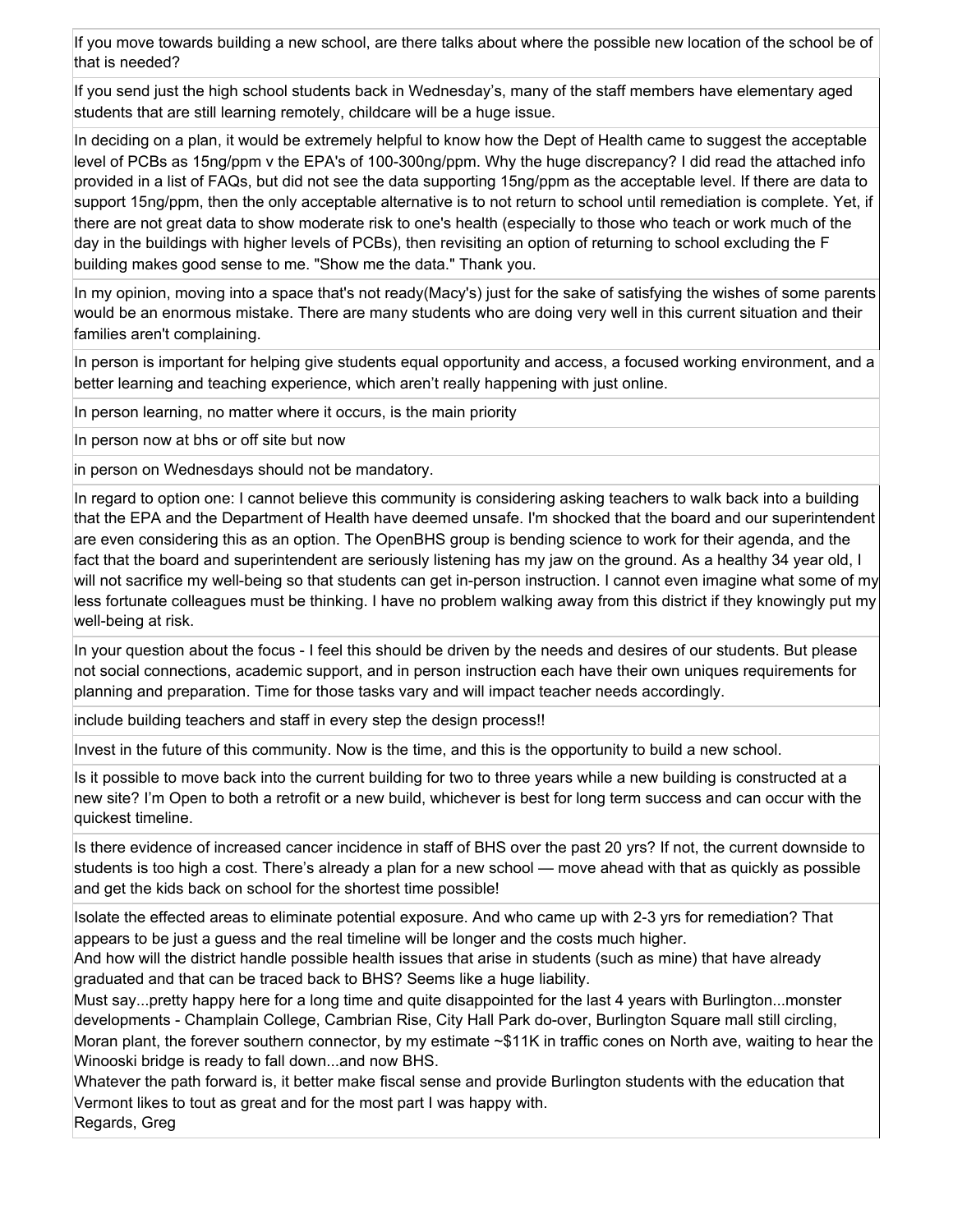If you move towards building a new school, are there talks about where the possible new location of the school be of that is needed?

If you send just the high school students back in Wednesday's, many of the staff members have elementary aged students that are still learning remotely, childcare will be a huge issue.

In deciding on a plan, it would be extremely helpful to know how the Dept of Health came to suggest the acceptable level of PCBs as 15ng/ppm v the EPA's of 100-300ng/ppm. Why the huge discrepancy? I did read the attached info provided in a list of FAQs, but did not see the data supporting 15ng/ppm as the acceptable level. If there are data to support 15ng/ppm, then the only acceptable alternative is to not return to school until remediation is complete. Yet, if there are not great data to show moderate risk to one's health (especially to those who teach or work much of the day in the buildings with higher levels of PCBs), then revisiting an option of returning to school excluding the F building makes good sense to me. "Show me the data." Thank you.

In my opinion, moving into a space that's not ready(Macy's) just for the sake of satisfying the wishes of some parents would be an enormous mistake. There are many students who are doing very well in this current situation and their families aren't complaining.

In person is important for helping give students equal opportunity and access, a focused working environment, and a better learning and teaching experience, which aren't really happening with just online.

In person learning, no matter where it occurs, is the main priority

In person now at bhs or off site but now

in person on Wednesdays should not be mandatory.

In regard to option one: I cannot believe this community is considering asking teachers to walk back into a building that the EPA and the Department of Health have deemed unsafe. I'm shocked that the board and our superintendent are even considering this as an option. The OpenBHS group is bending science to work for their agenda, and the fact that the board and superintendent are seriously listening has my jaw on the ground. As a healthy 34 year old, I will not sacrifice my well-being so that students can get in-person instruction. I cannot even imagine what some of my less fortunate colleagues must be thinking. I have no problem walking away from this district if they knowingly put my well-being at risk.

In your question about the focus - I feel this should be driven by the needs and desires of our students. But please not social connections, academic support, and in person instruction each have their own uniques requirements for planning and preparation. Time for those tasks vary and will impact teacher needs accordingly.

include building teachers and staff in every step the design process!!

Invest in the future of this community. Now is the time, and this is the opportunity to build a new school.

Is it possible to move back into the current building for two to three years while a new building is constructed at a new site? I'm Open to both a retrofit or a new build, whichever is best for long term success and can occur with the quickest timeline.

Is there evidence of increased cancer incidence in staff of BHS over the past 20 yrs? If not, the current downside to students is too high a cost. There's already a plan for a new school — move ahead with that as quickly as possible and get the kids back on school for the shortest time possible!

Isolate the effected areas to eliminate potential exposure. And who came up with 2-3 yrs for remediation? That appears to be just a guess and the real timeline will be longer and the costs much higher.

And how will the district handle possible health issues that arise in students (such as mine) that have already graduated and that can be traced back to BHS? Seems like a huge liability.

Must say...pretty happy here for a long time and quite disappointed for the last 4 years with Burlington...monster developments - Champlain College, Cambrian Rise, City Hall Park do-over, Burlington Square mall still circling, Moran plant, the forever southern connector, by my estimate ~\$11K in traffic cones on North ave, waiting to hear the Winooski bridge is ready to fall down...and now BHS.

Whatever the path forward is, it better make fiscal sense and provide Burlington students with the education that Vermont likes to tout as great and for the most part I was happy with. Regards, Greg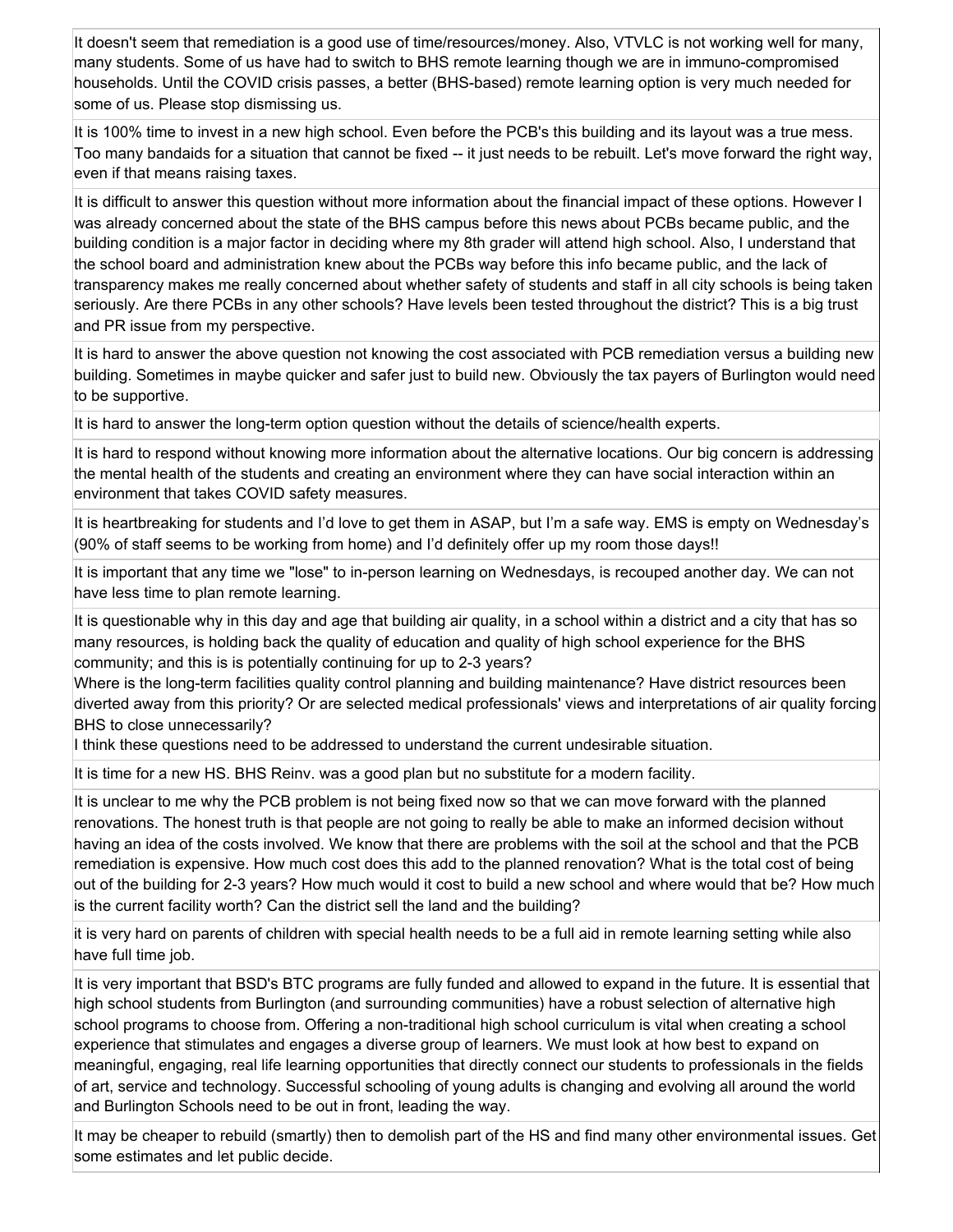It doesn't seem that remediation is a good use of time/resources/money. Also, VTVLC is not working well for many, many students. Some of us have had to switch to BHS remote learning though we are in immuno-compromised households. Until the COVID crisis passes, a better (BHS-based) remote learning option is very much needed for some of us. Please stop dismissing us.

It is 100% time to invest in a new high school. Even before the PCB's this building and its layout was a true mess. Too many bandaids for a situation that cannot be fixed -- it just needs to be rebuilt. Let's move forward the right way, even if that means raising taxes.

It is difficult to answer this question without more information about the financial impact of these options. However I was already concerned about the state of the BHS campus before this news about PCBs became public, and the building condition is a major factor in deciding where my 8th grader will attend high school. Also, I understand that the school board and administration knew about the PCBs way before this info became public, and the lack of transparency makes me really concerned about whether safety of students and staff in all city schools is being taken seriously. Are there PCBs in any other schools? Have levels been tested throughout the district? This is a big trust and PR issue from my perspective.

It is hard to answer the above question not knowing the cost associated with PCB remediation versus a building new building. Sometimes in maybe quicker and safer just to build new. Obviously the tax payers of Burlington would need to be supportive.

It is hard to answer the long-term option question without the details of science/health experts.

It is hard to respond without knowing more information about the alternative locations. Our big concern is addressing the mental health of the students and creating an environment where they can have social interaction within an environment that takes COVID safety measures.

It is heartbreaking for students and I'd love to get them in ASAP, but I'm a safe way. EMS is empty on Wednesday's (90% of staff seems to be working from home) and I'd definitely offer up my room those days!!

It is important that any time we "lose" to in-person learning on Wednesdays, is recouped another day. We can not have less time to plan remote learning.

It is questionable why in this day and age that building air quality, in a school within a district and a city that has so many resources, is holding back the quality of education and quality of high school experience for the BHS community; and this is is potentially continuing for up to 2-3 years?

Where is the long-term facilities quality control planning and building maintenance? Have district resources been diverted away from this priority? Or are selected medical professionals' views and interpretations of air quality forcing BHS to close unnecessarily?

I think these questions need to be addressed to understand the current undesirable situation.

It is time for a new HS. BHS Reinv. was a good plan but no substitute for a modern facility.

It is unclear to me why the PCB problem is not being fixed now so that we can move forward with the planned renovations. The honest truth is that people are not going to really be able to make an informed decision without having an idea of the costs involved. We know that there are problems with the soil at the school and that the PCB remediation is expensive. How much cost does this add to the planned renovation? What is the total cost of being out of the building for 2-3 years? How much would it cost to build a new school and where would that be? How much is the current facility worth? Can the district sell the land and the building?

it is very hard on parents of children with special health needs to be a full aid in remote learning setting while also have full time job.

It is very important that BSD's BTC programs are fully funded and allowed to expand in the future. It is essential that high school students from Burlington (and surrounding communities) have a robust selection of alternative high school programs to choose from. Offering a non-traditional high school curriculum is vital when creating a school experience that stimulates and engages a diverse group of learners. We must look at how best to expand on meaningful, engaging, real life learning opportunities that directly connect our students to professionals in the fields of art, service and technology. Successful schooling of young adults is changing and evolving all around the world and Burlington Schools need to be out in front, leading the way.

It may be cheaper to rebuild (smartly) then to demolish part of the HS and find many other environmental issues. Get some estimates and let public decide.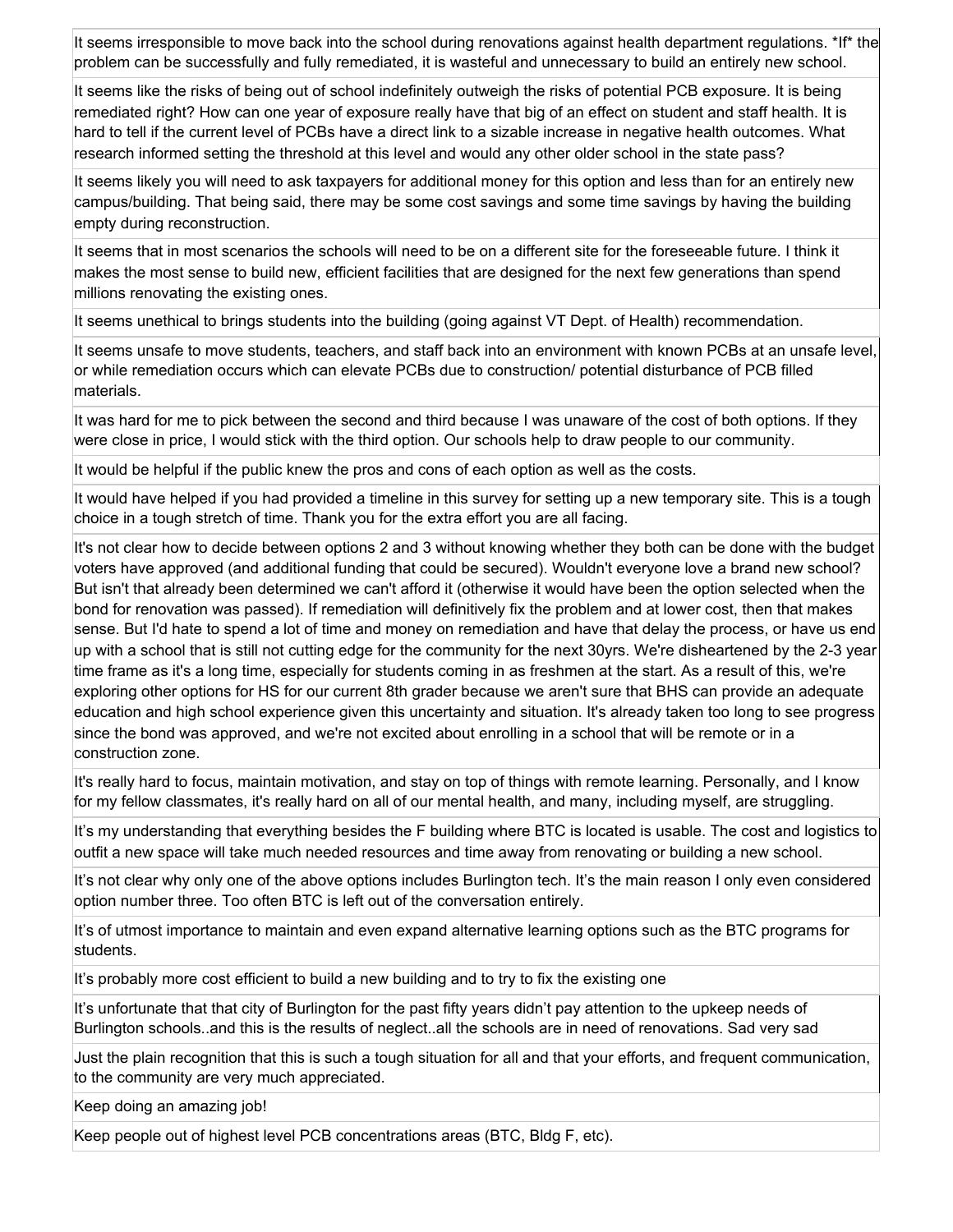It seems irresponsible to move back into the school during renovations against health department regulations. \*If\* the problem can be successfully and fully remediated, it is wasteful and unnecessary to build an entirely new school.

It seems like the risks of being out of school indefinitely outweigh the risks of potential PCB exposure. It is being remediated right? How can one year of exposure really have that big of an effect on student and staff health. It is hard to tell if the current level of PCBs have a direct link to a sizable increase in negative health outcomes. What research informed setting the threshold at this level and would any other older school in the state pass?

It seems likely you will need to ask taxpayers for additional money for this option and less than for an entirely new campus/building. That being said, there may be some cost savings and some time savings by having the building empty during reconstruction.

It seems that in most scenarios the schools will need to be on a different site for the foreseeable future. I think it makes the most sense to build new, efficient facilities that are designed for the next few generations than spend millions renovating the existing ones.

It seems unethical to brings students into the building (going against VT Dept. of Health) recommendation.

It seems unsafe to move students, teachers, and staff back into an environment with known PCBs at an unsafe level, or while remediation occurs which can elevate PCBs due to construction/ potential disturbance of PCB filled materials.

It was hard for me to pick between the second and third because I was unaware of the cost of both options. If they were close in price, I would stick with the third option. Our schools help to draw people to our community.

It would be helpful if the public knew the pros and cons of each option as well as the costs.

It would have helped if you had provided a timeline in this survey for setting up a new temporary site. This is a tough choice in a tough stretch of time. Thank you for the extra effort you are all facing.

It's not clear how to decide between options 2 and 3 without knowing whether they both can be done with the budget voters have approved (and additional funding that could be secured). Wouldn't everyone love a brand new school? But isn't that already been determined we can't afford it (otherwise it would have been the option selected when the bond for renovation was passed). If remediation will definitively fix the problem and at lower cost, then that makes sense. But I'd hate to spend a lot of time and money on remediation and have that delay the process, or have us end up with a school that is still not cutting edge for the community for the next 30yrs. We're disheartened by the 2-3 year time frame as it's a long time, especially for students coming in as freshmen at the start. As a result of this, we're exploring other options for HS for our current 8th grader because we aren't sure that BHS can provide an adequate education and high school experience given this uncertainty and situation. It's already taken too long to see progress since the bond was approved, and we're not excited about enrolling in a school that will be remote or in a construction zone.

It's really hard to focus, maintain motivation, and stay on top of things with remote learning. Personally, and I know for my fellow classmates, it's really hard on all of our mental health, and many, including myself, are struggling.

It's my understanding that everything besides the F building where BTC is located is usable. The cost and logistics to outfit a new space will take much needed resources and time away from renovating or building a new school.

It's not clear why only one of the above options includes Burlington tech. It's the main reason I only even considered option number three. Too often BTC is left out of the conversation entirely.

It's of utmost importance to maintain and even expand alternative learning options such as the BTC programs for students.

It's probably more cost efficient to build a new building and to try to fix the existing one

It's unfortunate that that city of Burlington for the past fifty years didn't pay attention to the upkeep needs of Burlington schools..and this is the results of neglect..all the schools are in need of renovations. Sad very sad

Just the plain recognition that this is such a tough situation for all and that your efforts, and frequent communication, to the community are very much appreciated.

Keep doing an amazing job!

Keep people out of highest level PCB concentrations areas (BTC, Bldg F, etc).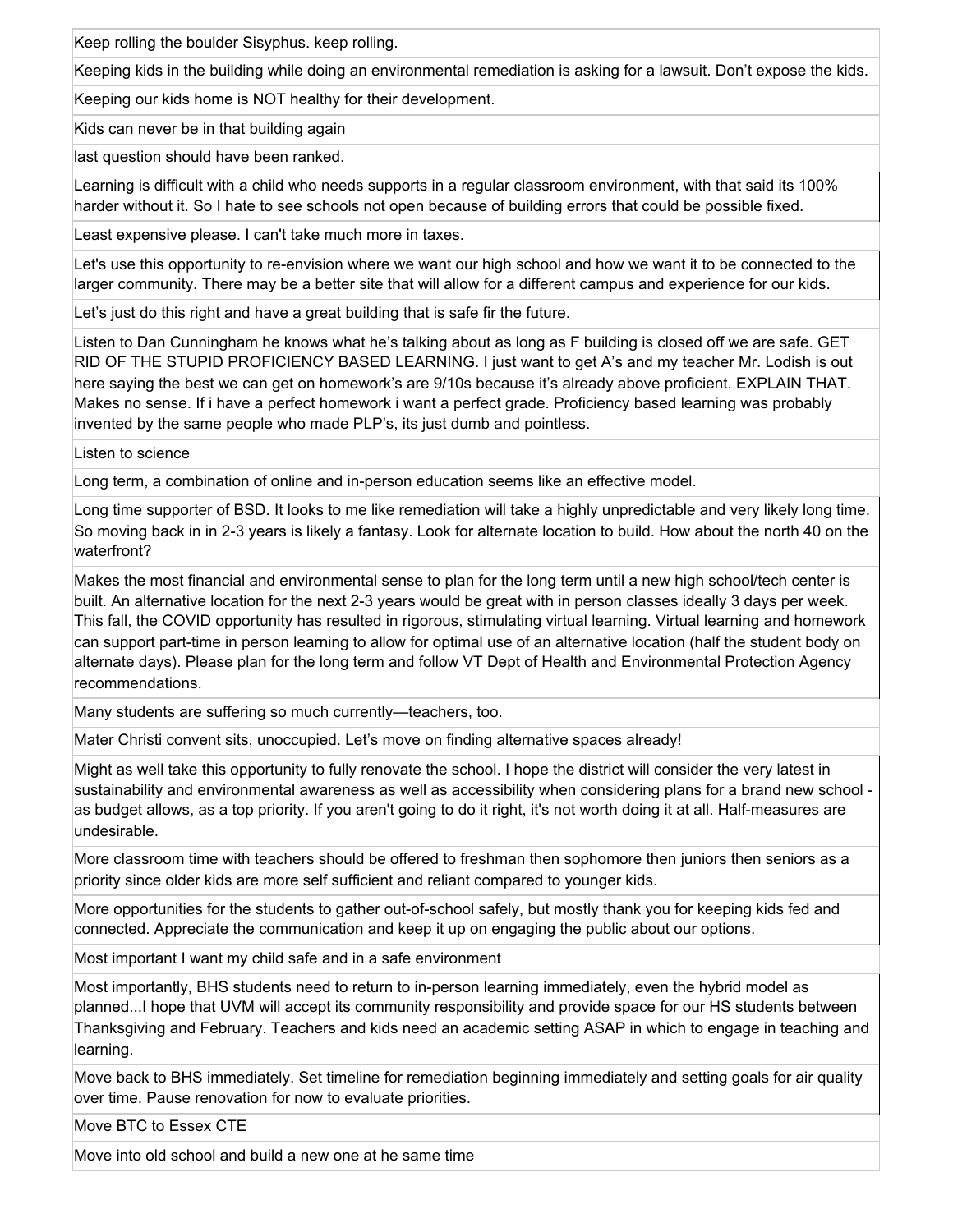Keep rolling the boulder Sisyphus. keep rolling.

Keeping kids in the building while doing an environmental remediation is asking for a lawsuit. Don't expose the kids.

Keeping our kids home is NOT healthy for their development.

Kids can never be in that building again

last question should have been ranked.

Learning is difficult with a child who needs supports in a regular classroom environment, with that said its 100% harder without it. So I hate to see schools not open because of building errors that could be possible fixed.

Least expensive please. I can't take much more in taxes.

Let's use this opportunity to re-envision where we want our high school and how we want it to be connected to the larger community. There may be a better site that will allow for a different campus and experience for our kids.

Let's just do this right and have a great building that is safe fir the future.

Listen to Dan Cunningham he knows what he's talking about as long as F building is closed off we are safe. GET RID OF THE STUPID PROFICIENCY BASED LEARNING. I just want to get A's and my teacher Mr. Lodish is out here saying the best we can get on homework's are 9/10s because it's already above proficient. EXPLAIN THAT. Makes no sense. If i have a perfect homework i want a perfect grade. Proficiency based learning was probably invented by the same people who made PLP's, its just dumb and pointless.

Listen to science

Long term, a combination of online and in-person education seems like an effective model.

Long time supporter of BSD. It looks to me like remediation will take a highly unpredictable and very likely long time. So moving back in in 2-3 years is likely a fantasy. Look for alternate location to build. How about the north 40 on the waterfront?

Makes the most financial and environmental sense to plan for the long term until a new high school/tech center is built. An alternative location for the next 2-3 years would be great with in person classes ideally 3 days per week. This fall, the COVID opportunity has resulted in rigorous, stimulating virtual learning. Virtual learning and homework can support part-time in person learning to allow for optimal use of an alternative location (half the student body on alternate days). Please plan for the long term and follow VT Dept of Health and Environmental Protection Agency recommendations.

Many students are suffering so much currently—teachers, too.

Mater Christi convent sits, unoccupied. Let's move on finding alternative spaces already!

Might as well take this opportunity to fully renovate the school. I hope the district will consider the very latest in sustainability and environmental awareness as well as accessibility when considering plans for a brand new school as budget allows, as a top priority. If you aren't going to do it right, it's not worth doing it at all. Half-measures are undesirable.

More classroom time with teachers should be offered to freshman then sophomore then juniors then seniors as a priority since older kids are more self sufficient and reliant compared to younger kids.

More opportunities for the students to gather out-of-school safely, but mostly thank you for keeping kids fed and connected. Appreciate the communication and keep it up on engaging the public about our options.

Most important I want my child safe and in a safe environment

Most importantly, BHS students need to return to in-person learning immediately, even the hybrid model as planned...I hope that UVM will accept its community responsibility and provide space for our HS students between Thanksgiving and February. Teachers and kids need an academic setting ASAP in which to engage in teaching and learning.

Move back to BHS immediately. Set timeline for remediation beginning immediately and setting goals for air quality over time. Pause renovation for now to evaluate priorities.

Move BTC to Essex CTE

Move into old school and build a new one at he same time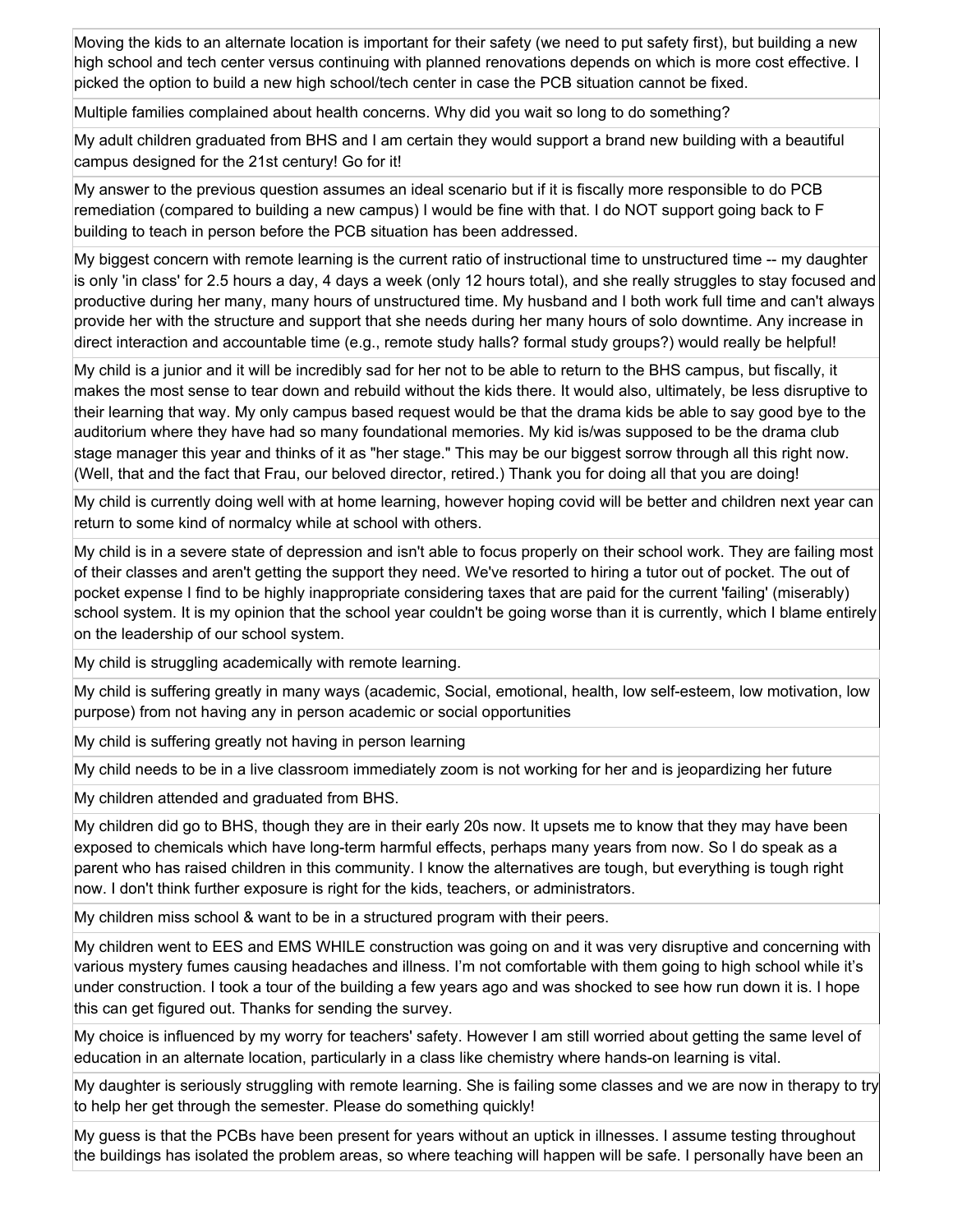Moving the kids to an alternate location is important for their safety (we need to put safety first), but building a new high school and tech center versus continuing with planned renovations depends on which is more cost effective. I picked the option to build a new high school/tech center in case the PCB situation cannot be fixed.

Multiple families complained about health concerns. Why did you wait so long to do something?

My adult children graduated from BHS and I am certain they would support a brand new building with a beautiful campus designed for the 21st century! Go for it!

My answer to the previous question assumes an ideal scenario but if it is fiscally more responsible to do PCB remediation (compared to building a new campus) I would be fine with that. I do NOT support going back to F building to teach in person before the PCB situation has been addressed.

My biggest concern with remote learning is the current ratio of instructional time to unstructured time -- my daughter is only 'in class' for 2.5 hours a day, 4 days a week (only 12 hours total), and she really struggles to stay focused and productive during her many, many hours of unstructured time. My husband and I both work full time and can't always provide her with the structure and support that she needs during her many hours of solo downtime. Any increase in direct interaction and accountable time (e.g., remote study halls? formal study groups?) would really be helpful!

My child is a junior and it will be incredibly sad for her not to be able to return to the BHS campus, but fiscally, it makes the most sense to tear down and rebuild without the kids there. It would also, ultimately, be less disruptive to their learning that way. My only campus based request would be that the drama kids be able to say good bye to the auditorium where they have had so many foundational memories. My kid is/was supposed to be the drama club stage manager this year and thinks of it as "her stage." This may be our biggest sorrow through all this right now. (Well, that and the fact that Frau, our beloved director, retired.) Thank you for doing all that you are doing!

My child is currently doing well with at home learning, however hoping covid will be better and children next year can return to some kind of normalcy while at school with others.

My child is in a severe state of depression and isn't able to focus properly on their school work. They are failing most of their classes and aren't getting the support they need. We've resorted to hiring a tutor out of pocket. The out of pocket expense I find to be highly inappropriate considering taxes that are paid for the current 'failing' (miserably) school system. It is my opinion that the school year couldn't be going worse than it is currently, which I blame entirely on the leadership of our school system.

My child is struggling academically with remote learning.

My child is suffering greatly in many ways (academic, Social, emotional, health, low self-esteem, low motivation, low purpose) from not having any in person academic or social opportunities

My child is suffering greatly not having in person learning

My child needs to be in a live classroom immediately zoom is not working for her and is jeopardizing her future

My children attended and graduated from BHS.

My children did go to BHS, though they are in their early 20s now. It upsets me to know that they may have been exposed to chemicals which have long-term harmful effects, perhaps many years from now. So I do speak as a parent who has raised children in this community. I know the alternatives are tough, but everything is tough right now. I don't think further exposure is right for the kids, teachers, or administrators.

My children miss school & want to be in a structured program with their peers.

My children went to EES and EMS WHILE construction was going on and it was very disruptive and concerning with various mystery fumes causing headaches and illness. I'm not comfortable with them going to high school while it's under construction. I took a tour of the building a few years ago and was shocked to see how run down it is. I hope this can get figured out. Thanks for sending the survey.

My choice is influenced by my worry for teachers' safety. However I am still worried about getting the same level of education in an alternate location, particularly in a class like chemistry where hands-on learning is vital.

My daughter is seriously struggling with remote learning. She is failing some classes and we are now in therapy to try to help her get through the semester. Please do something quickly!

My guess is that the PCBs have been present for years without an uptick in illnesses. I assume testing throughout the buildings has isolated the problem areas, so where teaching will happen will be safe. I personally have been an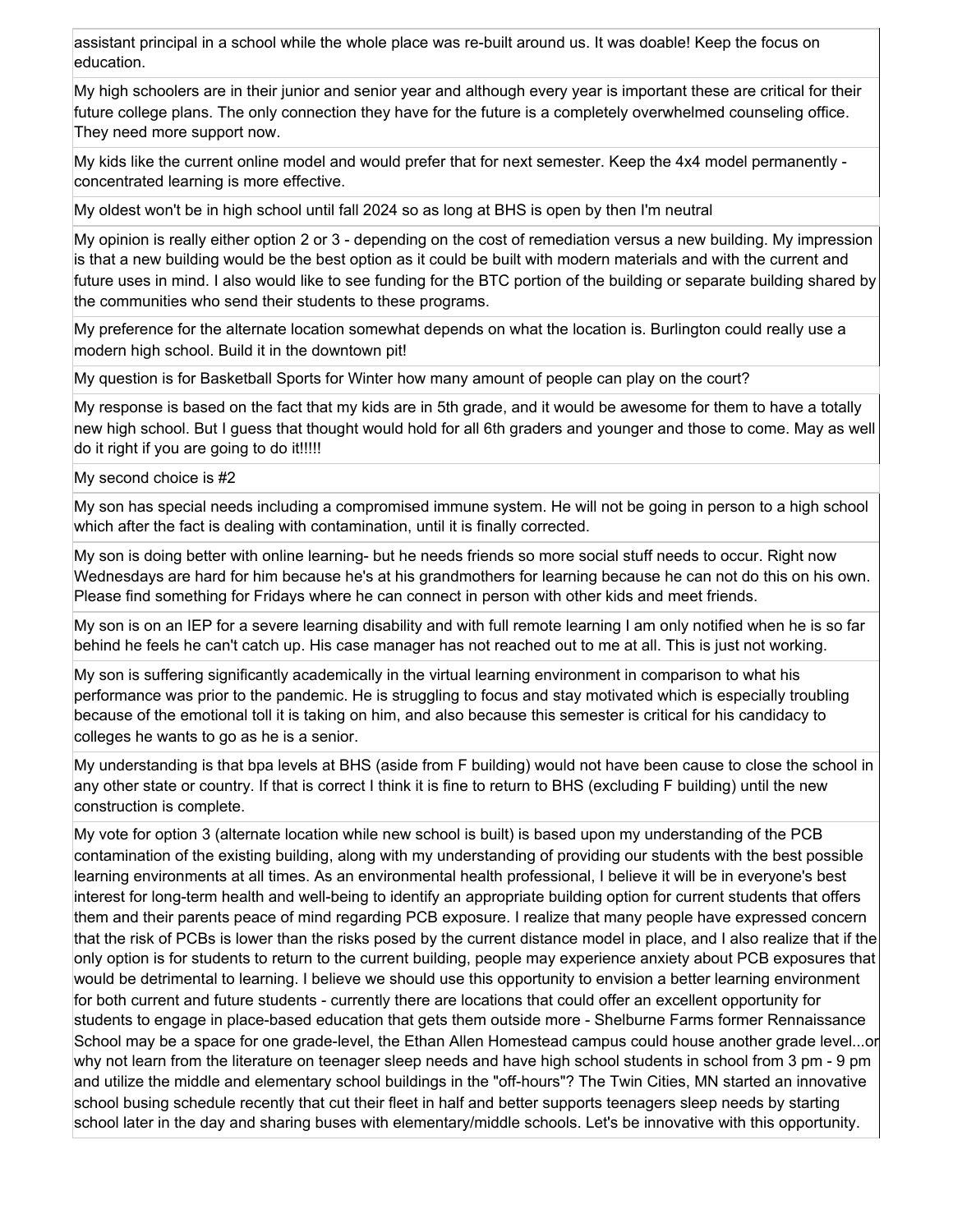assistant principal in a school while the whole place was re-built around us. It was doable! Keep the focus on education.

My high schoolers are in their junior and senior year and although every year is important these are critical for their future college plans. The only connection they have for the future is a completely overwhelmed counseling office. They need more support now.

My kids like the current online model and would prefer that for next semester. Keep the 4x4 model permanently concentrated learning is more effective.

My oldest won't be in high school until fall 2024 so as long at BHS is open by then I'm neutral

My opinion is really either option 2 or 3 - depending on the cost of remediation versus a new building. My impression is that a new building would be the best option as it could be built with modern materials and with the current and future uses in mind. I also would like to see funding for the BTC portion of the building or separate building shared by the communities who send their students to these programs.

My preference for the alternate location somewhat depends on what the location is. Burlington could really use a modern high school. Build it in the downtown pit!

My question is for Basketball Sports for Winter how many amount of people can play on the court?

My response is based on the fact that my kids are in 5th grade, and it would be awesome for them to have a totally new high school. But I guess that thought would hold for all 6th graders and younger and those to come. May as well do it right if you are going to do it!!!!!

My second choice is #2

My son has special needs including a compromised immune system. He will not be going in person to a high school which after the fact is dealing with contamination, until it is finally corrected.

My son is doing better with online learning- but he needs friends so more social stuff needs to occur. Right now Wednesdays are hard for him because he's at his grandmothers for learning because he can not do this on his own. Please find something for Fridays where he can connect in person with other kids and meet friends.

My son is on an IEP for a severe learning disability and with full remote learning I am only notified when he is so far behind he feels he can't catch up. His case manager has not reached out to me at all. This is just not working.

My son is suffering significantly academically in the virtual learning environment in comparison to what his performance was prior to the pandemic. He is struggling to focus and stay motivated which is especially troubling because of the emotional toll it is taking on him, and also because this semester is critical for his candidacy to colleges he wants to go as he is a senior.

My understanding is that bpa levels at BHS (aside from F building) would not have been cause to close the school in any other state or country. If that is correct I think it is fine to return to BHS (excluding F building) until the new construction is complete.

My vote for option 3 (alternate location while new school is built) is based upon my understanding of the PCB contamination of the existing building, along with my understanding of providing our students with the best possible learning environments at all times. As an environmental health professional, I believe it will be in everyone's best interest for long-term health and well-being to identify an appropriate building option for current students that offers them and their parents peace of mind regarding PCB exposure. I realize that many people have expressed concern that the risk of PCBs is lower than the risks posed by the current distance model in place, and I also realize that if the only option is for students to return to the current building, people may experience anxiety about PCB exposures that would be detrimental to learning. I believe we should use this opportunity to envision a better learning environment for both current and future students - currently there are locations that could offer an excellent opportunity for students to engage in place-based education that gets them outside more - Shelburne Farms former Rennaissance School may be a space for one grade-level, the Ethan Allen Homestead campus could house another grade level...or why not learn from the literature on teenager sleep needs and have high school students in school from 3 pm - 9 pm and utilize the middle and elementary school buildings in the "off-hours"? The Twin Cities, MN started an innovative school busing schedule recently that cut their fleet in half and better supports teenagers sleep needs by starting school later in the day and sharing buses with elementary/middle schools. Let's be innovative with this opportunity.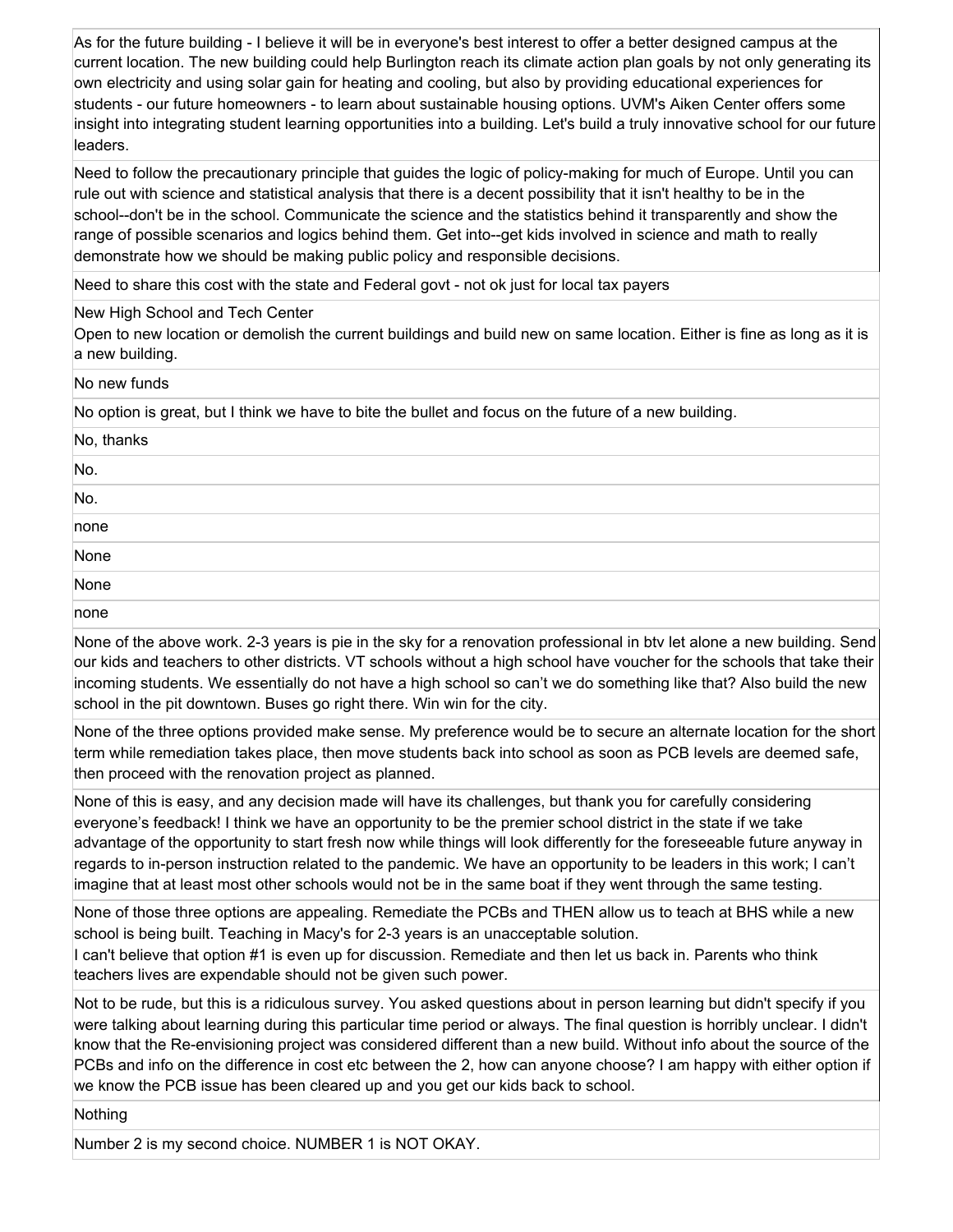As for the future building - I believe it will be in everyone's best interest to offer a better designed campus at the current location. The new building could help Burlington reach its climate action plan goals by not only generating its own electricity and using solar gain for heating and cooling, but also by providing educational experiences for students - our future homeowners - to learn about sustainable housing options. UVM's Aiken Center offers some insight into integrating student learning opportunities into a building. Let's build a truly innovative school for our future leaders.

Need to follow the precautionary principle that guides the logic of policy-making for much of Europe. Until you can rule out with science and statistical analysis that there is a decent possibility that it isn't healthy to be in the school--don't be in the school. Communicate the science and the statistics behind it transparently and show the range of possible scenarios and logics behind them. Get into--get kids involved in science and math to really demonstrate how we should be making public policy and responsible decisions.

Need to share this cost with the state and Federal govt - not ok just for local tax payers

New High School and Tech Center

Open to new location or demolish the current buildings and build new on same location. Either is fine as long as it is a new building.

No new funds

No option is great, but I think we have to bite the bullet and focus on the future of a new building.

| No, thanks   |  |  |
|--------------|--|--|
| No.          |  |  |
| No.          |  |  |
| $\n  none\n$ |  |  |
| None<br>None |  |  |
|              |  |  |
| none         |  |  |

None of the above work. 2-3 years is pie in the sky for a renovation professional in btv let alone a new building. Send our kids and teachers to other districts. VT schools without a high school have voucher for the schools that take their incoming students. We essentially do not have a high school so can't we do something like that? Also build the new school in the pit downtown. Buses go right there. Win win for the city.

None of the three options provided make sense. My preference would be to secure an alternate location for the short term while remediation takes place, then move students back into school as soon as PCB levels are deemed safe, then proceed with the renovation project as planned.

None of this is easy, and any decision made will have its challenges, but thank you for carefully considering everyone's feedback! I think we have an opportunity to be the premier school district in the state if we take advantage of the opportunity to start fresh now while things will look differently for the foreseeable future anyway in regards to in-person instruction related to the pandemic. We have an opportunity to be leaders in this work; I can't imagine that at least most other schools would not be in the same boat if they went through the same testing.

None of those three options are appealing. Remediate the PCBs and THEN allow us to teach at BHS while a new school is being built. Teaching in Macy's for 2-3 years is an unacceptable solution.

I can't believe that option #1 is even up for discussion. Remediate and then let us back in. Parents who think teachers lives are expendable should not be given such power.

Not to be rude, but this is a ridiculous survey. You asked questions about in person learning but didn't specify if you were talking about learning during this particular time period or always. The final question is horribly unclear. I didn't know that the Re-envisioning project was considered different than a new build. Without info about the source of the PCBs and info on the difference in cost etc between the 2, how can anyone choose? I am happy with either option if we know the PCB issue has been cleared up and you get our kids back to school.

Nothing

Number 2 is my second choice. NUMBER 1 is NOT OKAY.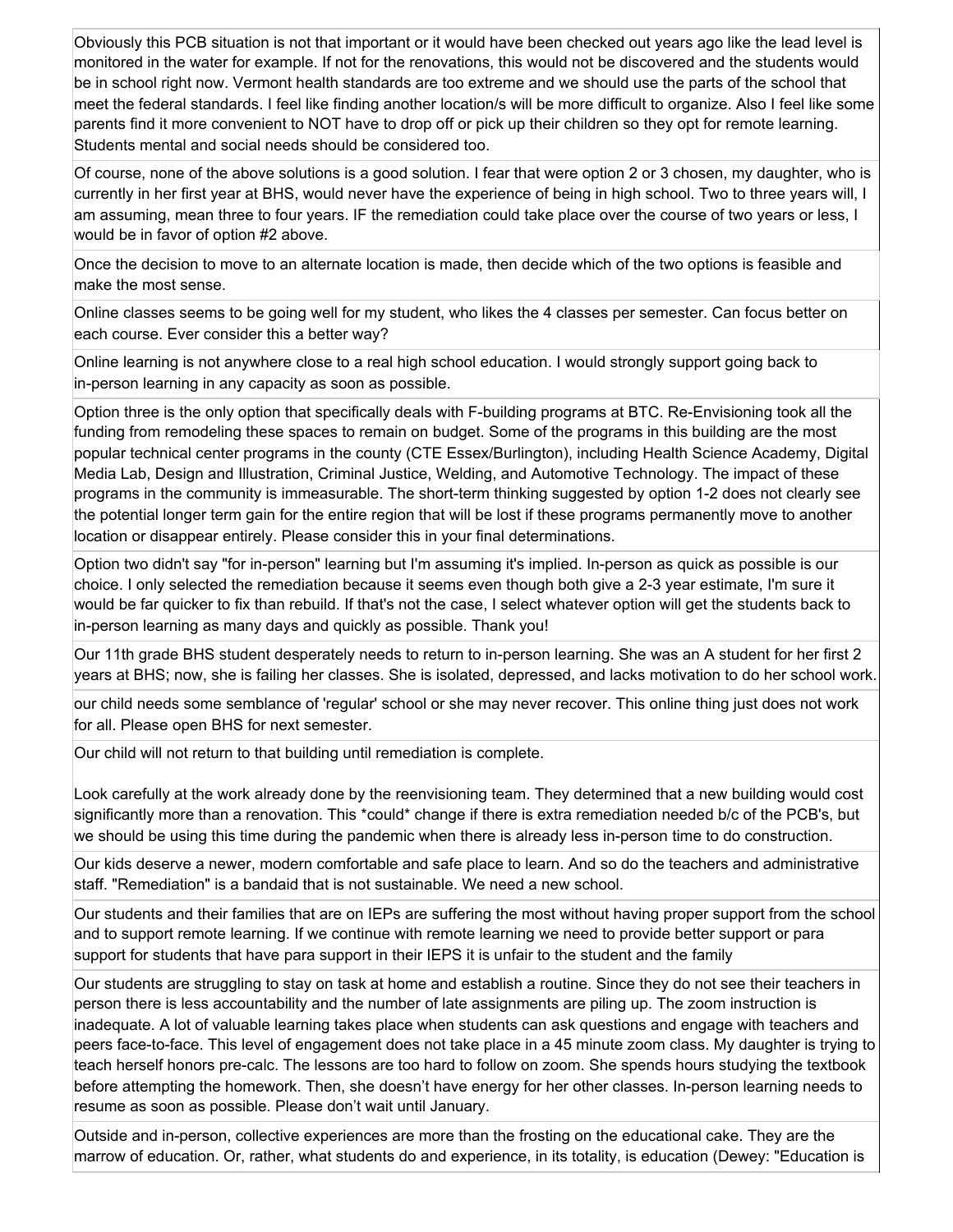Obviously this PCB situation is not that important or it would have been checked out years ago like the lead level is monitored in the water for example. If not for the renovations, this would not be discovered and the students would be in school right now. Vermont health standards are too extreme and we should use the parts of the school that meet the federal standards. I feel like finding another location/s will be more difficult to organize. Also I feel like some parents find it more convenient to NOT have to drop off or pick up their children so they opt for remote learning. Students mental and social needs should be considered too.

Of course, none of the above solutions is a good solution. I fear that were option 2 or 3 chosen, my daughter, who is currently in her first year at BHS, would never have the experience of being in high school. Two to three years will, I am assuming, mean three to four years. IF the remediation could take place over the course of two years or less, I would be in favor of option #2 above.

Once the decision to move to an alternate location is made, then decide which of the two options is feasible and make the most sense.

Online classes seems to be going well for my student, who likes the 4 classes per semester. Can focus better on each course. Ever consider this a better way?

Online learning is not anywhere close to a real high school education. I would strongly support going back to in-person learning in any capacity as soon as possible.

Option three is the only option that specifically deals with F-building programs at BTC. Re-Envisioning took all the funding from remodeling these spaces to remain on budget. Some of the programs in this building are the most popular technical center programs in the county (CTE Essex/Burlington), including Health Science Academy, Digital Media Lab, Design and Illustration, Criminal Justice, Welding, and Automotive Technology. The impact of these programs in the community is immeasurable. The short-term thinking suggested by option 1-2 does not clearly see the potential longer term gain for the entire region that will be lost if these programs permanently move to another location or disappear entirely. Please consider this in your final determinations.

Option two didn't say "for in-person" learning but I'm assuming it's implied. In-person as quick as possible is our choice. I only selected the remediation because it seems even though both give a 2-3 year estimate, I'm sure it would be far quicker to fix than rebuild. If that's not the case, I select whatever option will get the students back to in-person learning as many days and quickly as possible. Thank you!

Our 11th grade BHS student desperately needs to return to in-person learning. She was an A student for her first 2 years at BHS; now, she is failing her classes. She is isolated, depressed, and lacks motivation to do her school work.

our child needs some semblance of 'regular' school or she may never recover. This online thing just does not work for all. Please open BHS for next semester.

Our child will not return to that building until remediation is complete.

Look carefully at the work already done by the reenvisioning team. They determined that a new building would cost significantly more than a renovation. This \*could\* change if there is extra remediation needed b/c of the PCB's, but we should be using this time during the pandemic when there is already less in-person time to do construction.

Our kids deserve a newer, modern comfortable and safe place to learn. And so do the teachers and administrative staff. "Remediation" is a bandaid that is not sustainable. We need a new school.

Our students and their families that are on IEPs are suffering the most without having proper support from the school and to support remote learning. If we continue with remote learning we need to provide better support or para support for students that have para support in their IEPS it is unfair to the student and the family

Our students are struggling to stay on task at home and establish a routine. Since they do not see their teachers in person there is less accountability and the number of late assignments are piling up. The zoom instruction is inadequate. A lot of valuable learning takes place when students can ask questions and engage with teachers and peers face-to-face. This level of engagement does not take place in a 45 minute zoom class. My daughter is trying to teach herself honors pre-calc. The lessons are too hard to follow on zoom. She spends hours studying the textbook before attempting the homework. Then, she doesn't have energy for her other classes. In-person learning needs to resume as soon as possible. Please don't wait until January.

Outside and in-person, collective experiences are more than the frosting on the educational cake. They are the marrow of education. Or, rather, what students do and experience, in its totality, is education (Dewey: "Education is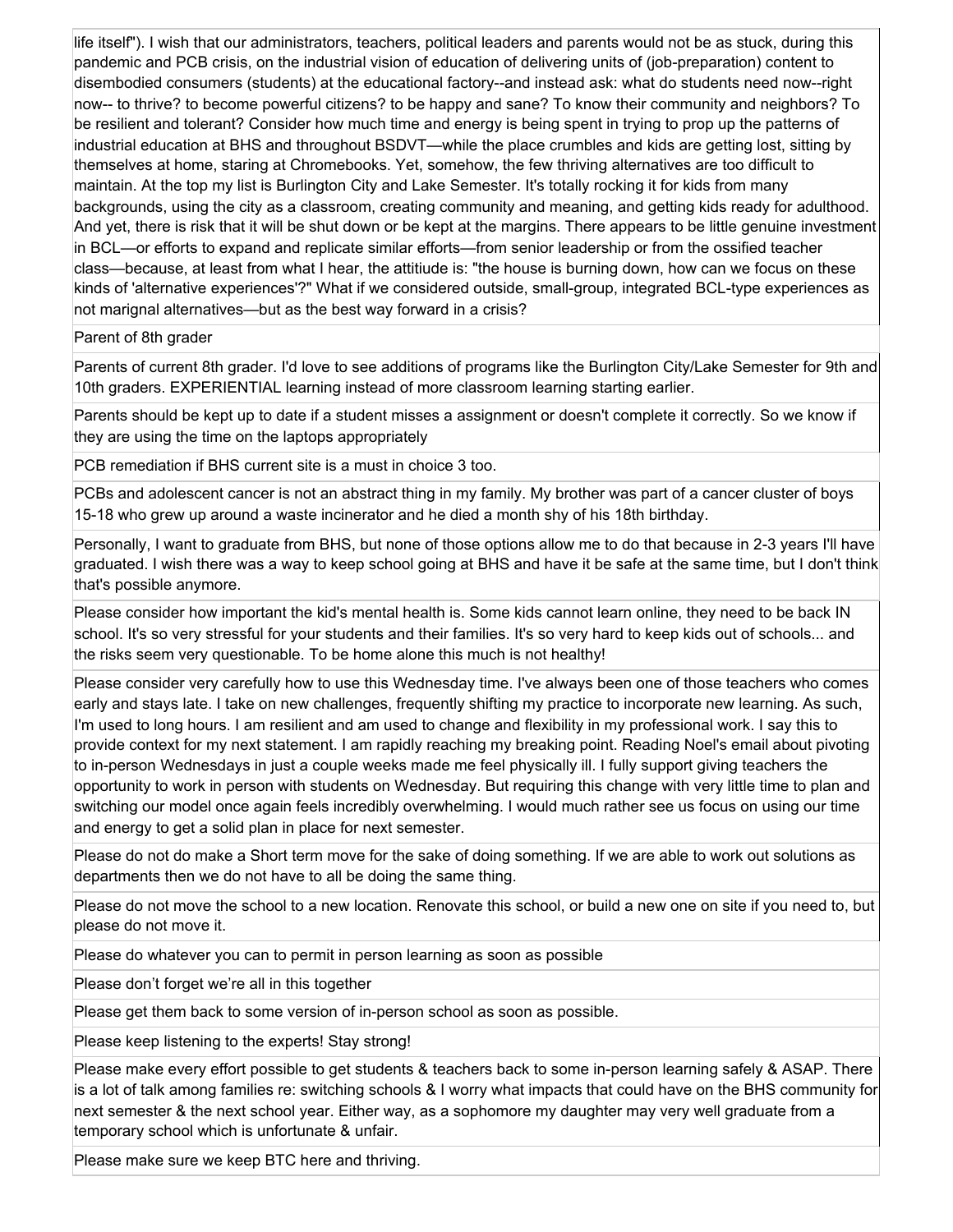life itself"). I wish that our administrators, teachers, political leaders and parents would not be as stuck, during this pandemic and PCB crisis, on the industrial vision of education of delivering units of (job-preparation) content to disembodied consumers (students) at the educational factory--and instead ask: what do students need now--right now-- to thrive? to become powerful citizens? to be happy and sane? To know their community and neighbors? To be resilient and tolerant? Consider how much time and energy is being spent in trying to prop up the patterns of industrial education at BHS and throughout BSDVT—while the place crumbles and kids are getting lost, sitting by themselves at home, staring at Chromebooks. Yet, somehow, the few thriving alternatives are too difficult to maintain. At the top my list is Burlington City and Lake Semester. It's totally rocking it for kids from many backgrounds, using the city as a classroom, creating community and meaning, and getting kids ready for adulthood. And yet, there is risk that it will be shut down or be kept at the margins. There appears to be little genuine investment in BCL—or efforts to expand and replicate similar efforts—from senior leadership or from the ossified teacher class—because, at least from what I hear, the attitiude is: "the house is burning down, how can we focus on these kinds of 'alternative experiences'?" What if we considered outside, small-group, integrated BCL-type experiences as not marignal alternatives—but as the best way forward in a crisis?

Parent of 8th grader

Parents of current 8th grader. I'd love to see additions of programs like the Burlington City/Lake Semester for 9th and 10th graders. EXPERIENTIAL learning instead of more classroom learning starting earlier.

Parents should be kept up to date if a student misses a assignment or doesn't complete it correctly. So we know if they are using the time on the laptops appropriately

PCB remediation if BHS current site is a must in choice 3 too.

PCBs and adolescent cancer is not an abstract thing in my family. My brother was part of a cancer cluster of boys 15-18 who grew up around a waste incinerator and he died a month shy of his 18th birthday.

Personally, I want to graduate from BHS, but none of those options allow me to do that because in 2-3 years I'll have graduated. I wish there was a way to keep school going at BHS and have it be safe at the same time, but I don't think that's possible anymore.

Please consider how important the kid's mental health is. Some kids cannot learn online, they need to be back IN school. It's so very stressful for your students and their families. It's so very hard to keep kids out of schools... and the risks seem very questionable. To be home alone this much is not healthy!

Please consider very carefully how to use this Wednesday time. I've always been one of those teachers who comes early and stays late. I take on new challenges, frequently shifting my practice to incorporate new learning. As such, I'm used to long hours. I am resilient and am used to change and flexibility in my professional work. I say this to provide context for my next statement. I am rapidly reaching my breaking point. Reading Noel's email about pivoting to in-person Wednesdays in just a couple weeks made me feel physically ill. I fully support giving teachers the opportunity to work in person with students on Wednesday. But requiring this change with very little time to plan and switching our model once again feels incredibly overwhelming. I would much rather see us focus on using our time and energy to get a solid plan in place for next semester.

Please do not do make a Short term move for the sake of doing something. If we are able to work out solutions as departments then we do not have to all be doing the same thing.

Please do not move the school to a new location. Renovate this school, or build a new one on site if you need to, but please do not move it.

Please do whatever you can to permit in person learning as soon as possible

Please don't forget we're all in this together

Please get them back to some version of in-person school as soon as possible.

Please keep listening to the experts! Stay strong!

Please make every effort possible to get students & teachers back to some in-person learning safely & ASAP. There is a lot of talk among families re: switching schools & I worry what impacts that could have on the BHS community for next semester & the next school year. Either way, as a sophomore my daughter may very well graduate from a temporary school which is unfortunate & unfair.

Please make sure we keep BTC here and thriving.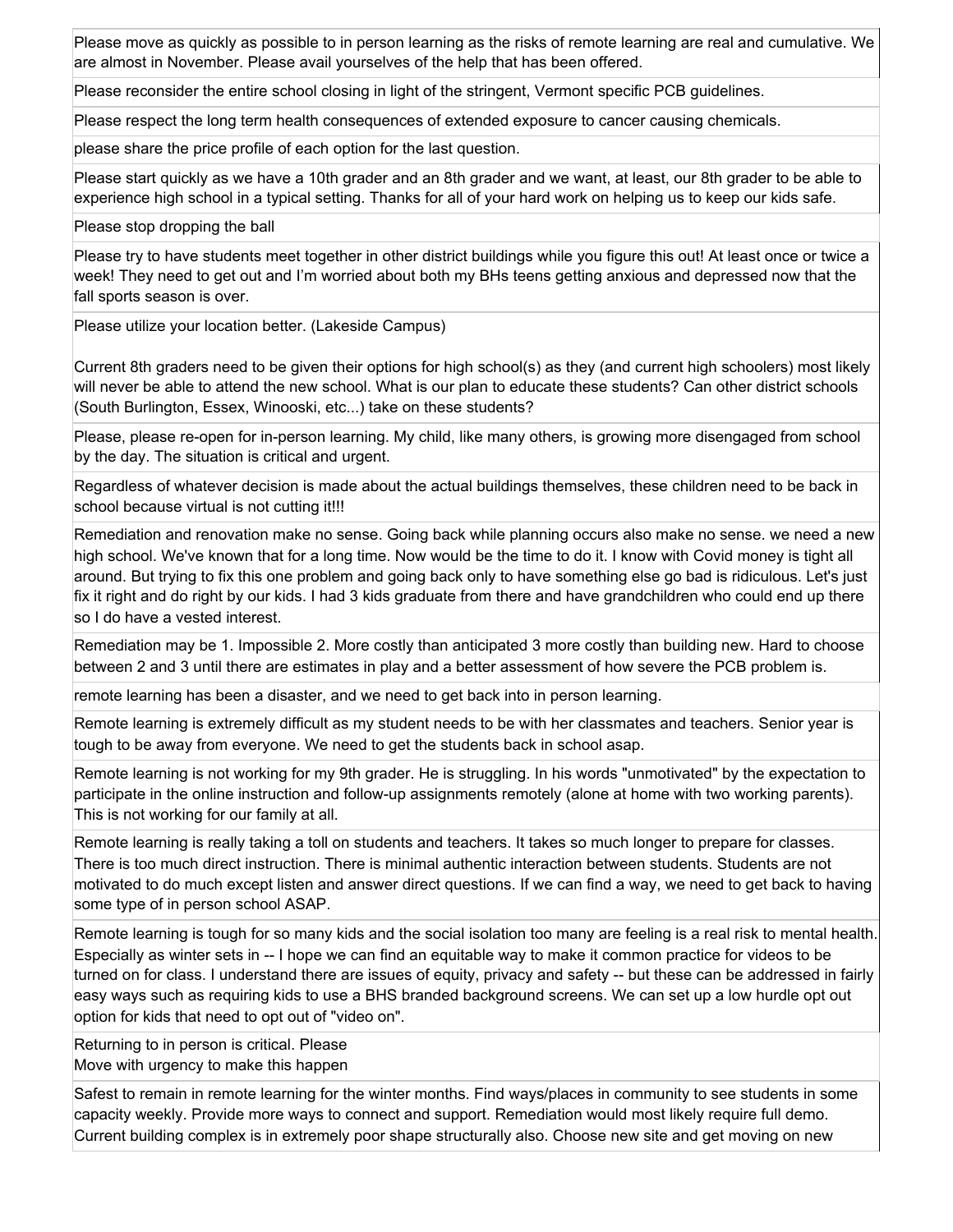Please move as quickly as possible to in person learning as the risks of remote learning are real and cumulative. We are almost in November. Please avail yourselves of the help that has been offered.

Please reconsider the entire school closing in light of the stringent, Vermont specific PCB guidelines.

Please respect the long term health consequences of extended exposure to cancer causing chemicals.

please share the price profile of each option for the last question.

Please start quickly as we have a 10th grader and an 8th grader and we want, at least, our 8th grader to be able to experience high school in a typical setting. Thanks for all of your hard work on helping us to keep our kids safe.

Please stop dropping the ball

Please try to have students meet together in other district buildings while you figure this out! At least once or twice a week! They need to get out and I'm worried about both my BHs teens getting anxious and depressed now that the fall sports season is over.

Please utilize your location better. (Lakeside Campus)

Current 8th graders need to be given their options for high school(s) as they (and current high schoolers) most likely will never be able to attend the new school. What is our plan to educate these students? Can other district schools (South Burlington, Essex, Winooski, etc...) take on these students?

Please, please re-open for in-person learning. My child, like many others, is growing more disengaged from school by the day. The situation is critical and urgent.

Regardless of whatever decision is made about the actual buildings themselves, these children need to be back in school because virtual is not cutting it!!!

Remediation and renovation make no sense. Going back while planning occurs also make no sense. we need a new high school. We've known that for a long time. Now would be the time to do it. I know with Covid money is tight all around. But trying to fix this one problem and going back only to have something else go bad is ridiculous. Let's just fix it right and do right by our kids. I had 3 kids graduate from there and have grandchildren who could end up there so I do have a vested interest.

Remediation may be 1. Impossible 2. More costly than anticipated 3 more costly than building new. Hard to choose between 2 and 3 until there are estimates in play and a better assessment of how severe the PCB problem is.

remote learning has been a disaster, and we need to get back into in person learning.

Remote learning is extremely difficult as my student needs to be with her classmates and teachers. Senior year is tough to be away from everyone. We need to get the students back in school asap.

Remote learning is not working for my 9th grader. He is struggling. In his words "unmotivated" by the expectation to participate in the online instruction and follow-up assignments remotely (alone at home with two working parents). This is not working for our family at all.

Remote learning is really taking a toll on students and teachers. It takes so much longer to prepare for classes. There is too much direct instruction. There is minimal authentic interaction between students. Students are not motivated to do much except listen and answer direct questions. If we can find a way, we need to get back to having some type of in person school ASAP.

Remote learning is tough for so many kids and the social isolation too many are feeling is a real risk to mental health. Especially as winter sets in -- I hope we can find an equitable way to make it common practice for videos to be turned on for class. I understand there are issues of equity, privacy and safety -- but these can be addressed in fairly easy ways such as requiring kids to use a BHS branded background screens. We can set up a low hurdle opt out option for kids that need to opt out of "video on".

Returning to in person is critical. Please Move with urgency to make this happen

Safest to remain in remote learning for the winter months. Find ways/places in community to see students in some capacity weekly. Provide more ways to connect and support. Remediation would most likely require full demo. Current building complex is in extremely poor shape structurally also. Choose new site and get moving on new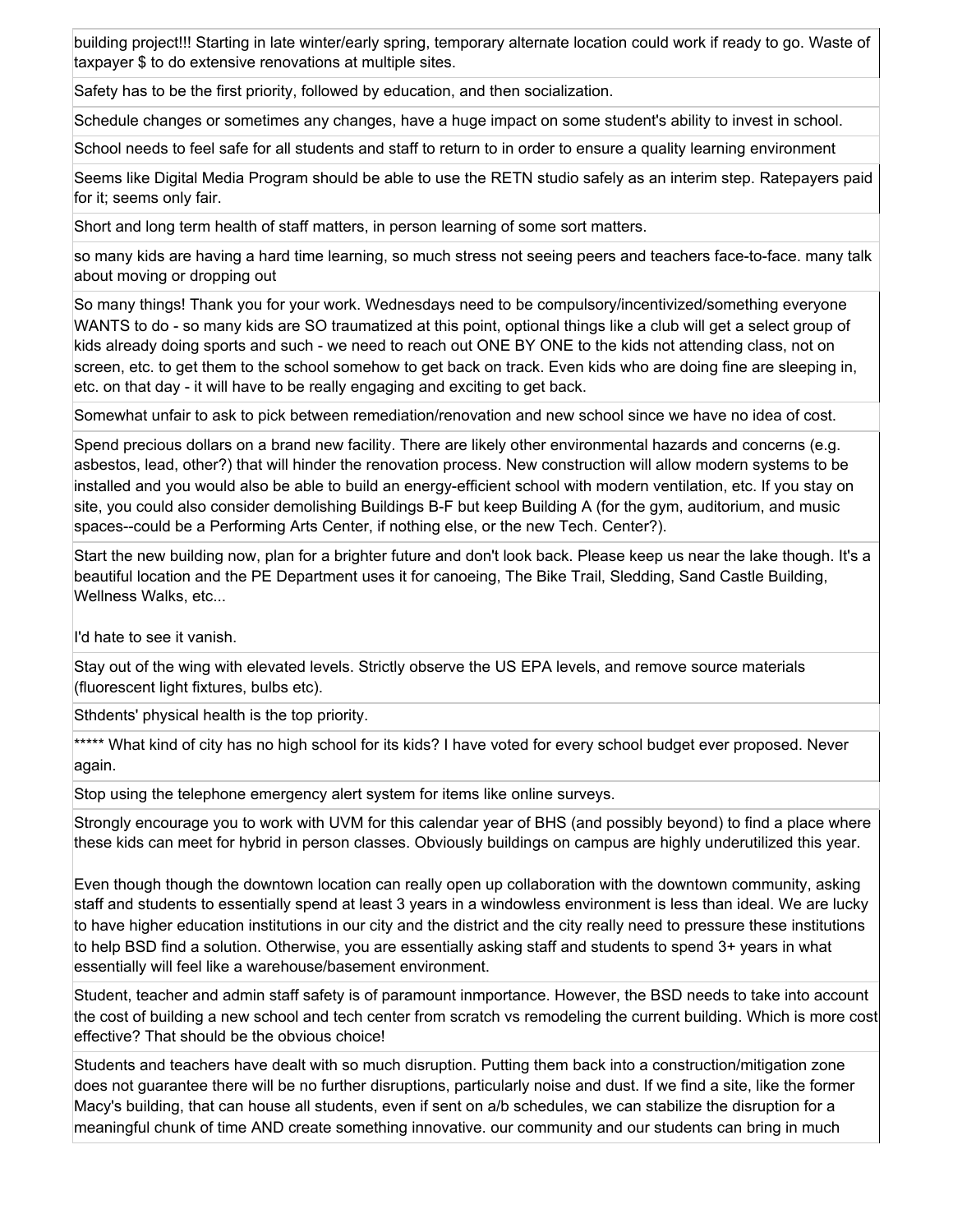building project!!! Starting in late winter/early spring, temporary alternate location could work if ready to go. Waste of taxpayer \$ to do extensive renovations at multiple sites.

Safety has to be the first priority, followed by education, and then socialization.

Schedule changes or sometimes any changes, have a huge impact on some student's ability to invest in school.

School needs to feel safe for all students and staff to return to in order to ensure a quality learning environment

Seems like Digital Media Program should be able to use the RETN studio safely as an interim step. Ratepayers paid for it; seems only fair.

Short and long term health of staff matters, in person learning of some sort matters.

so many kids are having a hard time learning, so much stress not seeing peers and teachers face-to-face. many talk about moving or dropping out

So many things! Thank you for your work. Wednesdays need to be compulsory/incentivized/something everyone WANTS to do - so many kids are SO traumatized at this point, optional things like a club will get a select group of kids already doing sports and such - we need to reach out ONE BY ONE to the kids not attending class, not on screen, etc. to get them to the school somehow to get back on track. Even kids who are doing fine are sleeping in, etc. on that day - it will have to be really engaging and exciting to get back.

Somewhat unfair to ask to pick between remediation/renovation and new school since we have no idea of cost.

Spend precious dollars on a brand new facility. There are likely other environmental hazards and concerns (e.g. asbestos, lead, other?) that will hinder the renovation process. New construction will allow modern systems to be installed and you would also be able to build an energy-efficient school with modern ventilation, etc. If you stay on site, you could also consider demolishing Buildings B-F but keep Building A (for the gym, auditorium, and music spaces--could be a Performing Arts Center, if nothing else, or the new Tech. Center?).

Start the new building now, plan for a brighter future and don't look back. Please keep us near the lake though. It's a beautiful location and the PE Department uses it for canoeing, The Bike Trail, Sledding, Sand Castle Building, Wellness Walks, etc...

I'd hate to see it vanish.

Stay out of the wing with elevated levels. Strictly observe the US EPA levels, and remove source materials (fluorescent light fixtures, bulbs etc).

Sthdents' physical health is the top priority.

\*\*\*\*\* What kind of city has no high school for its kids? I have voted for every school budget ever proposed. Never again.

Stop using the telephone emergency alert system for items like online surveys.

Strongly encourage you to work with UVM for this calendar year of BHS (and possibly beyond) to find a place where these kids can meet for hybrid in person classes. Obviously buildings on campus are highly underutilized this year.

Even though though the downtown location can really open up collaboration with the downtown community, asking staff and students to essentially spend at least 3 years in a windowless environment is less than ideal. We are lucky to have higher education institutions in our city and the district and the city really need to pressure these institutions to help BSD find a solution. Otherwise, you are essentially asking staff and students to spend 3+ years in what essentially will feel like a warehouse/basement environment.

Student, teacher and admin staff safety is of paramount inmportance. However, the BSD needs to take into account the cost of building a new school and tech center from scratch vs remodeling the current building. Which is more cost effective? That should be the obvious choice!

Students and teachers have dealt with so much disruption. Putting them back into a construction/mitigation zone does not guarantee there will be no further disruptions, particularly noise and dust. If we find a site, like the former Macy's building, that can house all students, even if sent on a/b schedules, we can stabilize the disruption for a meaningful chunk of time AND create something innovative. our community and our students can bring in much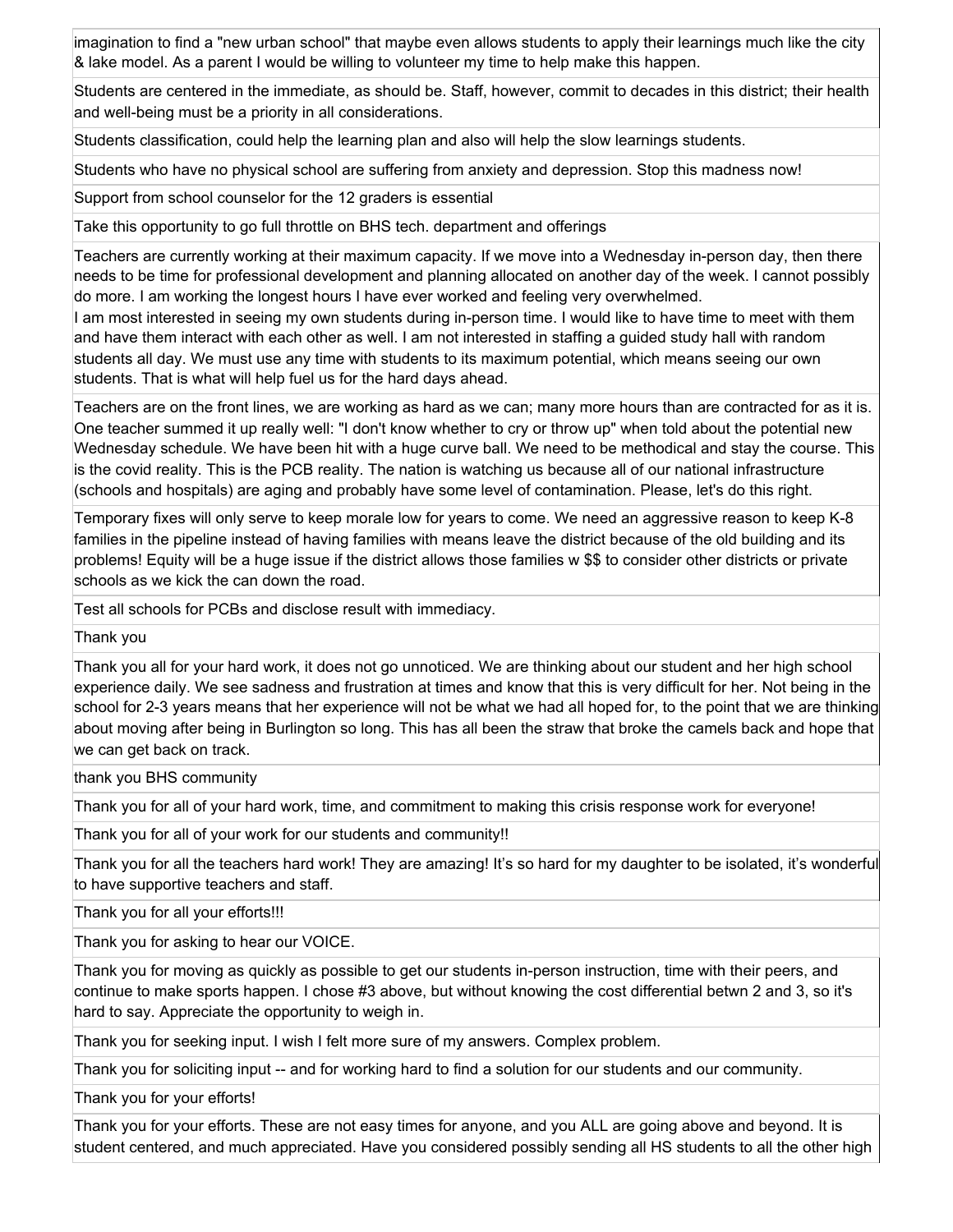imagination to find a "new urban school" that maybe even allows students to apply their learnings much like the city & lake model. As a parent I would be willing to volunteer my time to help make this happen.

Students are centered in the immediate, as should be. Staff, however, commit to decades in this district; their health and well-being must be a priority in all considerations.

Students classification, could help the learning plan and also will help the slow learnings students.

Students who have no physical school are suffering from anxiety and depression. Stop this madness now!

Support from school counselor for the 12 graders is essential

Take this opportunity to go full throttle on BHS tech. department and offerings

Teachers are currently working at their maximum capacity. If we move into a Wednesday in-person day, then there needs to be time for professional development and planning allocated on another day of the week. I cannot possibly do more. I am working the longest hours I have ever worked and feeling very overwhelmed.

I am most interested in seeing my own students during in-person time. I would like to have time to meet with them and have them interact with each other as well. I am not interested in staffing a guided study hall with random students all day. We must use any time with students to its maximum potential, which means seeing our own students. That is what will help fuel us for the hard days ahead.

Teachers are on the front lines, we are working as hard as we can; many more hours than are contracted for as it is. One teacher summed it up really well: "I don't know whether to cry or throw up" when told about the potential new Wednesday schedule. We have been hit with a huge curve ball. We need to be methodical and stay the course. This is the covid reality. This is the PCB reality. The nation is watching us because all of our national infrastructure (schools and hospitals) are aging and probably have some level of contamination. Please, let's do this right.

Temporary fixes will only serve to keep morale low for years to come. We need an aggressive reason to keep K-8 families in the pipeline instead of having families with means leave the district because of the old building and its problems! Equity will be a huge issue if the district allows those families w \$\$ to consider other districts or private schools as we kick the can down the road.

Test all schools for PCBs and disclose result with immediacy.

Thank you

Thank you all for your hard work, it does not go unnoticed. We are thinking about our student and her high school experience daily. We see sadness and frustration at times and know that this is very difficult for her. Not being in the school for 2-3 years means that her experience will not be what we had all hoped for, to the point that we are thinking about moving after being in Burlington so long. This has all been the straw that broke the camels back and hope that we can get back on track.

thank you BHS community

Thank you for all of your hard work, time, and commitment to making this crisis response work for everyone!

Thank you for all of your work for our students and community!!

Thank you for all the teachers hard work! They are amazing! It's so hard for my daughter to be isolated, it's wonderful to have supportive teachers and staff.

Thank you for all your efforts!!!

Thank you for asking to hear our VOICE.

Thank you for moving as quickly as possible to get our students in-person instruction, time with their peers, and continue to make sports happen. I chose #3 above, but without knowing the cost differential betwn 2 and 3, so it's hard to say. Appreciate the opportunity to weigh in.

Thank you for seeking input. I wish I felt more sure of my answers. Complex problem.

Thank you for soliciting input -- and for working hard to find a solution for our students and our community.

Thank you for your efforts!

Thank you for your efforts. These are not easy times for anyone, and you ALL are going above and beyond. It is student centered, and much appreciated. Have you considered possibly sending all HS students to all the other high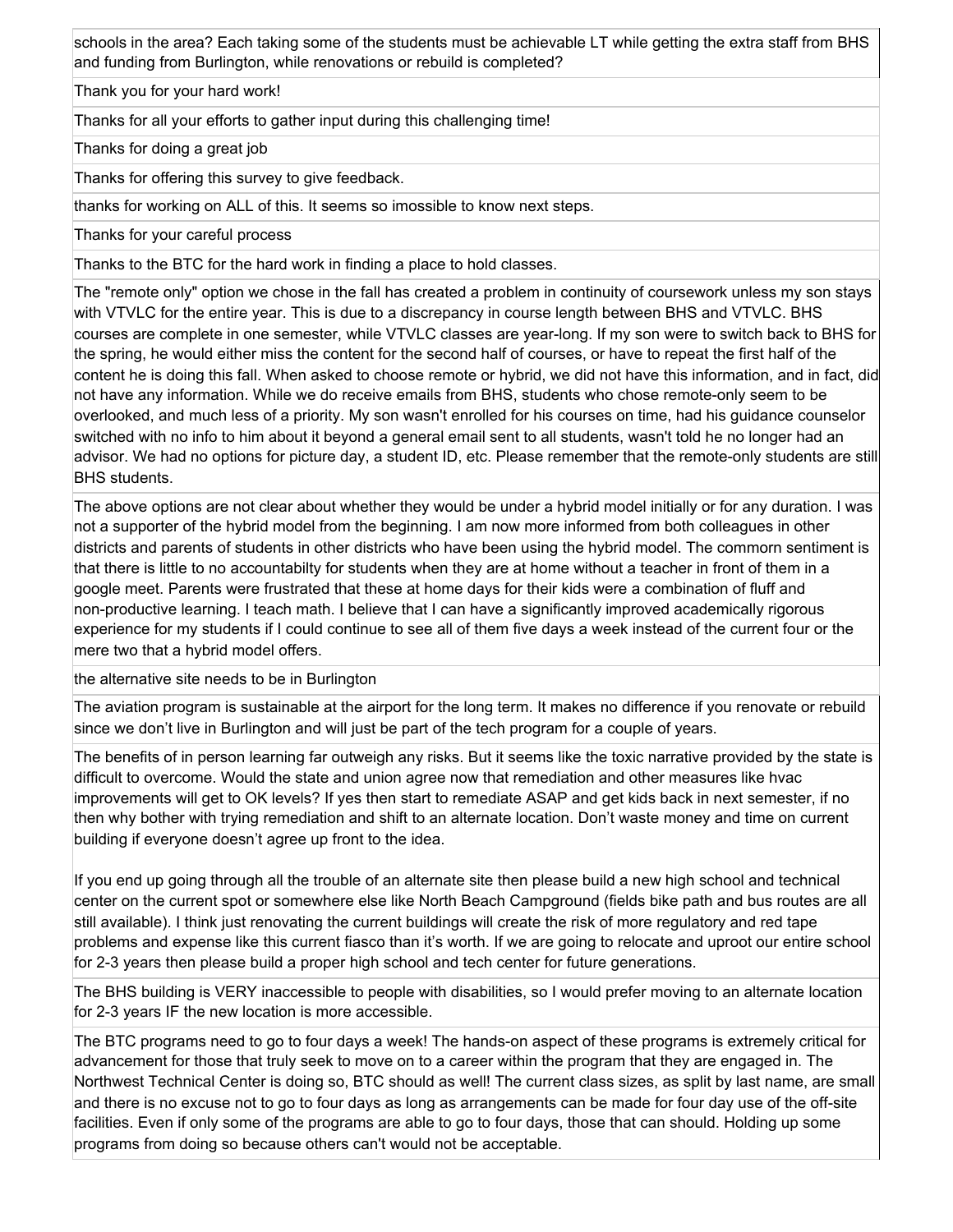schools in the area? Each taking some of the students must be achievable LT while getting the extra staff from BHS and funding from Burlington, while renovations or rebuild is completed?

Thank you for your hard work!

Thanks for all your efforts to gather input during this challenging time!

Thanks for doing a great job

Thanks for offering this survey to give feedback.

thanks for working on ALL of this. It seems so imossible to know next steps.

Thanks for your careful process

Thanks to the BTC for the hard work in finding a place to hold classes.

The "remote only" option we chose in the fall has created a problem in continuity of coursework unless my son stays with VTVLC for the entire year. This is due to a discrepancy in course length between BHS and VTVLC. BHS courses are complete in one semester, while VTVLC classes are year-long. If my son were to switch back to BHS for the spring, he would either miss the content for the second half of courses, or have to repeat the first half of the content he is doing this fall. When asked to choose remote or hybrid, we did not have this information, and in fact, did not have any information. While we do receive emails from BHS, students who chose remote-only seem to be overlooked, and much less of a priority. My son wasn't enrolled for his courses on time, had his guidance counselor switched with no info to him about it beyond a general email sent to all students, wasn't told he no longer had an advisor. We had no options for picture day, a student ID, etc. Please remember that the remote-only students are still BHS students.

The above options are not clear about whether they would be under a hybrid model initially or for any duration. I was not a supporter of the hybrid model from the beginning. I am now more informed from both colleagues in other districts and parents of students in other districts who have been using the hybrid model. The commorn sentiment is that there is little to no accountabilty for students when they are at home without a teacher in front of them in a google meet. Parents were frustrated that these at home days for their kids were a combination of fluff and non-productive learning. I teach math. I believe that I can have a significantly improved academically rigorous experience for my students if I could continue to see all of them five days a week instead of the current four or the mere two that a hybrid model offers.

the alternative site needs to be in Burlington

The aviation program is sustainable at the airport for the long term. It makes no difference if you renovate or rebuild since we don't live in Burlington and will just be part of the tech program for a couple of years.

The benefits of in person learning far outweigh any risks. But it seems like the toxic narrative provided by the state is difficult to overcome. Would the state and union agree now that remediation and other measures like hvac improvements will get to OK levels? If yes then start to remediate ASAP and get kids back in next semester, if no then why bother with trying remediation and shift to an alternate location. Don't waste money and time on current building if everyone doesn't agree up front to the idea.

If you end up going through all the trouble of an alternate site then please build a new high school and technical center on the current spot or somewhere else like North Beach Campground (fields bike path and bus routes are all still available). I think just renovating the current buildings will create the risk of more regulatory and red tape problems and expense like this current fiasco than it's worth. If we are going to relocate and uproot our entire school for 2-3 years then please build a proper high school and tech center for future generations.

The BHS building is VERY inaccessible to people with disabilities, so I would prefer moving to an alternate location for 2-3 years IF the new location is more accessible.

The BTC programs need to go to four days a week! The hands-on aspect of these programs is extremely critical for advancement for those that truly seek to move on to a career within the program that they are engaged in. The Northwest Technical Center is doing so, BTC should as well! The current class sizes, as split by last name, are small and there is no excuse not to go to four days as long as arrangements can be made for four day use of the off-site facilities. Even if only some of the programs are able to go to four days, those that can should. Holding up some programs from doing so because others can't would not be acceptable.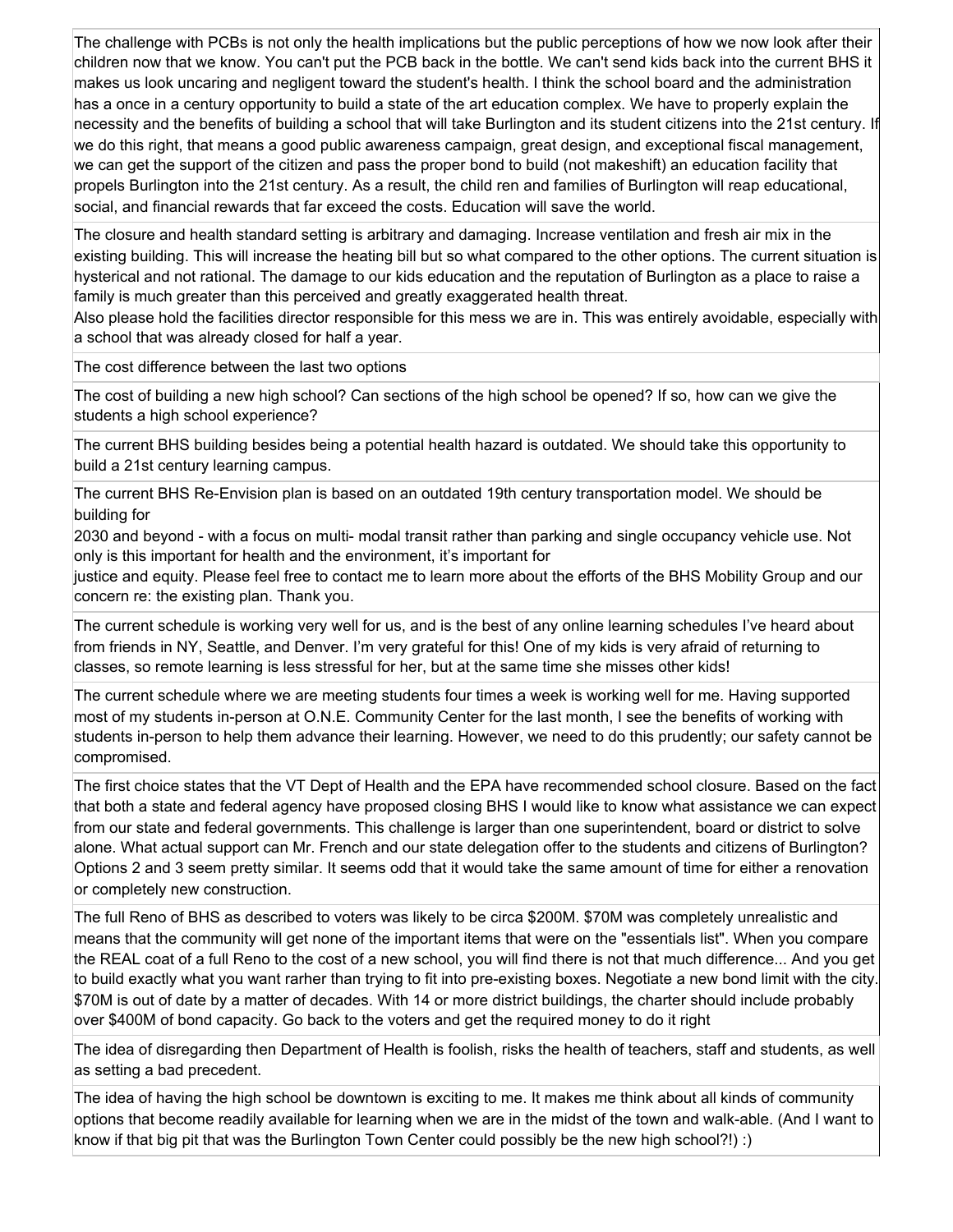The challenge with PCBs is not only the health implications but the public perceptions of how we now look after their children now that we know. You can't put the PCB back in the bottle. We can't send kids back into the current BHS it makes us look uncaring and negligent toward the student's health. I think the school board and the administration has a once in a century opportunity to build a state of the art education complex. We have to properly explain the necessity and the benefits of building a school that will take Burlington and its student citizens into the 21st century. If we do this right, that means a good public awareness campaign, great design, and exceptional fiscal management, we can get the support of the citizen and pass the proper bond to build (not makeshift) an education facility that propels Burlington into the 21st century. As a result, the child ren and families of Burlington will reap educational, social, and financial rewards that far exceed the costs. Education will save the world.

The closure and health standard setting is arbitrary and damaging. Increase ventilation and fresh air mix in the existing building. This will increase the heating bill but so what compared to the other options. The current situation is hysterical and not rational. The damage to our kids education and the reputation of Burlington as a place to raise a family is much greater than this perceived and greatly exaggerated health threat.

Also please hold the facilities director responsible for this mess we are in. This was entirely avoidable, especially with a school that was already closed for half a year.

The cost difference between the last two options

The cost of building a new high school? Can sections of the high school be opened? If so, how can we give the students a high school experience?

The current BHS building besides being a potential health hazard is outdated. We should take this opportunity to build a 21st century learning campus.

The current BHS Re-Envision plan is based on an outdated 19th century transportation model. We should be building for

2030 and beyond - with a focus on multi- modal transit rather than parking and single occupancy vehicle use. Not only is this important for health and the environment, it's important for

justice and equity. Please feel free to contact me to learn more about the efforts of the BHS Mobility Group and our concern re: the existing plan. Thank you.

The current schedule is working very well for us, and is the best of any online learning schedules I've heard about from friends in NY, Seattle, and Denver. I'm very grateful for this! One of my kids is very afraid of returning to classes, so remote learning is less stressful for her, but at the same time she misses other kids!

The current schedule where we are meeting students four times a week is working well for me. Having supported most of my students in-person at O.N.E. Community Center for the last month, I see the benefits of working with students in-person to help them advance their learning. However, we need to do this prudently; our safety cannot be compromised.

The first choice states that the VT Dept of Health and the EPA have recommended school closure. Based on the fact that both a state and federal agency have proposed closing BHS I would like to know what assistance we can expect from our state and federal governments. This challenge is larger than one superintendent, board or district to solve alone. What actual support can Mr. French and our state delegation offer to the students and citizens of Burlington? Options 2 and 3 seem pretty similar. It seems odd that it would take the same amount of time for either a renovation or completely new construction.

The full Reno of BHS as described to voters was likely to be circa \$200M. \$70M was completely unrealistic and means that the community will get none of the important items that were on the "essentials list". When you compare the REAL coat of a full Reno to the cost of a new school, you will find there is not that much difference... And you get to build exactly what you want rarher than trying to fit into pre-existing boxes. Negotiate a new bond limit with the city. \$70M is out of date by a matter of decades. With 14 or more district buildings, the charter should include probably over \$400M of bond capacity. Go back to the voters and get the required money to do it right

The idea of disregarding then Department of Health is foolish, risks the health of teachers, staff and students, as well as setting a bad precedent.

The idea of having the high school be downtown is exciting to me. It makes me think about all kinds of community options that become readily available for learning when we are in the midst of the town and walk-able. (And I want to know if that big pit that was the Burlington Town Center could possibly be the new high school?!) :)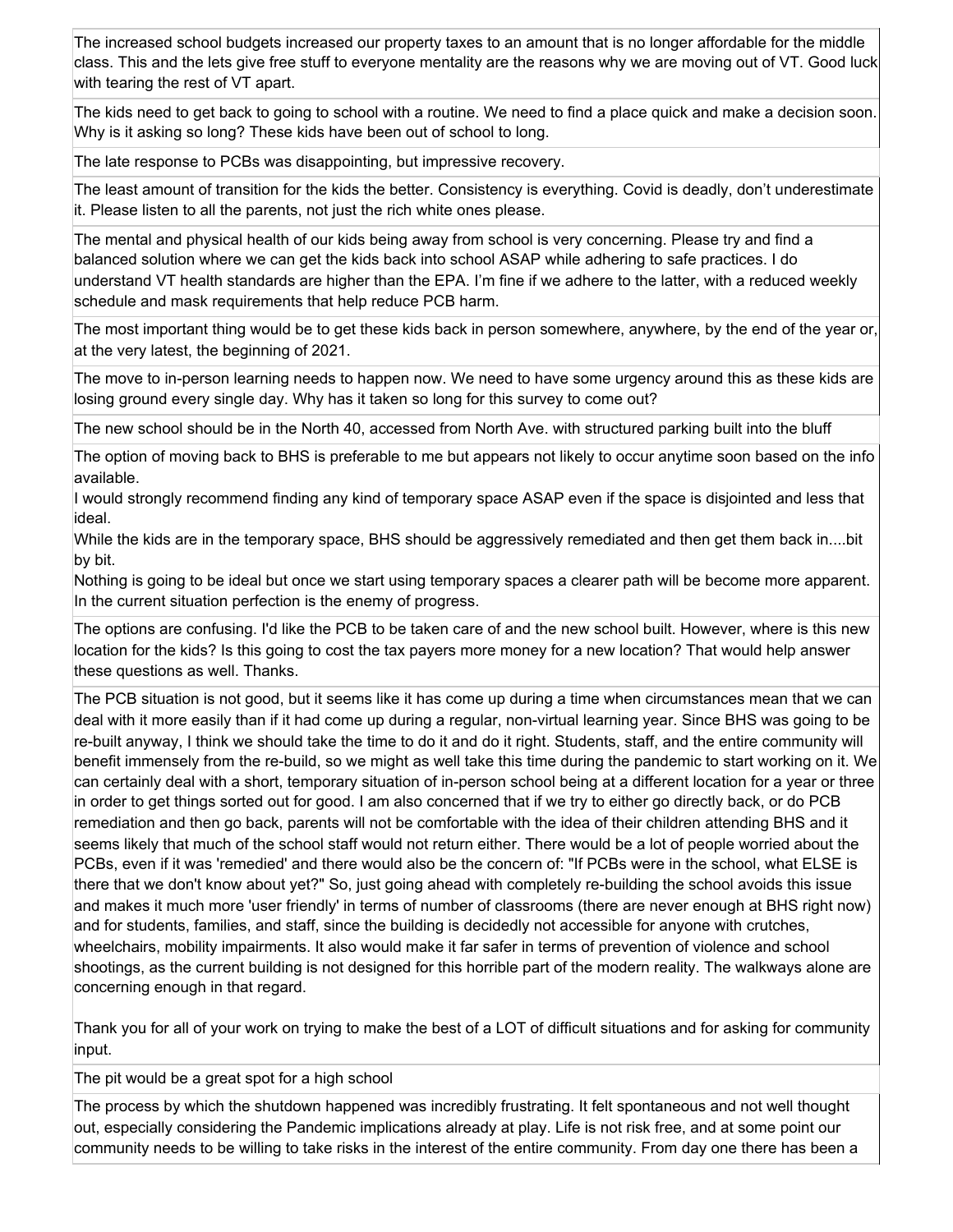The increased school budgets increased our property taxes to an amount that is no longer affordable for the middle class. This and the lets give free stuff to everyone mentality are the reasons why we are moving out of VT. Good luck with tearing the rest of VT apart.

The kids need to get back to going to school with a routine. We need to find a place quick and make a decision soon. Why is it asking so long? These kids have been out of school to long.

The late response to PCBs was disappointing, but impressive recovery.

The least amount of transition for the kids the better. Consistency is everything. Covid is deadly, don't underestimate it. Please listen to all the parents, not just the rich white ones please.

The mental and physical health of our kids being away from school is very concerning. Please try and find a balanced solution where we can get the kids back into school ASAP while adhering to safe practices. I do understand VT health standards are higher than the EPA. I'm fine if we adhere to the latter, with a reduced weekly schedule and mask requirements that help reduce PCB harm.

The most important thing would be to get these kids back in person somewhere, anywhere, by the end of the year or, at the very latest, the beginning of 2021.

The move to in-person learning needs to happen now. We need to have some urgency around this as these kids are losing ground every single day. Why has it taken so long for this survey to come out?

The new school should be in the North 40, accessed from North Ave. with structured parking built into the bluff

The option of moving back to BHS is preferable to me but appears not likely to occur anytime soon based on the info available.

I would strongly recommend finding any kind of temporary space ASAP even if the space is disjointed and less that ideal.

While the kids are in the temporary space, BHS should be aggressively remediated and then get them back in....bit by bit.

Nothing is going to be ideal but once we start using temporary spaces a clearer path will be become more apparent. In the current situation perfection is the enemy of progress.

The options are confusing. I'd like the PCB to be taken care of and the new school built. However, where is this new location for the kids? Is this going to cost the tax payers more money for a new location? That would help answer these questions as well. Thanks.

The PCB situation is not good, but it seems like it has come up during a time when circumstances mean that we can deal with it more easily than if it had come up during a regular, non-virtual learning year. Since BHS was going to be re-built anyway, I think we should take the time to do it and do it right. Students, staff, and the entire community will benefit immensely from the re-build, so we might as well take this time during the pandemic to start working on it. We can certainly deal with a short, temporary situation of in-person school being at a different location for a year or three in order to get things sorted out for good. I am also concerned that if we try to either go directly back, or do PCB remediation and then go back, parents will not be comfortable with the idea of their children attending BHS and it seems likely that much of the school staff would not return either. There would be a lot of people worried about the PCBs, even if it was 'remedied' and there would also be the concern of: "If PCBs were in the school, what ELSE is there that we don't know about yet?" So, just going ahead with completely re-building the school avoids this issue and makes it much more 'user friendly' in terms of number of classrooms (there are never enough at BHS right now) and for students, families, and staff, since the building is decidedly not accessible for anyone with crutches, wheelchairs, mobility impairments. It also would make it far safer in terms of prevention of violence and school shootings, as the current building is not designed for this horrible part of the modern reality. The walkways alone are concerning enough in that regard.

Thank you for all of your work on trying to make the best of a LOT of difficult situations and for asking for community input.

The pit would be a great spot for a high school

The process by which the shutdown happened was incredibly frustrating. It felt spontaneous and not well thought out, especially considering the Pandemic implications already at play. Life is not risk free, and at some point our community needs to be willing to take risks in the interest of the entire community. From day one there has been a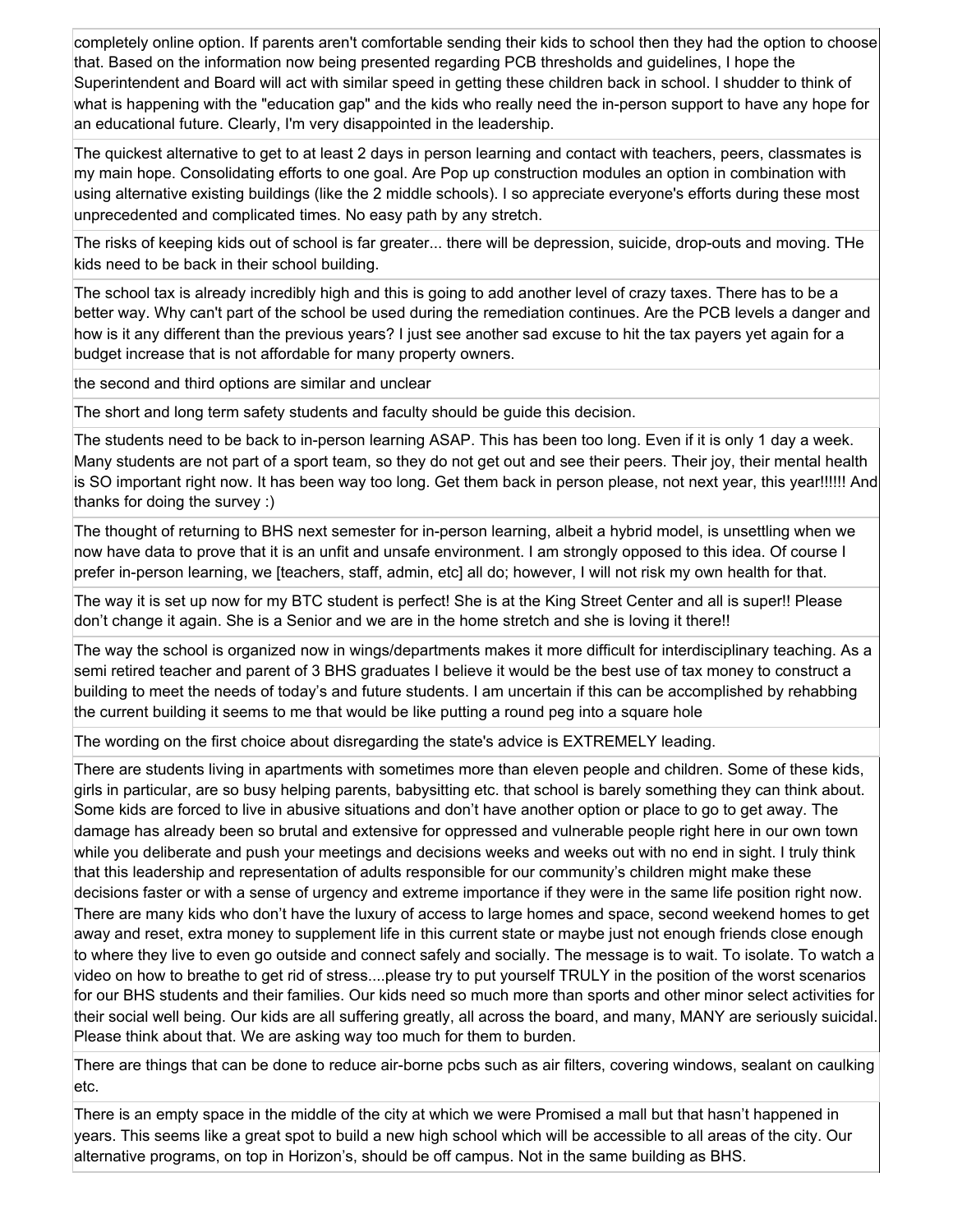completely online option. If parents aren't comfortable sending their kids to school then they had the option to choose that. Based on the information now being presented regarding PCB thresholds and guidelines, I hope the Superintendent and Board will act with similar speed in getting these children back in school. I shudder to think of what is happening with the "education gap" and the kids who really need the in-person support to have any hope for an educational future. Clearly, I'm very disappointed in the leadership.

The quickest alternative to get to at least 2 days in person learning and contact with teachers, peers, classmates is my main hope. Consolidating efforts to one goal. Are Pop up construction modules an option in combination with using alternative existing buildings (like the 2 middle schools). I so appreciate everyone's efforts during these most unprecedented and complicated times. No easy path by any stretch.

The risks of keeping kids out of school is far greater... there will be depression, suicide, drop-outs and moving. THe kids need to be back in their school building.

The school tax is already incredibly high and this is going to add another level of crazy taxes. There has to be a better way. Why can't part of the school be used during the remediation continues. Are the PCB levels a danger and how is it any different than the previous years? I just see another sad excuse to hit the tax payers yet again for a budget increase that is not affordable for many property owners.

the second and third options are similar and unclear

The short and long term safety students and faculty should be guide this decision.

The students need to be back to in-person learning ASAP. This has been too long. Even if it is only 1 day a week. Many students are not part of a sport team, so they do not get out and see their peers. Their joy, their mental health is SO important right now. It has been way too long. Get them back in person please, not next year, this year!!!!!! And thanks for doing the survey :)

The thought of returning to BHS next semester for in-person learning, albeit a hybrid model, is unsettling when we now have data to prove that it is an unfit and unsafe environment. I am strongly opposed to this idea. Of course I prefer in-person learning, we [teachers, staff, admin, etc] all do; however, I will not risk my own health for that.

The way it is set up now for my BTC student is perfect! She is at the King Street Center and all is super!! Please don't change it again. She is a Senior and we are in the home stretch and she is loving it there!!

The way the school is organized now in wings/departments makes it more difficult for interdisciplinary teaching. As a semi retired teacher and parent of 3 BHS graduates I believe it would be the best use of tax money to construct a building to meet the needs of today's and future students. I am uncertain if this can be accomplished by rehabbing the current building it seems to me that would be like putting a round peg into a square hole

The wording on the first choice about disregarding the state's advice is EXTREMELY leading.

There are students living in apartments with sometimes more than eleven people and children. Some of these kids, girls in particular, are so busy helping parents, babysitting etc. that school is barely something they can think about. Some kids are forced to live in abusive situations and don't have another option or place to go to get away. The damage has already been so brutal and extensive for oppressed and vulnerable people right here in our own town while you deliberate and push your meetings and decisions weeks and weeks out with no end in sight. I truly think that this leadership and representation of adults responsible for our community's children might make these decisions faster or with a sense of urgency and extreme importance if they were in the same life position right now. There are many kids who don't have the luxury of access to large homes and space, second weekend homes to get away and reset, extra money to supplement life in this current state or maybe just not enough friends close enough to where they live to even go outside and connect safely and socially. The message is to wait. To isolate. To watch a video on how to breathe to get rid of stress....please try to put yourself TRULY in the position of the worst scenarios for our BHS students and their families. Our kids need so much more than sports and other minor select activities for their social well being. Our kids are all suffering greatly, all across the board, and many, MANY are seriously suicidal. Please think about that. We are asking way too much for them to burden.

There are things that can be done to reduce air-borne pcbs such as air filters, covering windows, sealant on caulking etc.

There is an empty space in the middle of the city at which we were Promised a mall but that hasn't happened in years. This seems like a great spot to build a new high school which will be accessible to all areas of the city. Our alternative programs, on top in Horizon's, should be off campus. Not in the same building as BHS.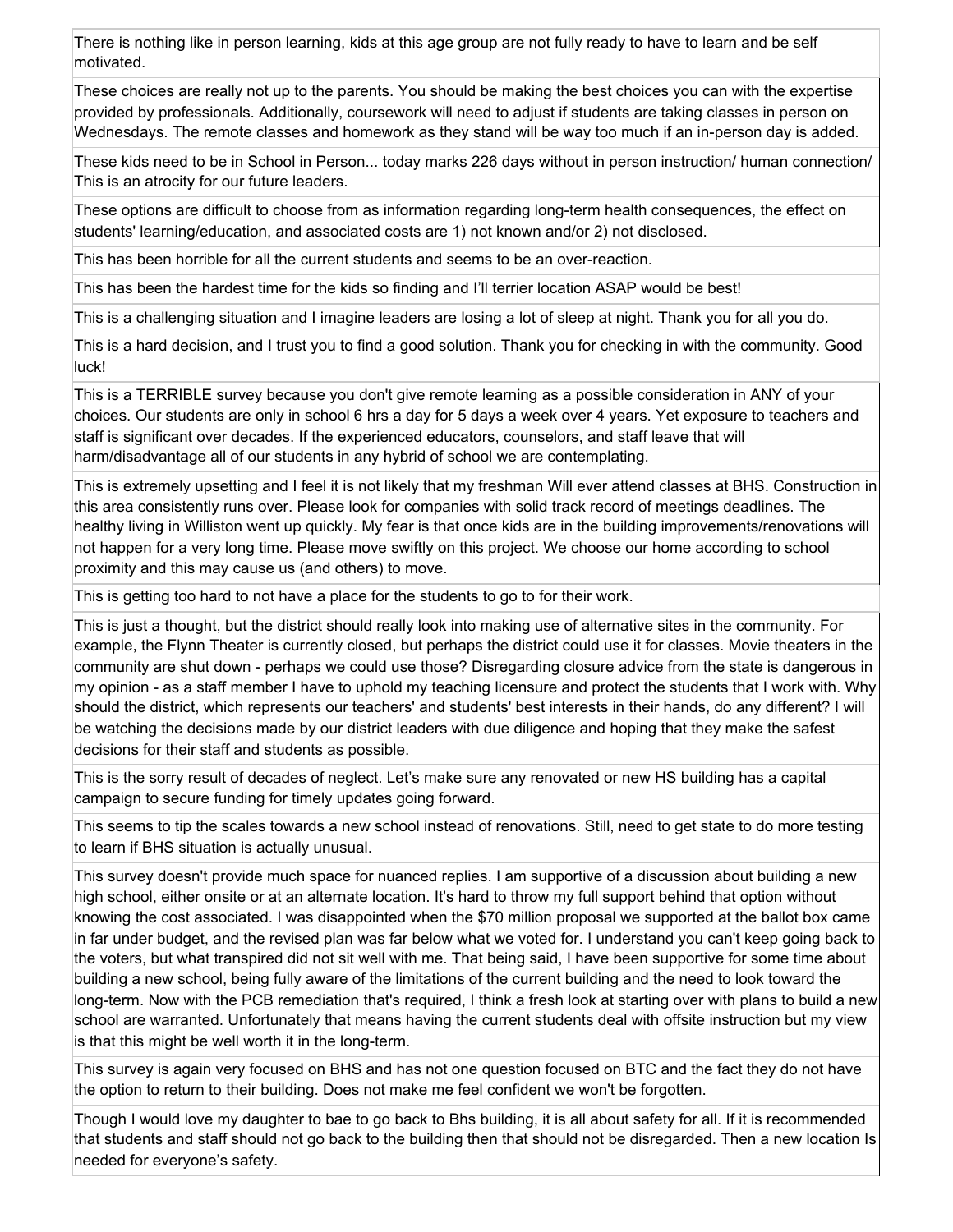There is nothing like in person learning, kids at this age group are not fully ready to have to learn and be self motivated.

These choices are really not up to the parents. You should be making the best choices you can with the expertise provided by professionals. Additionally, coursework will need to adjust if students are taking classes in person on Wednesdays. The remote classes and homework as they stand will be way too much if an in-person day is added.

These kids need to be in School in Person... today marks 226 days without in person instruction/ human connection/ This is an atrocity for our future leaders.

These options are difficult to choose from as information regarding long-term health consequences, the effect on students' learning/education, and associated costs are 1) not known and/or 2) not disclosed.

This has been horrible for all the current students and seems to be an over-reaction.

This has been the hardest time for the kids so finding and I'll terrier location ASAP would be best!

This is a challenging situation and I imagine leaders are losing a lot of sleep at night. Thank you for all you do.

This is a hard decision, and I trust you to find a good solution. Thank you for checking in with the community. Good luck!

This is a TERRIBLE survey because you don't give remote learning as a possible consideration in ANY of your choices. Our students are only in school 6 hrs a day for 5 days a week over 4 years. Yet exposure to teachers and staff is significant over decades. If the experienced educators, counselors, and staff leave that will harm/disadvantage all of our students in any hybrid of school we are contemplating.

This is extremely upsetting and I feel it is not likely that my freshman Will ever attend classes at BHS. Construction in this area consistently runs over. Please look for companies with solid track record of meetings deadlines. The healthy living in Williston went up quickly. My fear is that once kids are in the building improvements/renovations will not happen for a very long time. Please move swiftly on this project. We choose our home according to school proximity and this may cause us (and others) to move.

This is getting too hard to not have a place for the students to go to for their work.

This is just a thought, but the district should really look into making use of alternative sites in the community. For example, the Flynn Theater is currently closed, but perhaps the district could use it for classes. Movie theaters in the community are shut down - perhaps we could use those? Disregarding closure advice from the state is dangerous in my opinion - as a staff member I have to uphold my teaching licensure and protect the students that I work with. Why should the district, which represents our teachers' and students' best interests in their hands, do any different? I will be watching the decisions made by our district leaders with due diligence and hoping that they make the safest decisions for their staff and students as possible.

This is the sorry result of decades of neglect. Let's make sure any renovated or new HS building has a capital campaign to secure funding for timely updates going forward.

This seems to tip the scales towards a new school instead of renovations. Still, need to get state to do more testing to learn if BHS situation is actually unusual.

This survey doesn't provide much space for nuanced replies. I am supportive of a discussion about building a new high school, either onsite or at an alternate location. It's hard to throw my full support behind that option without knowing the cost associated. I was disappointed when the \$70 million proposal we supported at the ballot box came in far under budget, and the revised plan was far below what we voted for. I understand you can't keep going back to the voters, but what transpired did not sit well with me. That being said, I have been supportive for some time about building a new school, being fully aware of the limitations of the current building and the need to look toward the long-term. Now with the PCB remediation that's required, I think a fresh look at starting over with plans to build a new school are warranted. Unfortunately that means having the current students deal with offsite instruction but my view is that this might be well worth it in the long-term.

This survey is again very focused on BHS and has not one question focused on BTC and the fact they do not have the option to return to their building. Does not make me feel confident we won't be forgotten.

Though I would love my daughter to bae to go back to Bhs building, it is all about safety for all. If it is recommended that students and staff should not go back to the building then that should not be disregarded. Then a new location Is needed for everyone's safety.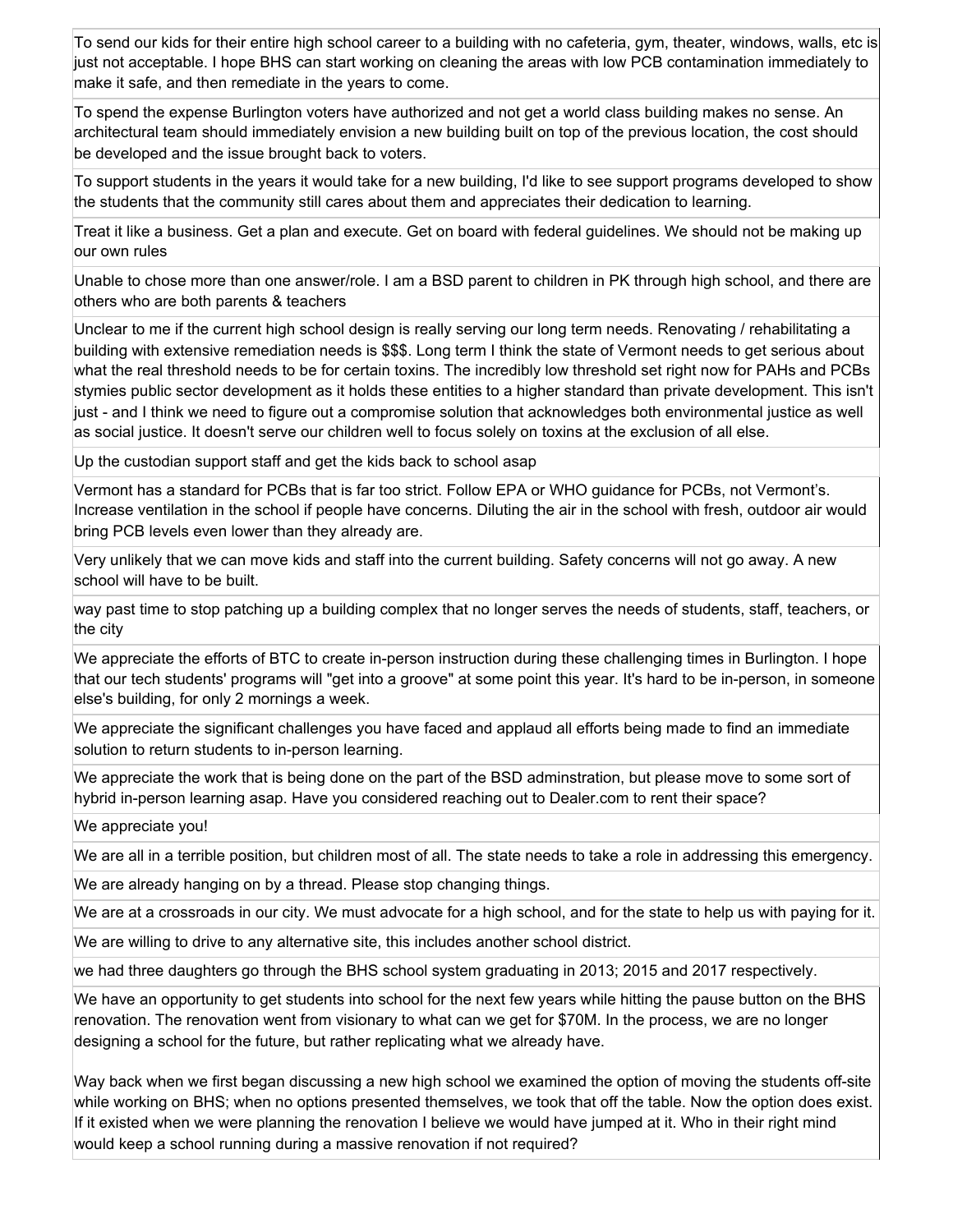To send our kids for their entire high school career to a building with no cafeteria, gym, theater, windows, walls, etc is just not acceptable. I hope BHS can start working on cleaning the areas with low PCB contamination immediately to make it safe, and then remediate in the years to come.

To spend the expense Burlington voters have authorized and not get a world class building makes no sense. An architectural team should immediately envision a new building built on top of the previous location, the cost should be developed and the issue brought back to voters.

To support students in the years it would take for a new building, I'd like to see support programs developed to show the students that the community still cares about them and appreciates their dedication to learning.

Treat it like a business. Get a plan and execute. Get on board with federal guidelines. We should not be making up our own rules

Unable to chose more than one answer/role. I am a BSD parent to children in PK through high school, and there are others who are both parents & teachers

Unclear to me if the current high school design is really serving our long term needs. Renovating / rehabilitating a building with extensive remediation needs is \$\$\$. Long term I think the state of Vermont needs to get serious about what the real threshold needs to be for certain toxins. The incredibly low threshold set right now for PAHs and PCBs stymies public sector development as it holds these entities to a higher standard than private development. This isn't just - and I think we need to figure out a compromise solution that acknowledges both environmental justice as well as social justice. It doesn't serve our children well to focus solely on toxins at the exclusion of all else.

Up the custodian support staff and get the kids back to school asap

Vermont has a standard for PCBs that is far too strict. Follow EPA or WHO guidance for PCBs, not Vermont's. Increase ventilation in the school if people have concerns. Diluting the air in the school with fresh, outdoor air would bring PCB levels even lower than they already are.

Very unlikely that we can move kids and staff into the current building. Safety concerns will not go away. A new school will have to be built.

way past time to stop patching up a building complex that no longer serves the needs of students, staff, teachers, or the city

We appreciate the efforts of BTC to create in-person instruction during these challenging times in Burlington. I hope that our tech students' programs will "get into a groove" at some point this year. It's hard to be in-person, in someone else's building, for only 2 mornings a week.

We appreciate the significant challenges you have faced and applaud all efforts being made to find an immediate solution to return students to in-person learning.

We appreciate the work that is being done on the part of the BSD adminstration, but please move to some sort of hybrid in-person learning asap. Have you considered reaching out to Dealer.com to rent their space?

We appreciate you!

We are all in a terrible position, but children most of all. The state needs to take a role in addressing this emergency.

We are already hanging on by a thread. Please stop changing things.

We are at a crossroads in our city. We must advocate for a high school, and for the state to help us with paying for it.

We are willing to drive to any alternative site, this includes another school district.

we had three daughters go through the BHS school system graduating in 2013; 2015 and 2017 respectively.

We have an opportunity to get students into school for the next few years while hitting the pause button on the BHS renovation. The renovation went from visionary to what can we get for \$70M. In the process, we are no longer designing a school for the future, but rather replicating what we already have.

Way back when we first began discussing a new high school we examined the option of moving the students off-site while working on BHS; when no options presented themselves, we took that off the table. Now the option does exist. If it existed when we were planning the renovation I believe we would have jumped at it. Who in their right mind would keep a school running during a massive renovation if not required?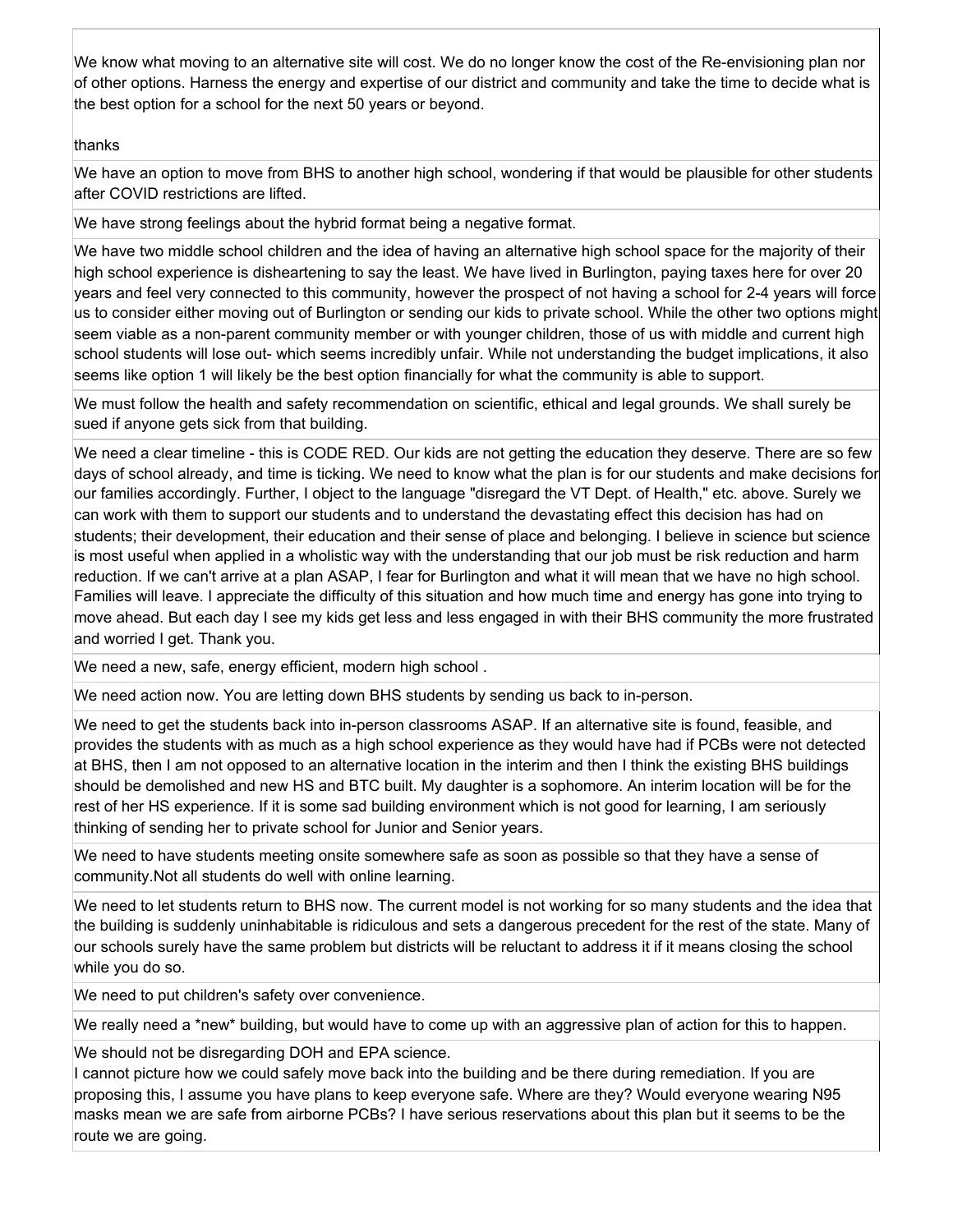We know what moving to an alternative site will cost. We do no longer know the cost of the Re-envisioning plan nor of other options. Harness the energy and expertise of our district and community and take the time to decide what is the best option for a school for the next 50 years or beyond.

## thanks

We have an option to move from BHS to another high school, wondering if that would be plausible for other students after COVID restrictions are lifted.

We have strong feelings about the hybrid format being a negative format.

We have two middle school children and the idea of having an alternative high school space for the majority of their high school experience is disheartening to say the least. We have lived in Burlington, paying taxes here for over 20 years and feel very connected to this community, however the prospect of not having a school for 2-4 years will force us to consider either moving out of Burlington or sending our kids to private school. While the other two options might seem viable as a non-parent community member or with younger children, those of us with middle and current high school students will lose out- which seems incredibly unfair. While not understanding the budget implications, it also seems like option 1 will likely be the best option financially for what the community is able to support.

We must follow the health and safety recommendation on scientific, ethical and legal grounds. We shall surely be sued if anyone gets sick from that building.

We need a clear timeline - this is CODE RED. Our kids are not getting the education they deserve. There are so few days of school already, and time is ticking. We need to know what the plan is for our students and make decisions for our families accordingly. Further, I object to the language "disregard the VT Dept. of Health," etc. above. Surely we can work with them to support our students and to understand the devastating effect this decision has had on students; their development, their education and their sense of place and belonging. I believe in science but science is most useful when applied in a wholistic way with the understanding that our job must be risk reduction and harm reduction. If we can't arrive at a plan ASAP, I fear for Burlington and what it will mean that we have no high school. Families will leave. I appreciate the difficulty of this situation and how much time and energy has gone into trying to move ahead. But each day I see my kids get less and less engaged in with their BHS community the more frustrated and worried I get. Thank you.

We need a new, safe, energy efficient, modern high school .

We need action now. You are letting down BHS students by sending us back to in-person.

We need to get the students back into in-person classrooms ASAP. If an alternative site is found, feasible, and provides the students with as much as a high school experience as they would have had if PCBs were not detected at BHS, then I am not opposed to an alternative location in the interim and then I think the existing BHS buildings should be demolished and new HS and BTC built. My daughter is a sophomore. An interim location will be for the rest of her HS experience. If it is some sad building environment which is not good for learning, I am seriously thinking of sending her to private school for Junior and Senior years.

We need to have students meeting onsite somewhere safe as soon as possible so that they have a sense of community.Not all students do well with online learning.

We need to let students return to BHS now. The current model is not working for so many students and the idea that the building is suddenly uninhabitable is ridiculous and sets a dangerous precedent for the rest of the state. Many of our schools surely have the same problem but districts will be reluctant to address it if it means closing the school while you do so.

We need to put children's safety over convenience.

We really need a \*new\* building, but would have to come up with an aggressive plan of action for this to happen.

We should not be disregarding DOH and EPA science.

I cannot picture how we could safely move back into the building and be there during remediation. If you are proposing this, I assume you have plans to keep everyone safe. Where are they? Would everyone wearing N95 masks mean we are safe from airborne PCBs? I have serious reservations about this plan but it seems to be the route we are going.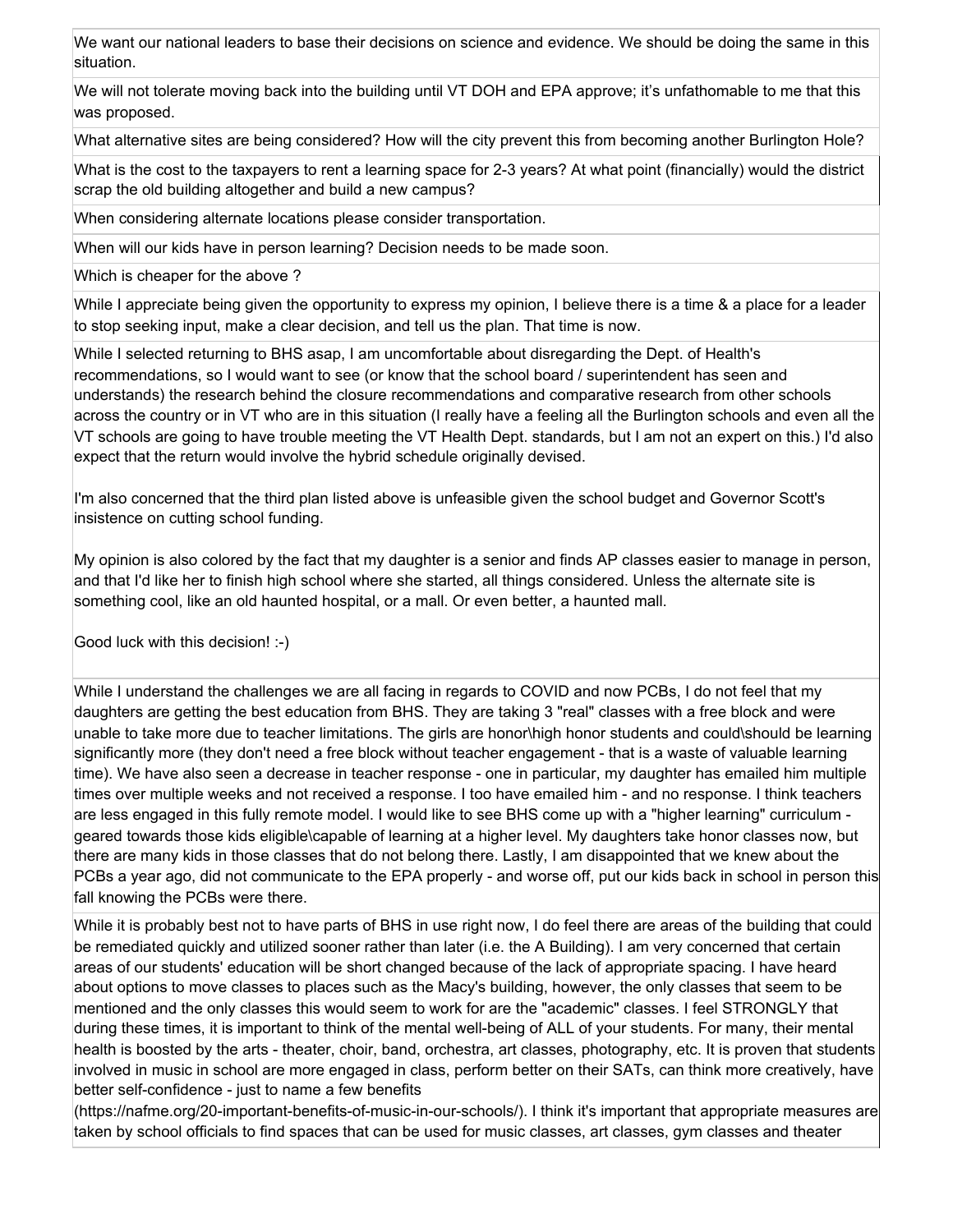We want our national leaders to base their decisions on science and evidence. We should be doing the same in this situation.

We will not tolerate moving back into the building until VT DOH and EPA approve; it's unfathomable to me that this was proposed.

What alternative sites are being considered? How will the city prevent this from becoming another Burlington Hole?

What is the cost to the taxpayers to rent a learning space for 2-3 years? At what point (financially) would the district scrap the old building altogether and build a new campus?

When considering alternate locations please consider transportation.

When will our kids have in person learning? Decision needs to be made soon.

Which is cheaper for the above ?

While I appreciate being given the opportunity to express my opinion, I believe there is a time & a place for a leader to stop seeking input, make a clear decision, and tell us the plan. That time is now.

While I selected returning to BHS asap, I am uncomfortable about disregarding the Dept. of Health's recommendations, so I would want to see (or know that the school board / superintendent has seen and understands) the research behind the closure recommendations and comparative research from other schools across the country or in VT who are in this situation (I really have a feeling all the Burlington schools and even all the VT schools are going to have trouble meeting the VT Health Dept. standards, but I am not an expert on this.) I'd also expect that the return would involve the hybrid schedule originally devised.

I'm also concerned that the third plan listed above is unfeasible given the school budget and Governor Scott's insistence on cutting school funding.

My opinion is also colored by the fact that my daughter is a senior and finds AP classes easier to manage in person, and that I'd like her to finish high school where she started, all things considered. Unless the alternate site is something cool, like an old haunted hospital, or a mall. Or even better, a haunted mall.

Good luck with this decision! :-)

While I understand the challenges we are all facing in regards to COVID and now PCBs, I do not feel that my daughters are getting the best education from BHS. They are taking 3 "real" classes with a free block and were unable to take more due to teacher limitations. The girls are honor\high honor students and could\should be learning significantly more (they don't need a free block without teacher engagement - that is a waste of valuable learning time). We have also seen a decrease in teacher response - one in particular, my daughter has emailed him multiple times over multiple weeks and not received a response. I too have emailed him - and no response. I think teachers are less engaged in this fully remote model. I would like to see BHS come up with a "higher learning" curriculum geared towards those kids eligible\capable of learning at a higher level. My daughters take honor classes now, but there are many kids in those classes that do not belong there. Lastly, I am disappointed that we knew about the PCBs a year ago, did not communicate to the EPA properly - and worse off, put our kids back in school in person this fall knowing the PCBs were there.

While it is probably best not to have parts of BHS in use right now, I do feel there are areas of the building that could be remediated quickly and utilized sooner rather than later (i.e. the A Building). I am very concerned that certain areas of our students' education will be short changed because of the lack of appropriate spacing. I have heard about options to move classes to places such as the Macy's building, however, the only classes that seem to be mentioned and the only classes this would seem to work for are the "academic" classes. I feel STRONGLY that during these times, it is important to think of the mental well-being of ALL of your students. For many, their mental health is boosted by the arts - theater, choir, band, orchestra, art classes, photography, etc. It is proven that students involved in music in school are more engaged in class, perform better on their SATs, can think more creatively, have better self-confidence - just to name a few benefits

(https://nafme.org/20-important-benefits-of-music-in-our-schools/). I think it's important that appropriate measures are taken by school officials to find spaces that can be used for music classes, art classes, gym classes and theater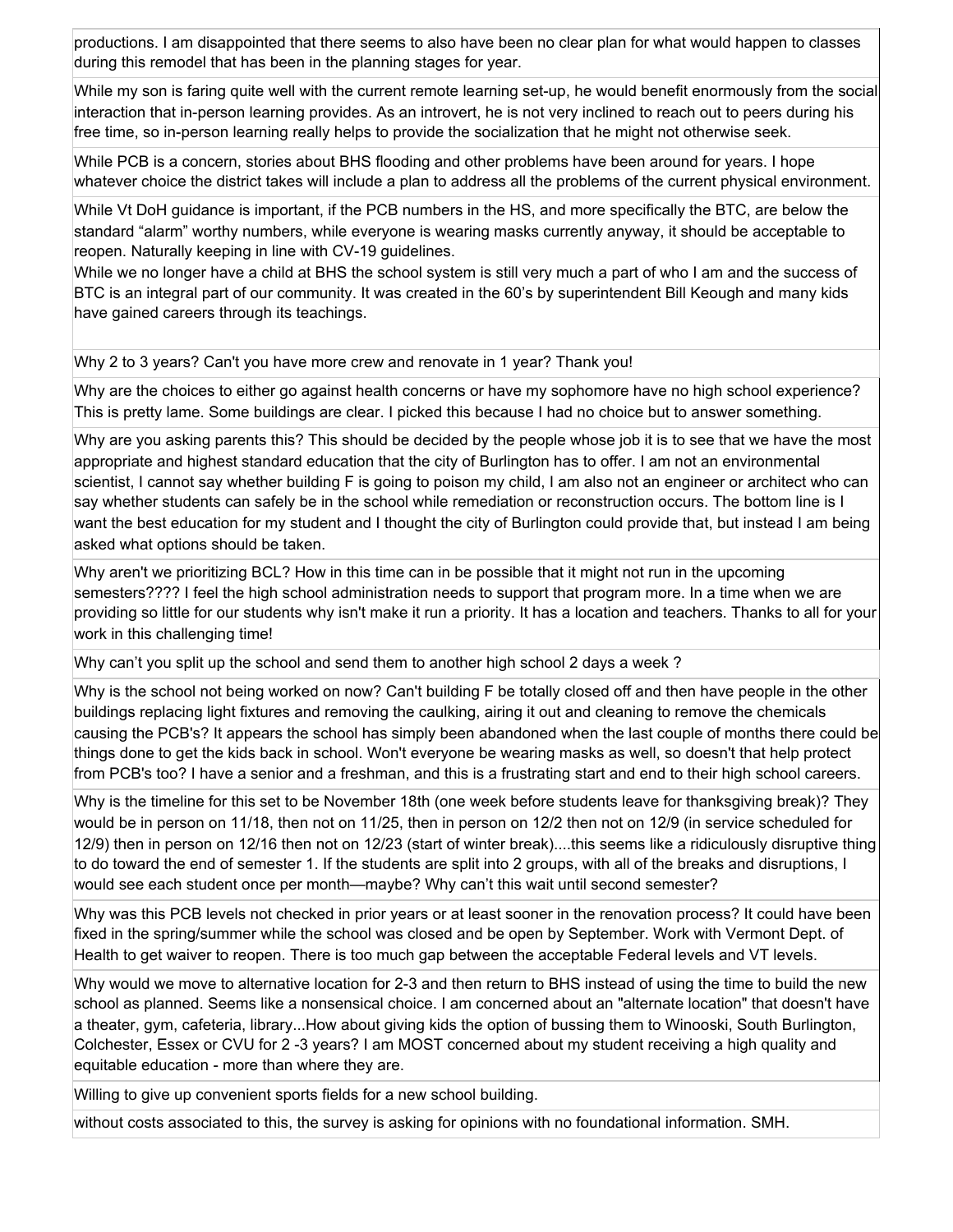productions. I am disappointed that there seems to also have been no clear plan for what would happen to classes during this remodel that has been in the planning stages for year.

While my son is faring quite well with the current remote learning set-up, he would benefit enormously from the social interaction that in-person learning provides. As an introvert, he is not very inclined to reach out to peers during his free time, so in-person learning really helps to provide the socialization that he might not otherwise seek.

While PCB is a concern, stories about BHS flooding and other problems have been around for years. I hope whatever choice the district takes will include a plan to address all the problems of the current physical environment.

While Vt DoH guidance is important, if the PCB numbers in the HS, and more specifically the BTC, are below the standard "alarm" worthy numbers, while everyone is wearing masks currently anyway, it should be acceptable to reopen. Naturally keeping in line with CV-19 guidelines.

While we no longer have a child at BHS the school system is still very much a part of who I am and the success of BTC is an integral part of our community. It was created in the 60's by superintendent Bill Keough and many kids have gained careers through its teachings.

Why 2 to 3 years? Can't you have more crew and renovate in 1 year? Thank you!

Why are the choices to either go against health concerns or have my sophomore have no high school experience? This is pretty lame. Some buildings are clear. I picked this because I had no choice but to answer something.

Why are you asking parents this? This should be decided by the people whose job it is to see that we have the most appropriate and highest standard education that the city of Burlington has to offer. I am not an environmental scientist, I cannot say whether building F is going to poison my child, I am also not an engineer or architect who can say whether students can safely be in the school while remediation or reconstruction occurs. The bottom line is I want the best education for my student and I thought the city of Burlington could provide that, but instead I am being asked what options should be taken.

Why aren't we prioritizing BCL? How in this time can in be possible that it might not run in the upcoming semesters???? I feel the high school administration needs to support that program more. In a time when we are providing so little for our students why isn't make it run a priority. It has a location and teachers. Thanks to all for your work in this challenging time!

Why can't you split up the school and send them to another high school 2 days a week ?

Why is the school not being worked on now? Can't building F be totally closed off and then have people in the other buildings replacing light fixtures and removing the caulking, airing it out and cleaning to remove the chemicals causing the PCB's? It appears the school has simply been abandoned when the last couple of months there could be things done to get the kids back in school. Won't everyone be wearing masks as well, so doesn't that help protect from PCB's too? I have a senior and a freshman, and this is a frustrating start and end to their high school careers.

Why is the timeline for this set to be November 18th (one week before students leave for thanksgiving break)? They would be in person on 11/18, then not on 11/25, then in person on 12/2 then not on 12/9 (in service scheduled for 12/9) then in person on 12/16 then not on 12/23 (start of winter break)....this seems like a ridiculously disruptive thing to do toward the end of semester 1. If the students are split into 2 groups, with all of the breaks and disruptions, I would see each student once per month—maybe? Why can't this wait until second semester?

Why was this PCB levels not checked in prior years or at least sooner in the renovation process? It could have been fixed in the spring/summer while the school was closed and be open by September. Work with Vermont Dept. of Health to get waiver to reopen. There is too much gap between the acceptable Federal levels and VT levels.

Why would we move to alternative location for 2-3 and then return to BHS instead of using the time to build the new school as planned. Seems like a nonsensical choice. I am concerned about an "alternate location" that doesn't have a theater, gym, cafeteria, library...How about giving kids the option of bussing them to Winooski, South Burlington, Colchester, Essex or CVU for 2 -3 years? I am MOST concerned about my student receiving a high quality and equitable education - more than where they are.

Willing to give up convenient sports fields for a new school building.

without costs associated to this, the survey is asking for opinions with no foundational information. SMH.